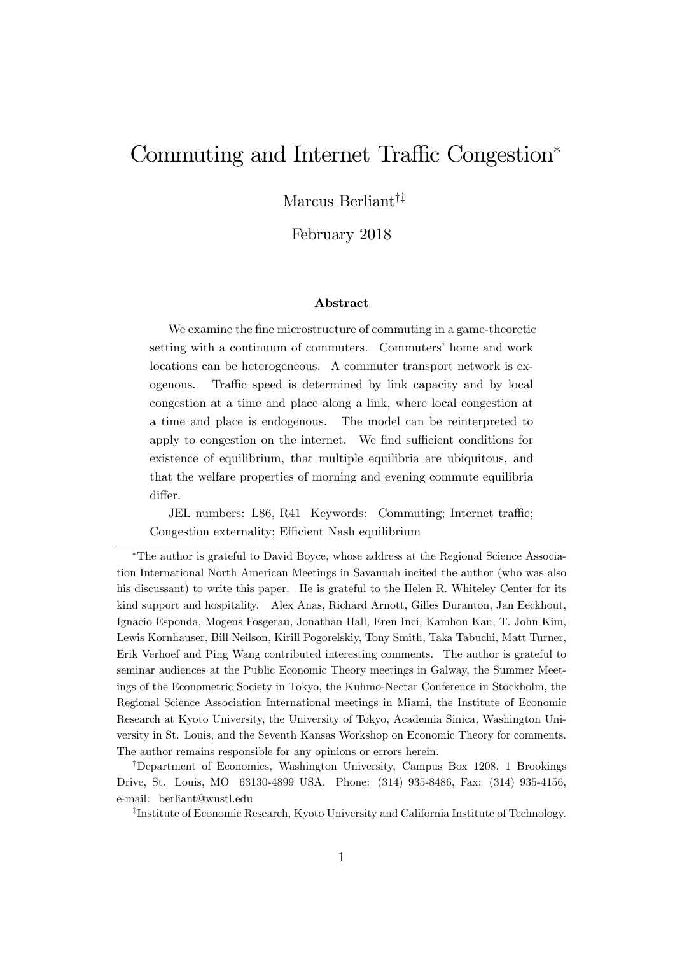# Commuting and Internet Traffic Congestion<sup>\*</sup>

Marcus Berliant<sup> $\dagger$ ‡</sup>

February 2018

#### Abstract

We examine the fine microstructure of commuting in a game-theoretic setting with a continuum of commuters. Commuters' home and work locations can be heterogeneous. A commuter transport network is exogenous. Traffic speed is determined by link capacity and by local congestion at a time and place along a link, where local congestion at a time and place is endogenous. The model can be reinterpreted to apply to congestion on the internet. We find sufficient conditions for existence of equilibrium, that multiple equilibria are ubiquitous, and that the welfare properties of morning and evening commute equilibria differ.

JEL numbers: L86, R41 Keywords: Commuting; Internet traffic; Congestion externality: Efficient Nash equilibrium

The author is grateful to David Boyce, whose address at the Regional Science Association International North American Meetings in Savannah incited the author (who was also his discussant) to write this paper. He is grateful to the Helen R. Whiteley Center for its kind support and hospitality. Alex Anas, Richard Arnott, Gilles Duranton, Jan Eeckhout, Ignacio Esponda, Mogens Fosgerau, Jonathan Hall, Eren Inci, Kamhon Kan, T. John Kim, Lewis Kornhauser, Bill Neilson, Kirill Pogorelskiy, Tony Smith, Taka Tabuchi, Matt Turner, Erik Verhoef and Ping Wang contributed interesting comments. The author is grateful to seminar audiences at the Public Economic Theory meetings in Galway, the Summer Meetings of the Econometric Society in Tokyo, the Kuhmo-Nectar Conference in Stockholm, the Regional Science Association International meetings in Miami, the Institute of Economic Research at Kyoto University, the University of Tokyo, Academia Sinica, Washington University in St. Louis, and the Seventh Kansas Workshop on Economic Theory for comments. The author remains responsible for any opinions or errors herein.

<sup>†</sup>Department of Economics, Washington University, Campus Box 1208, 1 Brookings Drive, St. Louis, MO 63130-4899 USA. Phone: (314) 935-8486, Fax: (314) 935-4156, e-mail: berliant@wustl.edu

z Institute of Economic Research, Kyoto University and California Institute of Technology.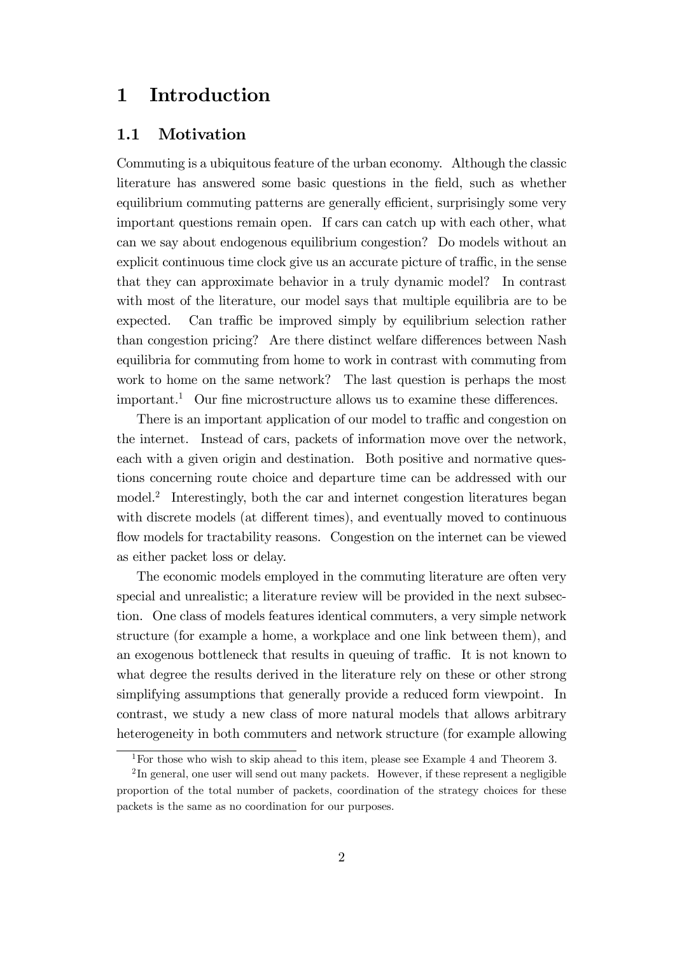## 1 Introduction

#### 1.1 Motivation

Commuting is a ubiquitous feature of the urban economy. Although the classic literature has answered some basic questions in the Öeld, such as whether equilibrium commuting patterns are generally efficient, surprisingly some very important questions remain open. If cars can catch up with each other, what can we say about endogenous equilibrium congestion? Do models without an explicit continuous time clock give us an accurate picture of traffic, in the sense that they can approximate behavior in a truly dynamic model? In contrast with most of the literature, our model says that multiple equilibria are to be expected. Can traffic be improved simply by equilibrium selection rather than congestion pricing? Are there distinct welfare differences between Nash equilibria for commuting from home to work in contrast with commuting from work to home on the same network? The last question is perhaps the most important.<sup>1</sup> Our fine microstructure allows us to examine these differences.

There is an important application of our model to traffic and congestion on the internet. Instead of cars, packets of information move over the network, each with a given origin and destination. Both positive and normative questions concerning route choice and departure time can be addressed with our model.<sup>2</sup> Interestingly, both the car and internet congestion literatures began with discrete models (at different times), and eventually moved to continuous flow models for tractability reasons. Congestion on the internet can be viewed as either packet loss or delay.

The economic models employed in the commuting literature are often very special and unrealistic; a literature review will be provided in the next subsection. One class of models features identical commuters, a very simple network structure (for example a home, a workplace and one link between them), and an exogenous bottleneck that results in queuing of traffic. It is not known to what degree the results derived in the literature rely on these or other strong simplifying assumptions that generally provide a reduced form viewpoint. In contrast, we study a new class of more natural models that allows arbitrary heterogeneity in both commuters and network structure (for example allowing

<sup>1</sup>For those who wish to skip ahead to this item, please see Example 4 and Theorem 3.

 ${}^{2}$ In general, one user will send out many packets. However, if these represent a negligible proportion of the total number of packets, coordination of the strategy choices for these packets is the same as no coordination for our purposes.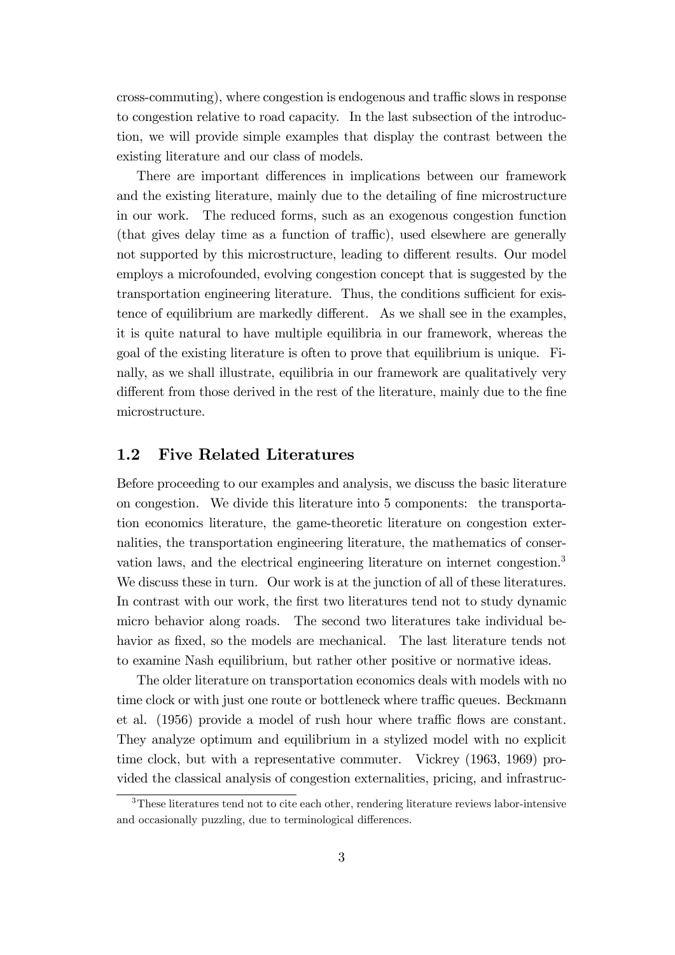cross-commuting), where congestion is endogenous and traffic slows in response to congestion relative to road capacity. In the last subsection of the introduction, we will provide simple examples that display the contrast between the existing literature and our class of models.

There are important differences in implications between our framework and the existing literature, mainly due to the detailing of fine microstructure in our work. The reduced forms, such as an exogenous congestion function  $(\text{that gives delay time as a function of traffic})$ , used elsewhere are generally not supported by this microstructure, leading to different results. Our model employs a microfounded, evolving congestion concept that is suggested by the transportation engineering literature. Thus, the conditions sufficient for existence of equilibrium are markedly different. As we shall see in the examples, it is quite natural to have multiple equilibria in our framework, whereas the goal of the existing literature is often to prove that equilibrium is unique. Finally, as we shall illustrate, equilibria in our framework are qualitatively very different from those derived in the rest of the literature, mainly due to the fine microstructure.

### 1.2 Five Related Literatures

Before proceeding to our examples and analysis, we discuss the basic literature on congestion. We divide this literature into 5 components: the transportation economics literature, the game-theoretic literature on congestion externalities, the transportation engineering literature, the mathematics of conservation laws, and the electrical engineering literature on internet congestion.<sup>3</sup> We discuss these in turn. Our work is at the junction of all of these literatures. In contrast with our work, the first two literatures tend not to study dynamic micro behavior along roads. The second two literatures take individual behavior as fixed, so the models are mechanical. The last literature tends not to examine Nash equilibrium, but rather other positive or normative ideas.

The older literature on transportation economics deals with models with no time clock or with just one route or bottleneck where traffic queues. Beckmann et al.  $(1956)$  provide a model of rush hour where traffic flows are constant. They analyze optimum and equilibrium in a stylized model with no explicit time clock, but with a representative commuter. Vickrey (1963, 1969) provided the classical analysis of congestion externalities, pricing, and infrastruc-

<sup>3</sup>These literatures tend not to cite each other, rendering literature reviews labor-intensive and occasionally puzzling, due to terminological differences.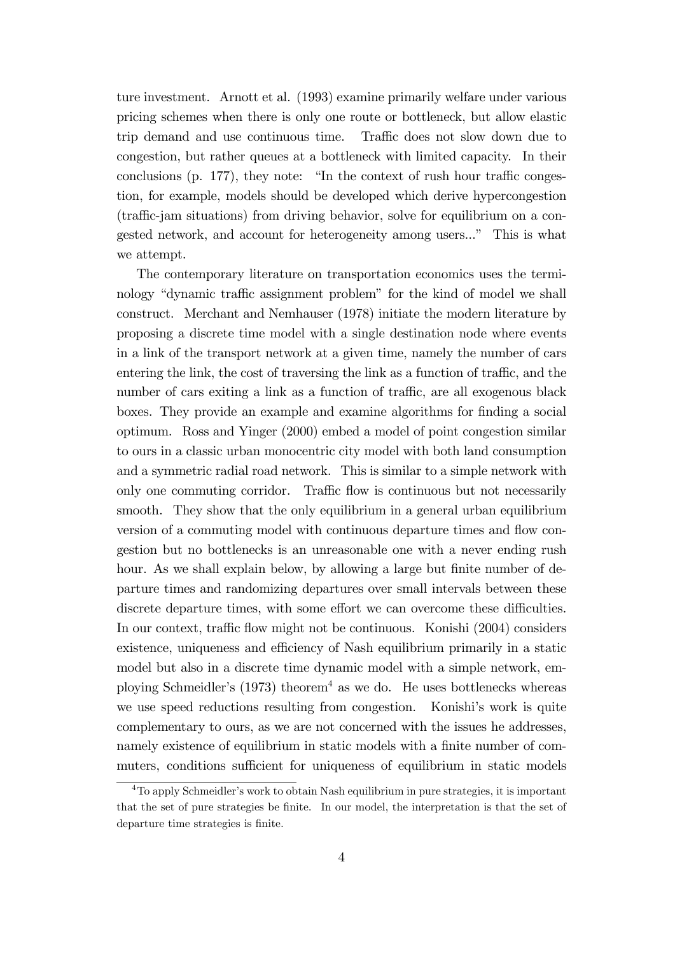ture investment. Arnott et al. (1993) examine primarily welfare under various pricing schemes when there is only one route or bottleneck, but allow elastic trip demand and use continuous time. Traffic does not slow down due to congestion, but rather queues at a bottleneck with limited capacity. In their conclusions (p. 177), they note: "In the context of rush hour traffic congestion, for example, models should be developed which derive hypercongestion (traffic-jam situations) from driving behavior, solve for equilibrium on a congested network, and account for heterogeneity among users..." This is what we attempt.

The contemporary literature on transportation economics uses the terminology "dynamic traffic assignment problem" for the kind of model we shall construct. Merchant and Nemhauser (1978) initiate the modern literature by proposing a discrete time model with a single destination node where events in a link of the transport network at a given time, namely the number of cars entering the link, the cost of traversing the link as a function of traffic, and the number of cars exiting a link as a function of traffic, are all exogenous black boxes. They provide an example and examine algorithms for Önding a social optimum. Ross and Yinger (2000) embed a model of point congestion similar to ours in a classic urban monocentric city model with both land consumption and a symmetric radial road network. This is similar to a simple network with only one commuting corridor. Traffic flow is continuous but not necessarily smooth. They show that the only equilibrium in a general urban equilibrium version of a commuting model with continuous departure times and flow congestion but no bottlenecks is an unreasonable one with a never ending rush hour. As we shall explain below, by allowing a large but finite number of departure times and randomizing departures over small intervals between these discrete departure times, with some effort we can overcome these difficulties. In our context, traffic flow might not be continuous. Konishi (2004) considers existence, uniqueness and efficiency of Nash equilibrium primarily in a static model but also in a discrete time dynamic model with a simple network, employing Schmeidler's (1973) theorem<sup>4</sup> as we do. He uses bottlenecks whereas we use speed reductions resulting from congestion. Konishi's work is quite complementary to ours, as we are not concerned with the issues he addresses, namely existence of equilibrium in static models with a finite number of commuters, conditions sufficient for uniqueness of equilibrium in static models

 $4$ To apply Schmeidler's work to obtain Nash equilibrium in pure strategies, it is important that the set of pure strategies be finite. In our model, the interpretation is that the set of departure time strategies is finite.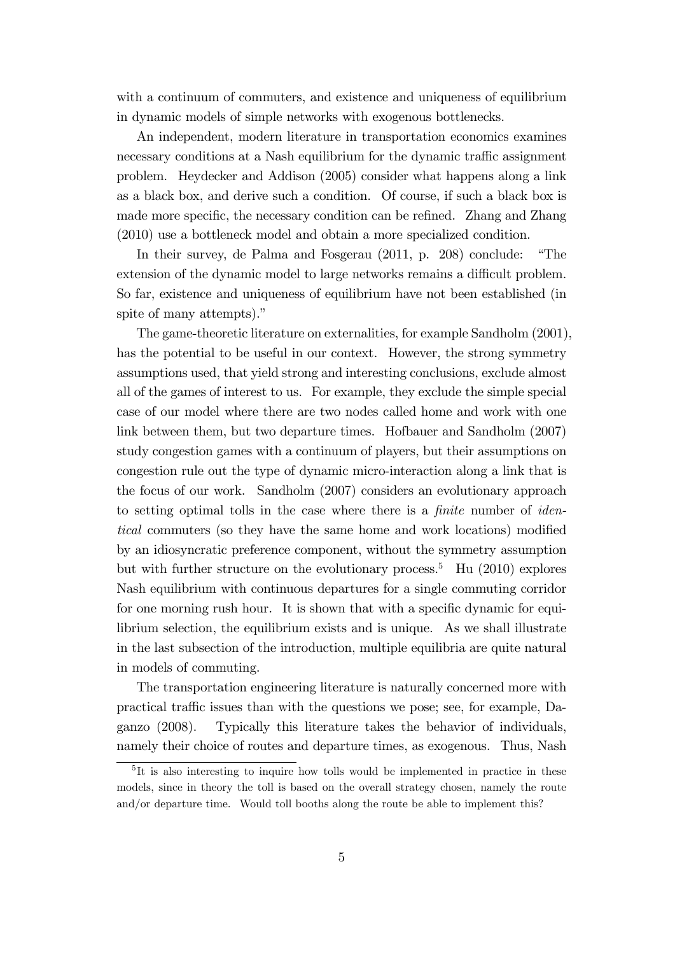with a continuum of commuters, and existence and uniqueness of equilibrium in dynamic models of simple networks with exogenous bottlenecks.

An independent, modern literature in transportation economics examines necessary conditions at a Nash equilibrium for the dynamic traffic assignment problem. Heydecker and Addison (2005) consider what happens along a link as a black box, and derive such a condition. Of course, if such a black box is made more specific, the necessary condition can be refined. Zhang and Zhang (2010) use a bottleneck model and obtain a more specialized condition.

In their survey, de Palma and Fosgerau  $(2011, p. 208)$  conclude: "The extension of the dynamic model to large networks remains a difficult problem. So far, existence and uniqueness of equilibrium have not been established (in spite of many attempts)."

The game-theoretic literature on externalities, for example Sandholm (2001), has the potential to be useful in our context. However, the strong symmetry assumptions used, that yield strong and interesting conclusions, exclude almost all of the games of interest to us. For example, they exclude the simple special case of our model where there are two nodes called home and work with one link between them, but two departure times. Hofbauer and Sandholm (2007) study congestion games with a continuum of players, but their assumptions on congestion rule out the type of dynamic micro-interaction along a link that is the focus of our work. Sandholm (2007) considers an evolutionary approach to setting optimal tolls in the case where there is a *finite* number of *iden*tical commuters (so they have the same home and work locations) modified by an idiosyncratic preference component, without the symmetry assumption but with further structure on the evolutionary process.<sup>5</sup> Hu (2010) explores Nash equilibrium with continuous departures for a single commuting corridor for one morning rush hour. It is shown that with a specific dynamic for equilibrium selection, the equilibrium exists and is unique. As we shall illustrate in the last subsection of the introduction, multiple equilibria are quite natural in models of commuting.

The transportation engineering literature is naturally concerned more with practical traffic issues than with the questions we pose; see, for example, Daganzo (2008). Typically this literature takes the behavior of individuals, namely their choice of routes and departure times, as exogenous. Thus, Nash

<sup>5</sup> It is also interesting to inquire how tolls would be implemented in practice in these models, since in theory the toll is based on the overall strategy chosen, namely the route and/or departure time. Would toll booths along the route be able to implement this?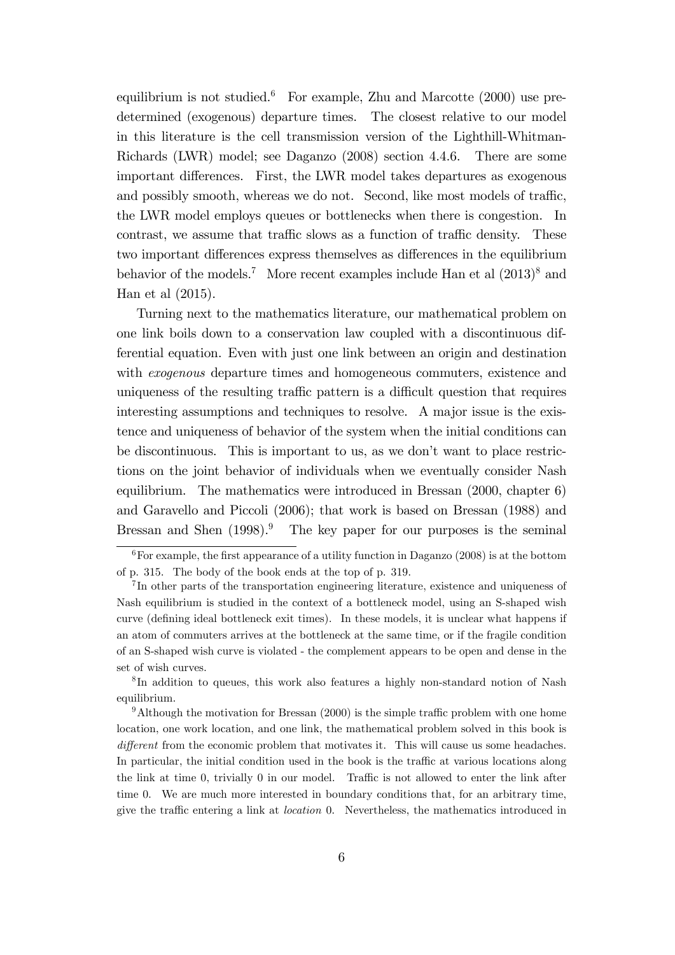equilibrium is not studied.<sup>6</sup> For example, Zhu and Marcotte  $(2000)$  use predetermined (exogenous) departure times. The closest relative to our model in this literature is the cell transmission version of the Lighthill-Whitman-Richards (LWR) model; see Daganzo (2008) section 4.4.6. There are some important differences. First, the LWR model takes departures as exogenous and possibly smooth, whereas we do not. Second, like most models of traffic, the LWR model employs queues or bottlenecks when there is congestion. In contrast, we assume that traffic slows as a function of traffic density. These two important differences express themselves as differences in the equilibrium behavior of the models.<sup>7</sup> More recent examples include Han et al  $(2013)^8$  and Han et al (2015).

Turning next to the mathematics literature, our mathematical problem on one link boils down to a conservation law coupled with a discontinuous differential equation. Even with just one link between an origin and destination with *exogenous* departure times and homogeneous commuters, existence and uniqueness of the resulting traffic pattern is a difficult question that requires interesting assumptions and techniques to resolve. A major issue is the existence and uniqueness of behavior of the system when the initial conditions can be discontinuous. This is important to us, as we donít want to place restrictions on the joint behavior of individuals when we eventually consider Nash equilibrium. The mathematics were introduced in Bressan (2000, chapter 6) and Garavello and Piccoli (2006); that work is based on Bressan (1988) and Bressan and Shen  $(1998)$ .<sup>9</sup> The key paper for our purposes is the seminal

 $6$ For example, the first appearance of a utility function in Daganzo (2008) is at the bottom of p. 315. The body of the book ends at the top of p. 319.

<sup>&</sup>lt;sup>7</sup>In other parts of the transportation engineering literature, existence and uniqueness of Nash equilibrium is studied in the context of a bottleneck model, using an S-shaped wish curve (defining ideal bottleneck exit times). In these models, it is unclear what happens if an atom of commuters arrives at the bottleneck at the same time, or if the fragile condition of an S-shaped wish curve is violated - the complement appears to be open and dense in the set of wish curves.

<sup>8</sup> In addition to queues, this work also features a highly non-standard notion of Nash equilibrium.

 $9$ Although the motivation for Bressan (2000) is the simple traffic problem with one home location, one work location, and one link, the mathematical problem solved in this book is different from the economic problem that motivates it. This will cause us some headaches. In particular, the initial condition used in the book is the traffic at various locations along the link at time  $0$ , trivially  $0$  in our model. Traffic is not allowed to enter the link after time 0. We are much more interested in boundary conditions that, for an arbitrary time, give the traffic entering a link at *location* 0. Nevertheless, the mathematics introduced in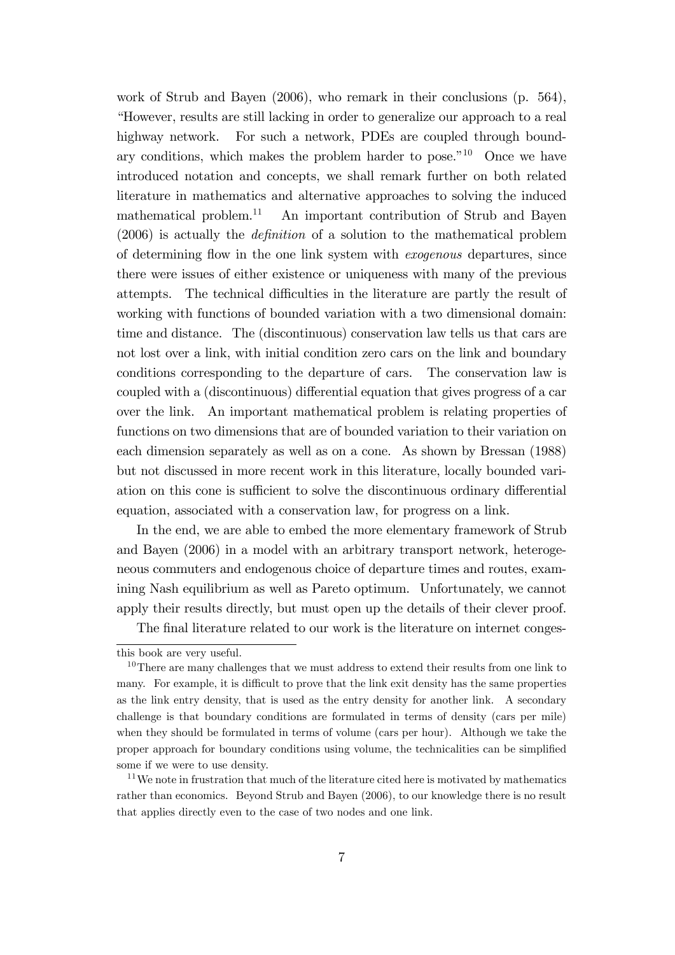work of Strub and Bayen (2006), who remark in their conclusions (p. 564), ìHowever, results are still lacking in order to generalize our approach to a real highway network. For such a network, PDEs are coupled through boundary conditions, which makes the problem harder to pose.<sup> $n_{10}$ </sup> Once we have introduced notation and concepts, we shall remark further on both related literature in mathematics and alternative approaches to solving the induced mathematical problem.<sup>11</sup> An important contribution of Strub and Bayen  $(2006)$  is actually the *definition* of a solution to the mathematical problem of determining áow in the one link system with exogenous departures, since there were issues of either existence or uniqueness with many of the previous attempts. The technical difficulties in the literature are partly the result of working with functions of bounded variation with a two dimensional domain: time and distance. The (discontinuous) conservation law tells us that cars are not lost over a link, with initial condition zero cars on the link and boundary conditions corresponding to the departure of cars. The conservation law is coupled with a (discontinuous) differential equation that gives progress of a car over the link. An important mathematical problem is relating properties of functions on two dimensions that are of bounded variation to their variation on each dimension separately as well as on a cone. As shown by Bressan (1988) but not discussed in more recent work in this literature, locally bounded variation on this cone is sufficient to solve the discontinuous ordinary differential equation, associated with a conservation law, for progress on a link.

In the end, we are able to embed the more elementary framework of Strub and Bayen (2006) in a model with an arbitrary transport network, heterogeneous commuters and endogenous choice of departure times and routes, examining Nash equilibrium as well as Pareto optimum. Unfortunately, we cannot apply their results directly, but must open up the details of their clever proof.

The final literature related to our work is the literature on internet conges-

this book are very useful.

<sup>&</sup>lt;sup>10</sup>There are many challenges that we must address to extend their results from one link to many. For example, it is difficult to prove that the link exit density has the same properties as the link entry density, that is used as the entry density for another link. A secondary challenge is that boundary conditions are formulated in terms of density (cars per mile) when they should be formulated in terms of volume (cars per hour). Although we take the proper approach for boundary conditions using volume, the technicalities can be simplified some if we were to use density.

<sup>&</sup>lt;sup>11</sup>We note in frustration that much of the literature cited here is motivated by mathematics rather than economics. Beyond Strub and Bayen (2006), to our knowledge there is no result that applies directly even to the case of two nodes and one link.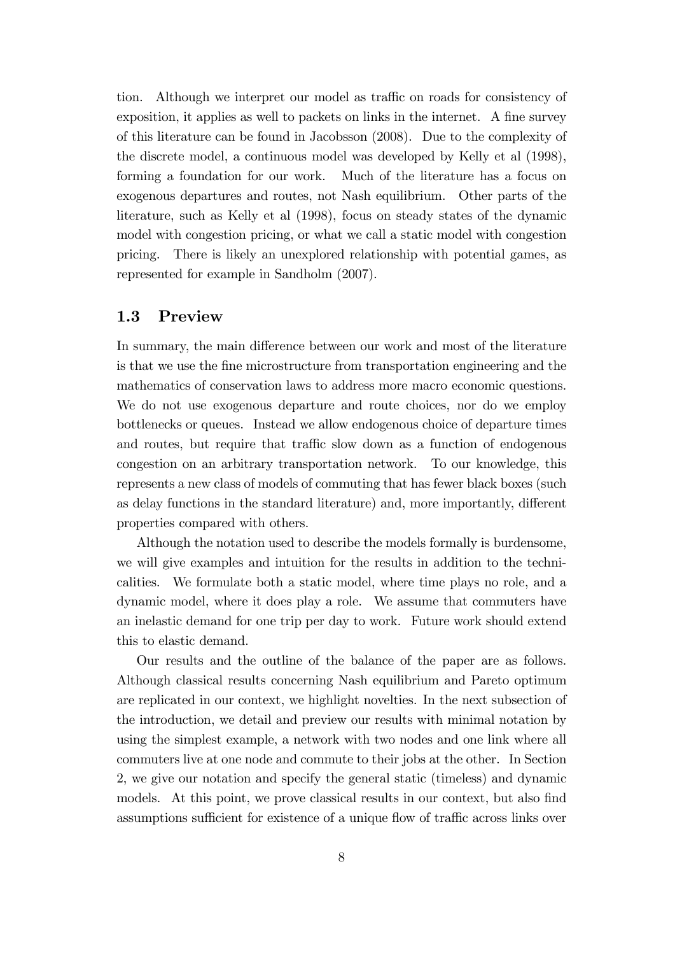tion. Although we interpret our model as traffic on roads for consistency of exposition, it applies as well to packets on links in the internet. A fine survey of this literature can be found in Jacobsson (2008). Due to the complexity of the discrete model, a continuous model was developed by Kelly et al (1998), forming a foundation for our work. Much of the literature has a focus on exogenous departures and routes, not Nash equilibrium. Other parts of the literature, such as Kelly et al (1998), focus on steady states of the dynamic model with congestion pricing, or what we call a static model with congestion pricing. There is likely an unexplored relationship with potential games, as represented for example in Sandholm (2007).

### 1.3 Preview

In summary, the main difference between our work and most of the literature is that we use the fine microstructure from transportation engineering and the mathematics of conservation laws to address more macro economic questions. We do not use exogenous departure and route choices, nor do we employ bottlenecks or queues. Instead we allow endogenous choice of departure times and routes, but require that traffic slow down as a function of endogenous congestion on an arbitrary transportation network. To our knowledge, this represents a new class of models of commuting that has fewer black boxes (such as delay functions in the standard literature) and, more importantly, different properties compared with others.

Although the notation used to describe the models formally is burdensome, we will give examples and intuition for the results in addition to the technicalities. We formulate both a static model, where time plays no role, and a dynamic model, where it does play a role. We assume that commuters have an inelastic demand for one trip per day to work. Future work should extend this to elastic demand.

Our results and the outline of the balance of the paper are as follows. Although classical results concerning Nash equilibrium and Pareto optimum are replicated in our context, we highlight novelties. In the next subsection of the introduction, we detail and preview our results with minimal notation by using the simplest example, a network with two nodes and one link where all commuters live at one node and commute to their jobs at the other. In Section 2, we give our notation and specify the general static (timeless) and dynamic models. At this point, we prove classical results in our context, but also find assumptions sufficient for existence of a unique flow of traffic across links over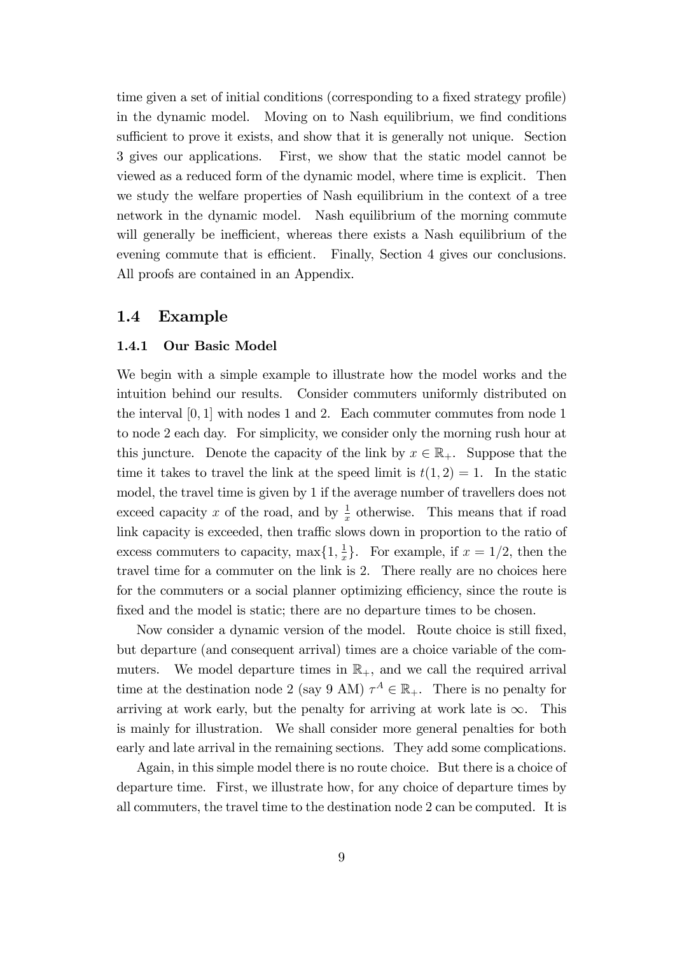time given a set of initial conditions (corresponding to a fixed strategy profile) in the dynamic model. Moving on to Nash equilibrium, we find conditions sufficient to prove it exists, and show that it is generally not unique. Section 3 gives our applications. First, we show that the static model cannot be viewed as a reduced form of the dynamic model, where time is explicit. Then we study the welfare properties of Nash equilibrium in the context of a tree network in the dynamic model. Nash equilibrium of the morning commute will generally be inefficient, whereas there exists a Nash equilibrium of the evening commute that is efficient. Finally, Section 4 gives our conclusions. All proofs are contained in an Appendix.

#### 1.4 Example

#### 1.4.1 Our Basic Model

We begin with a simple example to illustrate how the model works and the intuition behind our results. Consider commuters uniformly distributed on the interval [0; 1] with nodes 1 and 2. Each commuter commutes from node 1 to node 2 each day. For simplicity, we consider only the morning rush hour at this juncture. Denote the capacity of the link by  $x \in \mathbb{R}_+$ . Suppose that the time it takes to travel the link at the speed limit is  $t(1, 2) = 1$ . In the static model, the travel time is given by 1 if the average number of travellers does not exceed capacity x of the road, and by  $\frac{1}{x}$  otherwise. This means that if road link capacity is exceeded, then traffic slows down in proportion to the ratio of excess commuters to capacity,  $\max\{1, \frac{1}{x}\}$  $\frac{1}{x}$ . For example, if  $x = 1/2$ , then the travel time for a commuter on the link is 2. There really are no choices here for the commuters or a social planner optimizing efficiency, since the route is fixed and the model is static; there are no departure times to be chosen.

Now consider a dynamic version of the model. Route choice is still fixed, but departure (and consequent arrival) times are a choice variable of the commuters. We model departure times in  $\mathbb{R}_+$ , and we call the required arrival time at the destination node 2 (say 9 AM)  $\tau^A \in \mathbb{R}_+$ . There is no penalty for arriving at work early, but the penalty for arriving at work late is  $\infty$ . This is mainly for illustration. We shall consider more general penalties for both early and late arrival in the remaining sections. They add some complications.

Again, in this simple model there is no route choice. But there is a choice of departure time. First, we illustrate how, for any choice of departure times by all commuters, the travel time to the destination node 2 can be computed. It is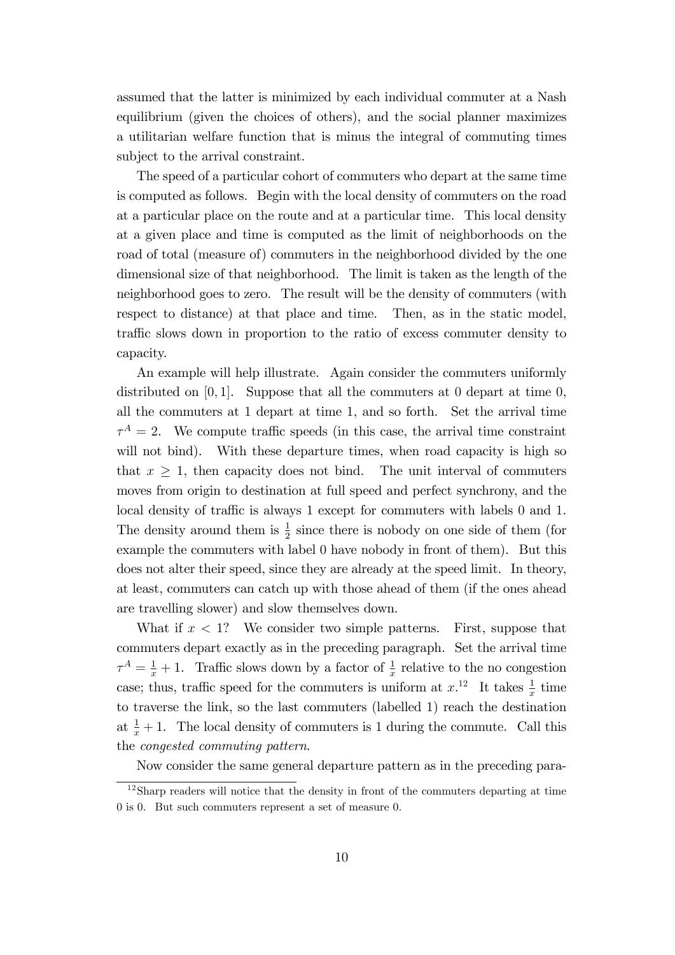assumed that the latter is minimized by each individual commuter at a Nash equilibrium (given the choices of others), and the social planner maximizes a utilitarian welfare function that is minus the integral of commuting times subject to the arrival constraint.

The speed of a particular cohort of commuters who depart at the same time is computed as follows. Begin with the local density of commuters on the road at a particular place on the route and at a particular time. This local density at a given place and time is computed as the limit of neighborhoods on the road of total (measure of) commuters in the neighborhood divided by the one dimensional size of that neighborhood. The limit is taken as the length of the neighborhood goes to zero. The result will be the density of commuters (with respect to distance) at that place and time. Then, as in the static model, traffic slows down in proportion to the ratio of excess commuter density to capacity.

An example will help illustrate. Again consider the commuters uniformly distributed on  $[0, 1]$ . Suppose that all the commuters at 0 depart at time 0, all the commuters at 1 depart at time 1, and so forth. Set the arrival time  $\tau^A = 2$ . We compute traffic speeds (in this case, the arrival time constraint will not bind). With these departure times, when road capacity is high so that  $x \geq 1$ , then capacity does not bind. The unit interval of commuters moves from origin to destination at full speed and perfect synchrony, and the local density of traffic is always 1 except for commuters with labels 0 and 1. The density around them is  $\frac{1}{2}$  since there is nobody on one side of them (for example the commuters with label 0 have nobody in front of them). But this does not alter their speed, since they are already at the speed limit. In theory, at least, commuters can catch up with those ahead of them (if the ones ahead are travelling slower) and slow themselves down.

What if  $x < 1$ ? We consider two simple patterns. First, suppose that commuters depart exactly as in the preceding paragraph. Set the arrival time  $\tau^A = \frac{1}{x} + 1$ . Traffic slows down by a factor of  $\frac{1}{x}$  relative to the no congestion case; thus, traffic speed for the commuters is uniform at  $x^{12}$ . It takes  $\frac{1}{x}$  time to traverse the link, so the last commuters (labelled 1) reach the destination at  $\frac{1}{x} + 1$ . The local density of commuters is 1 during the commute. Call this the congested commuting pattern.

Now consider the same general departure pattern as in the preceding para-

 $12$ Sharp readers will notice that the density in front of the commuters departing at time 0 is 0. But such commuters represent a set of measure 0.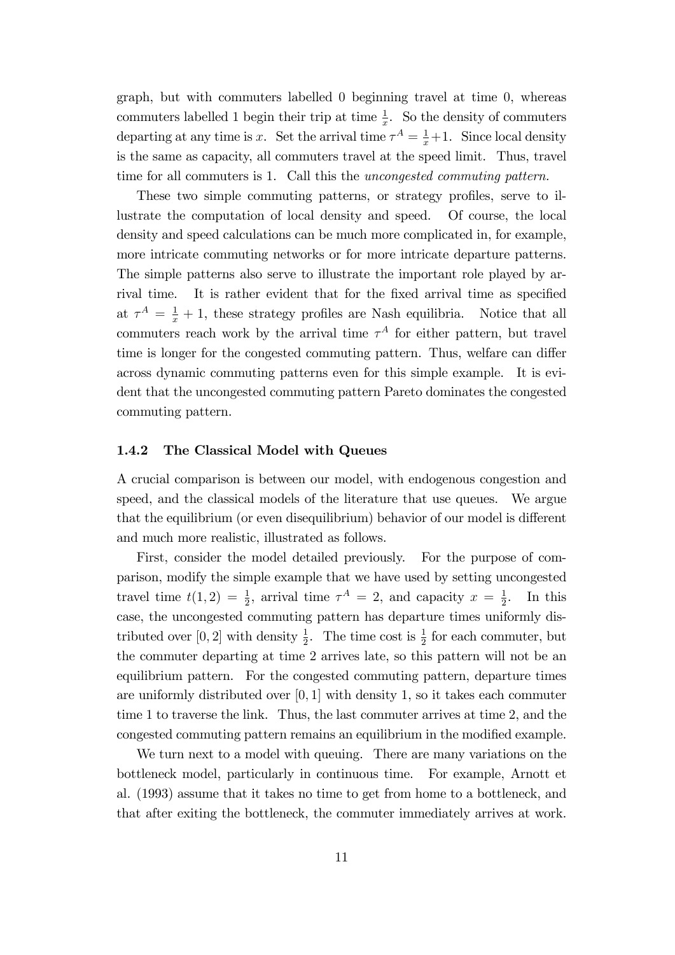graph, but with commuters labelled 0 beginning travel at time 0, whereas commuters labelled 1 begin their trip at time  $\frac{1}{x}$ . So the density of commuters departing at any time is x. Set the arrival time  $\tau^A = \frac{1}{x} + 1$ . Since local density is the same as capacity, all commuters travel at the speed limit. Thus, travel time for all commuters is 1. Call this the uncongested commuting pattern.

These two simple commuting patterns, or strategy profiles, serve to illustrate the computation of local density and speed. Of course, the local density and speed calculations can be much more complicated in, for example, more intricate commuting networks or for more intricate departure patterns. The simple patterns also serve to illustrate the important role played by arrival time. It is rather evident that for the fixed arrival time as specified at  $\tau^A = \frac{1}{x} + 1$ , these strategy profiles are Nash equilibria. Notice that all commuters reach work by the arrival time  $\tau^A$  for either pattern, but travel time is longer for the congested commuting pattern. Thus, welfare can differ across dynamic commuting patterns even for this simple example. It is evident that the uncongested commuting pattern Pareto dominates the congested commuting pattern.

#### 1.4.2 The Classical Model with Queues

A crucial comparison is between our model, with endogenous congestion and speed, and the classical models of the literature that use queues. We argue that the equilibrium (or even disequilibrium) behavior of our model is different and much more realistic, illustrated as follows.

First, consider the model detailed previously. For the purpose of comparison, modify the simple example that we have used by setting uncongested travel time  $t(1,2) = \frac{1}{2}$ , arrival time  $\tau^A = 2$ , and capacity  $x = \frac{1}{2}$  $\frac{1}{2}$ . In this case, the uncongested commuting pattern has departure times uniformly distributed over [0, 2] with density  $\frac{1}{2}$ . The time cost is  $\frac{1}{2}$  for each commuter, but the commuter departing at time 2 arrives late, so this pattern will not be an equilibrium pattern. For the congested commuting pattern, departure times are uniformly distributed over  $[0, 1]$  with density 1, so it takes each commuter time 1 to traverse the link. Thus, the last commuter arrives at time 2, and the congested commuting pattern remains an equilibrium in the modified example.

We turn next to a model with queuing. There are many variations on the bottleneck model, particularly in continuous time. For example, Arnott et al. (1993) assume that it takes no time to get from home to a bottleneck, and that after exiting the bottleneck, the commuter immediately arrives at work.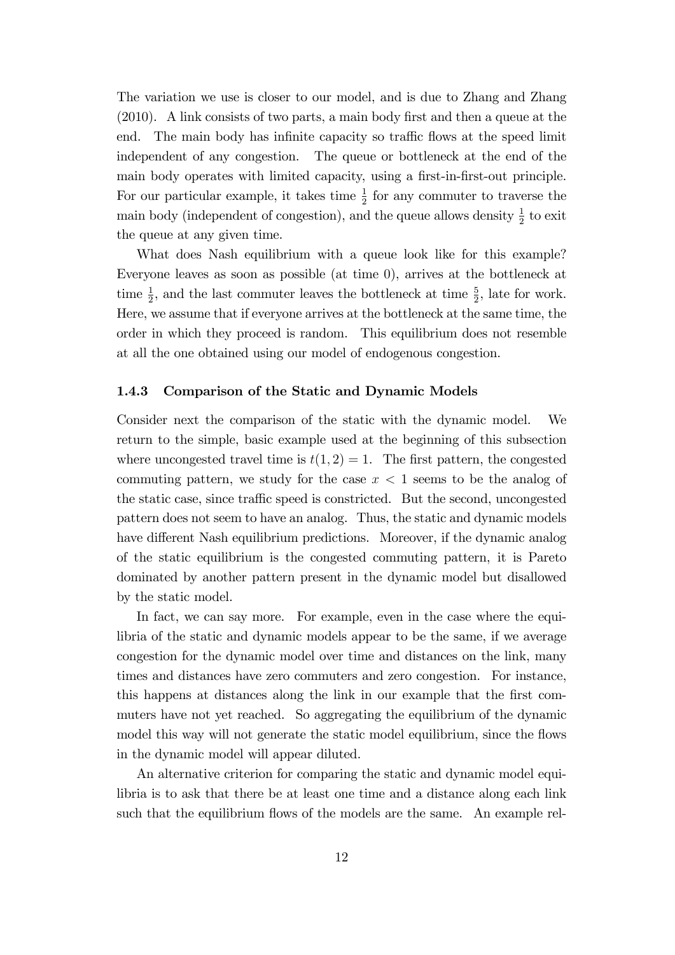The variation we use is closer to our model, and is due to Zhang and Zhang  $(2010)$ . A link consists of two parts, a main body first and then a queue at the end. The main body has infinite capacity so traffic flows at the speed limit independent of any congestion. The queue or bottleneck at the end of the main body operates with limited capacity, using a first-in-first-out principle. For our particular example, it takes time  $\frac{1}{2}$  for any commuter to traverse the main body (independent of congestion), and the queue allows density  $\frac{1}{2}$  to exit the queue at any given time.

What does Nash equilibrium with a queue look like for this example? Everyone leaves as soon as possible (at time 0), arrives at the bottleneck at time  $\frac{1}{2}$ , and the last commuter leaves the bottleneck at time  $\frac{5}{2}$ , late for work. Here, we assume that if everyone arrives at the bottleneck at the same time, the order in which they proceed is random. This equilibrium does not resemble at all the one obtained using our model of endogenous congestion.

#### 1.4.3 Comparison of the Static and Dynamic Models

Consider next the comparison of the static with the dynamic model. We return to the simple, basic example used at the beginning of this subsection where uncongested travel time is  $t(1, 2) = 1$ . The first pattern, the congested commuting pattern, we study for the case  $x < 1$  seems to be the analog of the static case, since traffic speed is constricted. But the second, uncongested pattern does not seem to have an analog. Thus, the static and dynamic models have different Nash equilibrium predictions. Moreover, if the dynamic analog of the static equilibrium is the congested commuting pattern, it is Pareto dominated by another pattern present in the dynamic model but disallowed by the static model.

In fact, we can say more. For example, even in the case where the equilibria of the static and dynamic models appear to be the same, if we average congestion for the dynamic model over time and distances on the link, many times and distances have zero commuters and zero congestion. For instance, this happens at distances along the link in our example that the first commuters have not yet reached. So aggregating the equilibrium of the dynamic model this way will not generate the static model equilibrium, since the flows in the dynamic model will appear diluted.

An alternative criterion for comparing the static and dynamic model equilibria is to ask that there be at least one time and a distance along each link such that the equilibrium flows of the models are the same. An example rel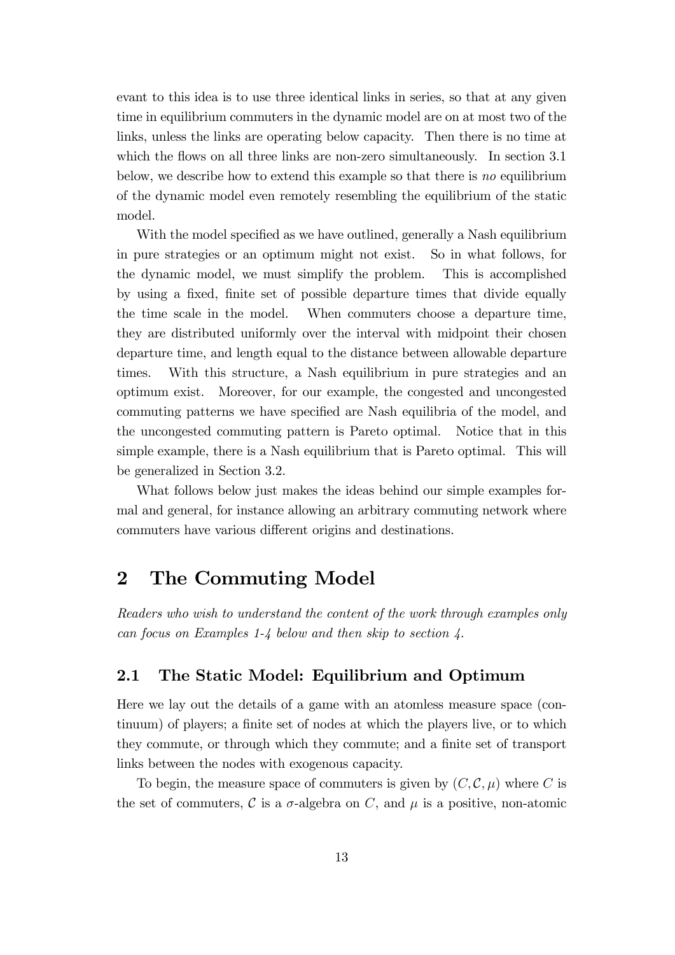evant to this idea is to use three identical links in series, so that at any given time in equilibrium commuters in the dynamic model are on at most two of the links, unless the links are operating below capacity. Then there is no time at which the flows on all three links are non-zero simultaneously. In section 3.1 below, we describe how to extend this example so that there is no equilibrium of the dynamic model even remotely resembling the equilibrium of the static model.

With the model specified as we have outlined, generally a Nash equilibrium in pure strategies or an optimum might not exist. So in what follows, for the dynamic model, we must simplify the problem. This is accomplished by using a fixed, finite set of possible departure times that divide equally the time scale in the model. When commuters choose a departure time, they are distributed uniformly over the interval with midpoint their chosen departure time, and length equal to the distance between allowable departure times. With this structure, a Nash equilibrium in pure strategies and an optimum exist. Moreover, for our example, the congested and uncongested commuting patterns we have specified are Nash equilibria of the model, and the uncongested commuting pattern is Pareto optimal. Notice that in this simple example, there is a Nash equilibrium that is Pareto optimal. This will be generalized in Section 3.2.

What follows below just makes the ideas behind our simple examples formal and general, for instance allowing an arbitrary commuting network where commuters have various different origins and destinations.

## 2 The Commuting Model

Readers who wish to understand the content of the work through examples only can focus on Examples 1-4 below and then skip to section 4.

### 2.1 The Static Model: Equilibrium and Optimum

Here we lay out the details of a game with an atomless measure space (continuum) of players; a finite set of nodes at which the players live, or to which they commute, or through which they commute; and a finite set of transport links between the nodes with exogenous capacity.

To begin, the measure space of commuters is given by  $(C, \mathcal{C}, \mu)$  where C is the set of commuters,  $\mathcal C$  is a  $\sigma$ -algebra on  $C$ , and  $\mu$  is a positive, non-atomic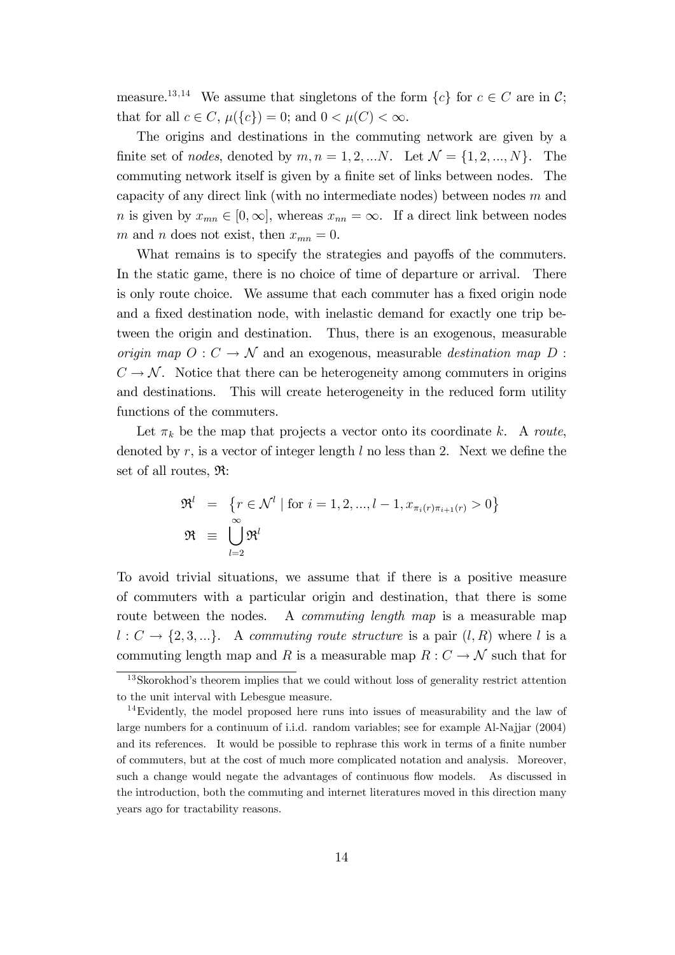measure.<sup>13,14</sup> We assume that singletons of the form  $\{c\}$  for  $c \in C$  are in C; that for all  $c \in C$ ,  $\mu({c}) = 0$ ; and  $0 < \mu(C) < \infty$ .

The origins and destinations in the commuting network are given by a finite set of nodes, denoted by  $m, n = 1, 2, \dots N$ . Let  $\mathcal{N} = \{1, 2, \dots, N\}$ . The commuting network itself is given by a finite set of links between nodes. The capacity of any direct link (with no intermediate nodes) between nodes  $m$  and *n* is given by  $x_{mn} \in [0,\infty]$ , whereas  $x_{nn} = \infty$ . If a direct link between nodes m and n does not exist, then  $x_{mn} = 0$ .

What remains is to specify the strategies and payoffs of the commuters. In the static game, there is no choice of time of departure or arrival. There is only route choice. We assume that each commuter has a fixed origin node and a fixed destination node, with inelastic demand for exactly one trip between the origin and destination. Thus, there is an exogenous, measurable origin map  $O: C \to \mathcal{N}$  and an exogenous, measurable destination map D :  $C \rightarrow \mathcal{N}$ . Notice that there can be heterogeneity among commuters in origins and destinations. This will create heterogeneity in the reduced form utility functions of the commuters.

Let  $\pi_k$  be the map that projects a vector onto its coordinate k. A route, denoted by  $r$ , is a vector of integer length  $l$  no less than 2. Next we define the set of all routes, R:

$$
\mathfrak{R}^l = \{r \in \mathcal{N}^l \mid \text{for } i = 1, 2, \dots, l - 1, x_{\pi_i(r)\pi_{i+1}(r)} > 0\}
$$
  

$$
\mathfrak{R} \equiv \bigcup_{l=2}^{\infty} \mathfrak{R}^l
$$

To avoid trivial situations, we assume that if there is a positive measure of commuters with a particular origin and destination, that there is some route between the nodes. A *commuting length map* is a measurable map  $l: C \rightarrow \{2, 3, ...\}$ . A commuting route structure is a pair  $(l, R)$  where l is a commuting length map and R is a measurable map  $R: C \to \mathcal{N}$  such that for

 $13$ Skorokhod's theorem implies that we could without loss of generality restrict attention to the unit interval with Lebesgue measure.

<sup>&</sup>lt;sup>14</sup>Evidently, the model proposed here runs into issues of measurability and the law of large numbers for a continuum of i.i.d. random variables; see for example Al-Najjar (2004) and its references. It would be possible to rephrase this work in terms of a finite number of commuters, but at the cost of much more complicated notation and analysis. Moreover, such a change would negate the advantages of continuous flow models. As discussed in the introduction, both the commuting and internet literatures moved in this direction many years ago for tractability reasons.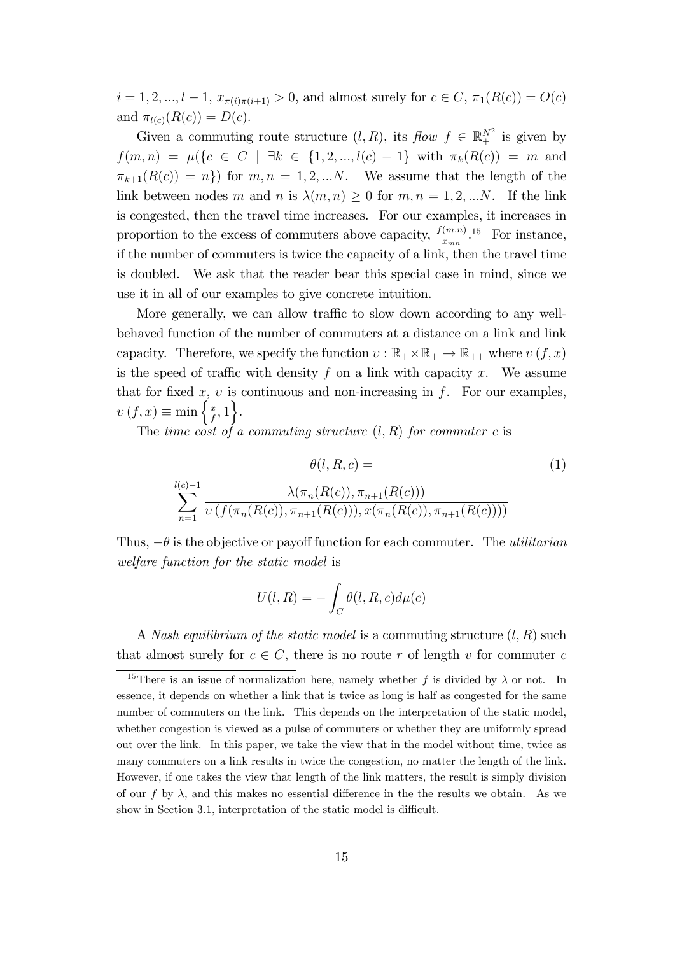$i = 1, 2, ..., l - 1, x_{\pi(i)\pi(i+1)} > 0$ , and almost surely for  $c \in C$ ,  $\pi_1(R(c)) = O(c)$ and  $\pi_{l(c)}(R(c)) = D(c)$ .

Given a commuting route structure  $(l, R)$ , its  $flow f \in \mathbb{R}^{N^2}$  is given by  $f(m, n) = \mu({c \in C \mid \exists k \in \{1, 2, ..., l(c) - 1\} \text{ with } \pi_k(R(c)) = m \text{ and}}$  $\pi_{k+1}(R(c)) = n$ ) for  $m, n = 1, 2, ...N$ . We assume that the length of the link between nodes m and n is  $\lambda(m, n) \geq 0$  for  $m, n = 1, 2, \dots N$ . If the link is congested, then the travel time increases. For our examples, it increases in proportion to the excess of commuters above capacity,  $\frac{f(m,n)}{x_{mn}}$ <sup>15</sup> For instance, if the number of commuters is twice the capacity of a link, then the travel time is doubled. We ask that the reader bear this special case in mind, since we use it in all of our examples to give concrete intuition.

More generally, we can allow traffic to slow down according to any wellbehaved function of the number of commuters at a distance on a link and link capacity. Therefore, we specify the function  $v : \mathbb{R}_+ \times \mathbb{R}_+ \to \mathbb{R}_{++}$  where  $v(f, x)$ is the speed of traffic with density  $f$  on a link with capacity  $x$ . We assume that for fixed  $x, v$  is continuous and non-increasing in f. For our examples,  $v(f, x) \equiv \min \left\{ \frac{x}{f} \right\}$  $\frac{x}{f}, 1$ .

The time cost of a commuting structure  $(l, R)$  for commuter c is

$$
\theta(l, R, c) = \tag{1}
$$
\n
$$
\sum_{n=1}^{l(c)-1} \frac{\lambda(\pi_n(R(c)), \pi_{n+1}(R(c)))}{\nu(f(\pi_n(R(c)), \pi_{n+1}(R(c))), x(\pi_n(R(c)), \pi_{n+1}(R(c))))}
$$

Thus,  $-\theta$  is the objective or payoff function for each commuter. The *utilitarian* welfare function for the static model is

$$
U(l, R) = -\int_C \theta(l, R, c) d\mu(c)
$$

A Nash equilibrium of the static model is a commuting structure  $(l, R)$  such that almost surely for  $c \in C$ , there is no route r of length v for commuter c

<sup>&</sup>lt;sup>15</sup>There is an issue of normalization here, namely whether f is divided by  $\lambda$  or not. In essence, it depends on whether a link that is twice as long is half as congested for the same number of commuters on the link. This depends on the interpretation of the static model, whether congestion is viewed as a pulse of commuters or whether they are uniformly spread out over the link. In this paper, we take the view that in the model without time, twice as many commuters on a link results in twice the congestion, no matter the length of the link. However, if one takes the view that length of the link matters, the result is simply division of our f by  $\lambda$ , and this makes no essential difference in the the results we obtain. As we show in Section 3.1, interpretation of the static model is difficult.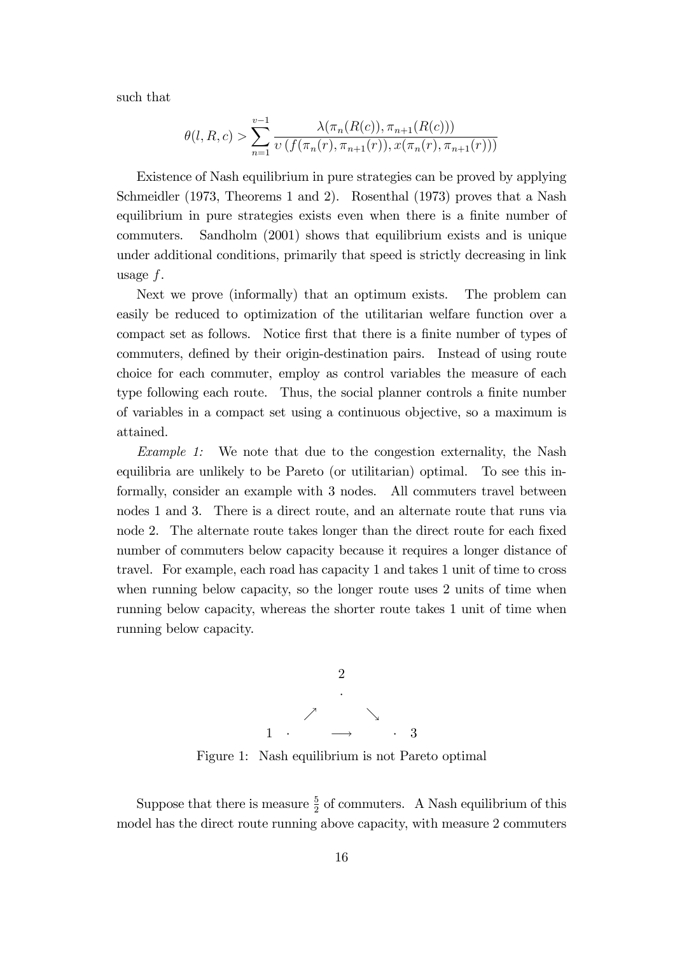such that

$$
\theta(l, R, c) > \sum_{n=1}^{v-1} \frac{\lambda(\pi_n(R(c)), \pi_{n+1}(R(c)))}{\nu(f(\pi_n(r), \pi_{n+1}(r)), x(\pi_n(r), \pi_{n+1}(r)))}
$$

Existence of Nash equilibrium in pure strategies can be proved by applying Schmeidler (1973, Theorems 1 and 2). Rosenthal (1973) proves that a Nash equilibrium in pure strategies exists even when there is a finite number of commuters. Sandholm (2001) shows that equilibrium exists and is unique under additional conditions, primarily that speed is strictly decreasing in link usage f.

Next we prove (informally) that an optimum exists. The problem can easily be reduced to optimization of the utilitarian welfare function over a compact set as follows. Notice first that there is a finite number of types of commuters, defined by their origin-destination pairs. Instead of using route choice for each commuter, employ as control variables the measure of each type following each route. Thus, the social planner controls a finite number of variables in a compact set using a continuous objective, so a maximum is attained.

Example 1: We note that due to the congestion externality, the Nash equilibria are unlikely to be Pareto (or utilitarian) optimal. To see this informally, consider an example with 3 nodes. All commuters travel between nodes 1 and 3. There is a direct route, and an alternate route that runs via node 2. The alternate route takes longer than the direct route for each fixed number of commuters below capacity because it requires a longer distance of travel. For example, each road has capacity 1 and takes 1 unit of time to cross when running below capacity, so the longer route uses 2 units of time when running below capacity, whereas the shorter route takes 1 unit of time when running below capacity.



Figure 1: Nash equilibrium is not Pareto optimal

Suppose that there is measure  $\frac{5}{2}$  of commuters. A Nash equilibrium of this model has the direct route running above capacity, with measure 2 commuters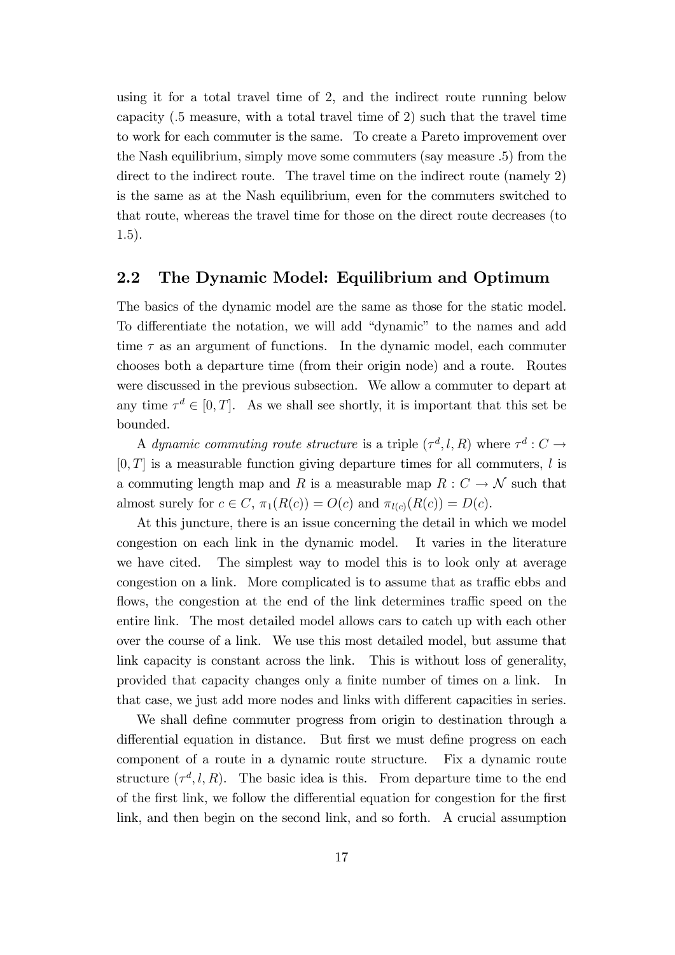using it for a total travel time of 2, and the indirect route running below capacity (:5 measure, with a total travel time of 2) such that the travel time to work for each commuter is the same. To create a Pareto improvement over the Nash equilibrium, simply move some commuters (say measure :5) from the direct to the indirect route. The travel time on the indirect route (namely 2) is the same as at the Nash equilibrium, even for the commuters switched to that route, whereas the travel time for those on the direct route decreases (to 1:5).

#### 2.2 The Dynamic Model: Equilibrium and Optimum

The basics of the dynamic model are the same as those for the static model. To differentiate the notation, we will add "dynamic" to the names and add time  $\tau$  as an argument of functions. In the dynamic model, each commuter chooses both a departure time (from their origin node) and a route. Routes were discussed in the previous subsection. We allow a commuter to depart at any time  $\tau^d \in [0, T]$ . As we shall see shortly, it is important that this set be bounded.

A dynamic commuting route structure is a triple  $(\tau^d, l, R)$  where  $\tau^d : C \to$  $[0, T]$  is a measurable function giving departure times for all commuters, l is a commuting length map and R is a measurable map  $R: C \to \mathcal{N}$  such that almost surely for  $c \in C$ ,  $\pi_1(R(c)) = O(c)$  and  $\pi_{l(c)}(R(c)) = D(c)$ .

At this juncture, there is an issue concerning the detail in which we model congestion on each link in the dynamic model. It varies in the literature we have cited. The simplest way to model this is to look only at average congestion on a link. More complicated is to assume that as traffic ebbs and flows, the congestion at the end of the link determines traffic speed on the entire link. The most detailed model allows cars to catch up with each other over the course of a link. We use this most detailed model, but assume that link capacity is constant across the link. This is without loss of generality, provided that capacity changes only a finite number of times on a link. In that case, we just add more nodes and links with different capacities in series.

We shall define commuter progress from origin to destination through a differential equation in distance. But first we must define progress on each component of a route in a dynamic route structure. Fix a dynamic route structure  $(\tau^d, l, R)$ . The basic idea is this. From departure time to the end of the first link, we follow the differential equation for congestion for the first link, and then begin on the second link, and so forth. A crucial assumption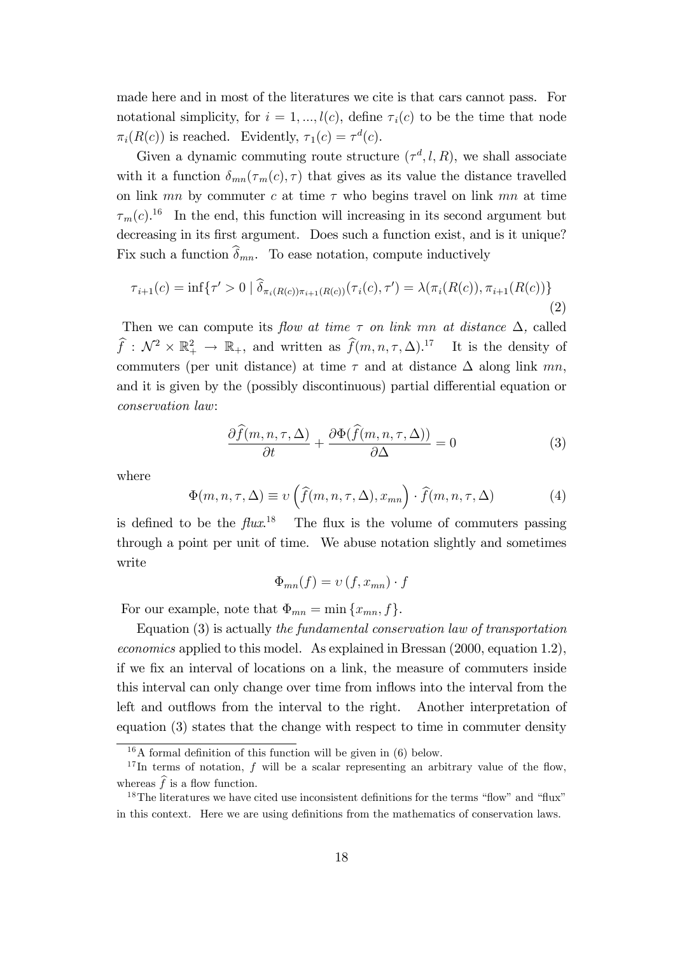made here and in most of the literatures we cite is that cars cannot pass. For notational simplicity, for  $i = 1, ..., l(c)$ , define  $\tau_i(c)$  to be the time that node  $\pi_i(R(c))$  is reached. Evidently,  $\tau_1(c) = \tau^d(c)$ .

Given a dynamic commuting route structure  $(\tau^d, l, R)$ , we shall associate with it a function  $\delta_{mn}(\tau_m(c), \tau)$  that gives as its value the distance travelled on link mn by commuter c at time  $\tau$  who begins travel on link mn at time  $\tau_m(c)$ <sup>16</sup> In the end, this function will increasing in its second argument but decreasing in its first argument. Does such a function exist, and is it unique? Fix such a function  $\widehat{\delta}_{mn}$ . To ease notation, compute inductively

$$
\tau_{i+1}(c) = \inf \{ \tau' > 0 \mid \widehat{\delta}_{\pi_i(R(c))\pi_{i+1}(R(c))}(\tau_i(c), \tau') = \lambda(\pi_i(R(c)), \pi_{i+1}(R(c)) \} \tag{2}
$$

Then we can compute its flow at time  $\tau$  on link mn at distance  $\Delta$ , called  $\widehat{f}: \mathcal{N}^2 \times \mathbb{R}_+^2 \to \mathbb{R}_+$ , and written as  $\widehat{f}(m, n, \tau, \Delta)$ .<sup>17</sup> It is the density of commuters (per unit distance) at time  $\tau$  and at distance  $\Delta$  along link mn, and it is given by the (possibly discontinuous) partial differential equation or conservation law:

$$
\frac{\partial \widehat{f}(m,n,\tau,\Delta)}{\partial t} + \frac{\partial \Phi(\widehat{f}(m,n,\tau,\Delta))}{\partial \Delta} = 0 \tag{3}
$$

where

$$
\Phi(m, n, \tau, \Delta) \equiv \upsilon \left( \widehat{f}(m, n, \tau, \Delta), x_{mn} \right) \cdot \widehat{f}(m, n, \tau, \Delta) \tag{4}
$$

is defined to be the  $flux^{18}$  The flux is the volume of commuters passing through a point per unit of time. We abuse notation slightly and sometimes write

$$
\Phi_{mn}(f) = \upsilon(f, x_{mn}) \cdot f
$$

For our example, note that  $\Phi_{mn} = \min \{x_{mn}, f\}.$ 

Equation (3) is actually the fundamental conservation law of transportation economics applied to this model. As explained in Bressan (2000, equation 1.2), if we fix an interval of locations on a link, the measure of commuters inside this interval can only change over time from inflows into the interval from the left and outflows from the interval to the right. Another interpretation of equation (3) states that the change with respect to time in commuter density

 $16A$  formal definition of this function will be given in (6) below.

<sup>&</sup>lt;sup>17</sup>In terms of notation, f will be a scalar representing an arbitrary value of the flow, whereas  $\widehat{f}$  is a flow function.

 $18$ The literatures we have cited use inconsistent definitions for the terms "flow" and "flux" in this context. Here we are using definitions from the mathematics of conservation laws.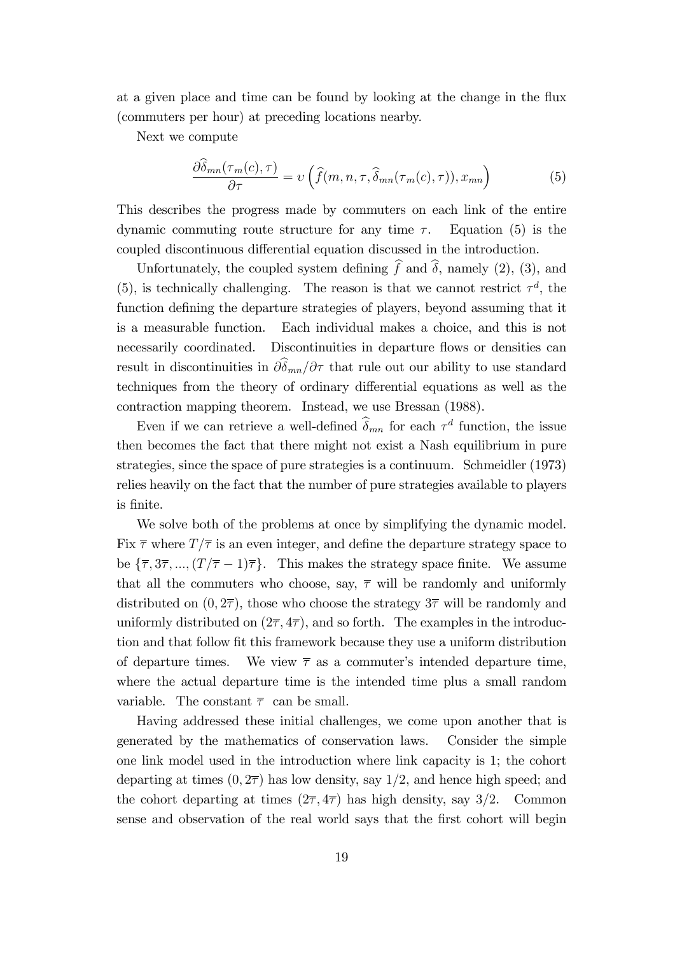at a given place and time can be found by looking at the change in the flux (commuters per hour) at preceding locations nearby.

Next we compute

$$
\frac{\partial \hat{\delta}_{mn}(\tau_m(c), \tau)}{\partial \tau} = \nu \left( \widehat{f}(m, n, \tau, \widehat{\delta}_{mn}(\tau_m(c), \tau)), x_{mn} \right) \tag{5}
$$

This describes the progress made by commuters on each link of the entire dynamic commuting route structure for any time  $\tau$ . Equation (5) is the coupled discontinuous differential equation discussed in the introduction.

Unfortunately, the coupled system defining  $\hat{f}$  and  $\hat{\delta}$ , namely (2), (3), and (5), is technically challenging. The reason is that we cannot restrict  $\tau^d$ , the function defining the departure strategies of players, beyond assuming that it is a measurable function. Each individual makes a choice, and this is not necessarily coordinated. Discontinuities in departure flows or densities can result in discontinuities in  $\partial \hat{\delta}_{mn}/\partial \tau$  that rule out our ability to use standard techniques from the theory of ordinary differential equations as well as the contraction mapping theorem. Instead, we use Bressan (1988).

Even if we can retrieve a well-defined  $\delta_{mn}$  for each  $\tau^d$  function, the issue then becomes the fact that there might not exist a Nash equilibrium in pure strategies, since the space of pure strategies is a continuum. Schmeidler (1973) relies heavily on the fact that the number of pure strategies available to players is Önite.

We solve both of the problems at once by simplifying the dynamic model. Fix  $\bar{\tau}$  where  $T/\bar{\tau}$  is an even integer, and define the departure strategy space to be  $\{\overline{\tau}, 3\overline{\tau}, ..., (T/\overline{\tau} - 1)\overline{\tau}\}.$  This makes the strategy space finite. We assume that all the commuters who choose, say,  $\bar{\tau}$  will be randomly and uniformly distributed on  $(0, 2\overline{\tau})$ , those who choose the strategy  $3\overline{\tau}$  will be randomly and uniformly distributed on  $(2\overline{\tau}, 4\overline{\tau})$ , and so forth. The examples in the introduction and that follow fit this framework because they use a uniform distribution of departure times. We view  $\bar{\tau}$  as a commuter's intended departure time, where the actual departure time is the intended time plus a small random variable. The constant  $\bar{\tau}$  can be small.

Having addressed these initial challenges, we come upon another that is generated by the mathematics of conservation laws. Consider the simple one link model used in the introduction where link capacity is 1; the cohort departing at times  $(0, 2\overline{\tau})$  has low density, say  $1/2$ , and hence high speed; and the cohort departing at times  $(2\overline{\tau}, 4\overline{\tau})$  has high density, say 3/2. Common sense and observation of the real world says that the first cohort will begin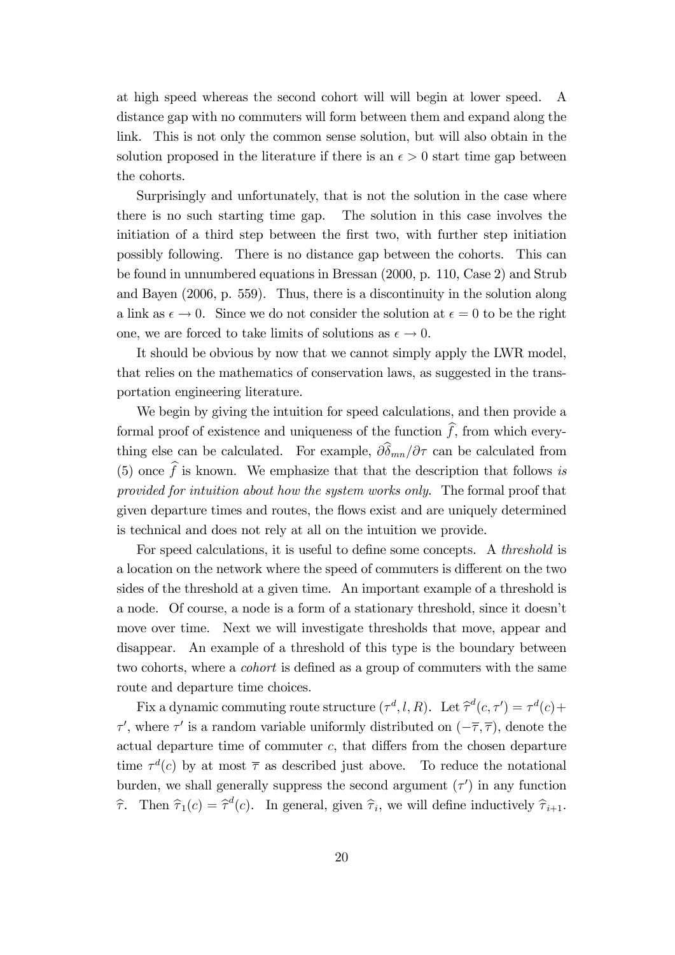at high speed whereas the second cohort will will begin at lower speed. A distance gap with no commuters will form between them and expand along the link. This is not only the common sense solution, but will also obtain in the solution proposed in the literature if there is an  $\epsilon > 0$  start time gap between the cohorts.

Surprisingly and unfortunately, that is not the solution in the case where there is no such starting time gap. The solution in this case involves the initiation of a third step between the first two, with further step initiation possibly following. There is no distance gap between the cohorts. This can be found in unnumbered equations in Bressan (2000, p. 110, Case 2) and Strub and Bayen (2006, p. 559). Thus, there is a discontinuity in the solution along a link as  $\epsilon \to 0$ . Since we do not consider the solution at  $\epsilon = 0$  to be the right one, we are forced to take limits of solutions as  $\epsilon \to 0$ .

It should be obvious by now that we cannot simply apply the LWR model, that relies on the mathematics of conservation laws, as suggested in the transportation engineering literature.

We begin by giving the intuition for speed calculations, and then provide a formal proof of existence and uniqueness of the function  $\widehat{f}$ , from which everything else can be calculated. For example,  $\partial \hat{\delta}_{mn}/\partial \tau$  can be calculated from (5) once  $\hat{f}$  is known. We emphasize that that the description that follows is provided for intuition about how the system works only. The formal proof that given departure times and routes, the áows exist and are uniquely determined is technical and does not rely at all on the intuition we provide.

For speed calculations, it is useful to define some concepts. A *threshold* is a location on the network where the speed of commuters is different on the two sides of the threshold at a given time. An important example of a threshold is a node. Of course, a node is a form of a stationary threshold, since it doesnít move over time. Next we will investigate thresholds that move, appear and disappear. An example of a threshold of this type is the boundary between two cohorts, where a *cohort* is defined as a group of commuters with the same route and departure time choices.

Fix a dynamic commuting route structure  $(\tau^d, l, R)$ . Let  $\hat{\tau}^d(c, \tau') = \tau^d(c) +$  $\tau'$ , where  $\tau'$  is a random variable uniformly distributed on  $(-\overline{\tau}, \overline{\tau})$ , denote the actual departure time of commuter  $c$ , that differs from the chosen departure time  $\tau^{d}(c)$  by at most  $\bar{\tau}$  as described just above. To reduce the notational burden, we shall generally suppress the second argument  $(\tau')$  in any function  $\hat{\tau}$ . Then  $\hat{\tau}_1(c) = \hat{\tau}^d(c)$ . In general, given  $\hat{\tau}_i$ , we will define inductively  $\hat{\tau}_{i+1}$ .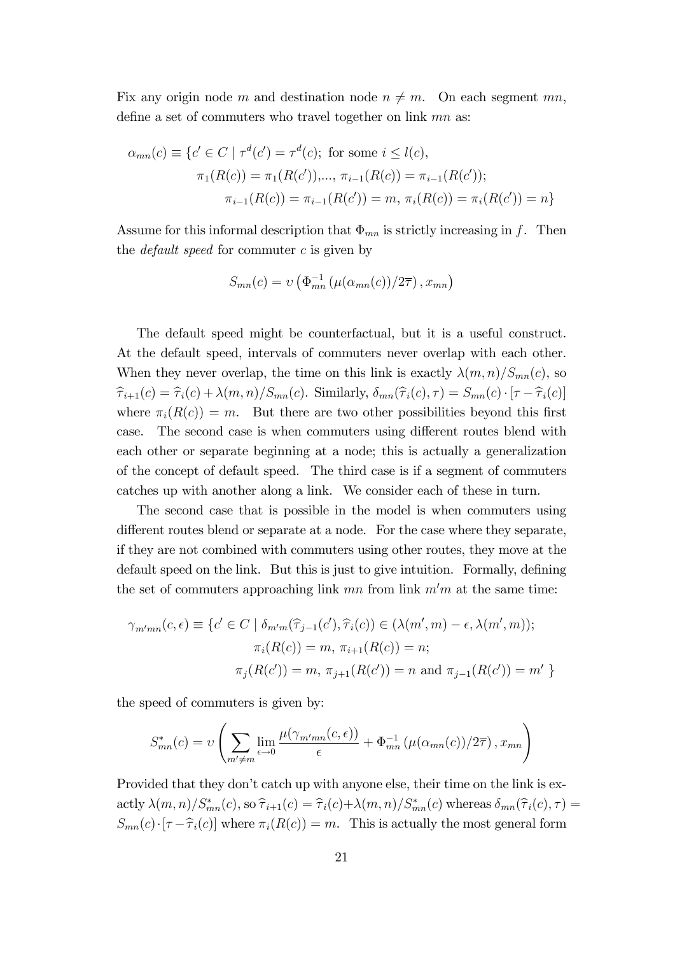Fix any origin node m and destination node  $n \neq m$ . On each segment mn, define a set of commuters who travel together on link  $mn$  as:

$$
\alpha_{mn}(c) \equiv \{c' \in C \mid \tau^d(c') = \tau^d(c); \text{ for some } i \le l(c),
$$

$$
\pi_1(R(c)) = \pi_1(R(c')), \dots, \pi_{i-1}(R(c)) = \pi_{i-1}(R(c'));
$$

$$
\pi_{i-1}(R(c)) = \pi_{i-1}(R(c')) = m, \pi_i(R(c)) = \pi_i(R(c')) = n\}
$$

Assume for this informal description that  $\Phi_{mn}$  is strictly increasing in f. Then the *default speed* for commuter  $c$  is given by

$$
S_{mn}(c) = \upsilon \left( \Phi_{mn}^{-1} \left( \mu(\alpha_{mn}(c)) / 2\overline{\tau} \right), x_{mn} \right)
$$

The default speed might be counterfactual, but it is a useful construct. At the default speed, intervals of commuters never overlap with each other. When they never overlap, the time on this link is exactly  $\lambda(m, n)/S_{mn}(c)$ , so  $\hat{\tau}_{i+1}(c) = \hat{\tau}_i(c) + \lambda(m,n)/S_{mn}(c)$ . Similarly,  $\delta_{mn}(\hat{\tau}_i(c), \tau) = S_{mn}(c) \cdot [\tau - \hat{\tau}_i(c)]$ where  $\pi_i(R(c)) = m$ . But there are two other possibilities beyond this first case. The second case is when commuters using different routes blend with each other or separate beginning at a node; this is actually a generalization of the concept of default speed. The third case is if a segment of commuters catches up with another along a link. We consider each of these in turn.

The second case that is possible in the model is when commuters using different routes blend or separate at a node. For the case where they separate, if they are not combined with commuters using other routes, they move at the default speed on the link. But this is just to give intuition. Formally, defining the set of commuters approaching link  $mn$  from link  $m'm$  at the same time:

$$
\gamma_{m'mn}(c, \epsilon) \equiv \{c' \in C \mid \delta_{m'm}(\hat{\tau}_{j-1}(c'), \hat{\tau}_i(c)) \in (\lambda(m', m) - \epsilon, \lambda(m', m));
$$

$$
\pi_i(R(c)) = m, \pi_{i+1}(R(c)) = n;
$$

$$
\pi_j(R(c')) = m, \pi_{j+1}(R(c')) = n \text{ and } \pi_{j-1}(R(c')) = m' \}
$$

the speed of commuters is given by:

$$
S_{mn}^*(c) = v \left( \sum_{m' \neq m} \lim_{\epsilon \to 0} \frac{\mu(\gamma_{m'mn}(c, \epsilon))}{\epsilon} + \Phi_{mn}^{-1} (\mu(\alpha_{mn}(c))/2\overline{\tau}), x_{mn} \right)
$$

Provided that they don't catch up with anyone else, their time on the link is exactly  $\lambda(m,n)/S^*_{mn}(c)$ , so  $\hat{\tau}_{i+1}(c) = \hat{\tau}_i(c)+\lambda(m,n)/S^*_{mn}(c)$  whereas  $\delta_{mn}(\hat{\tau}_i(c), \tau) =$  $S_{mn}(c)\cdot[\tau-\hat{\tau}_i(c)]$  where  $\pi_i(R(c)) = m$ . This is actually the most general form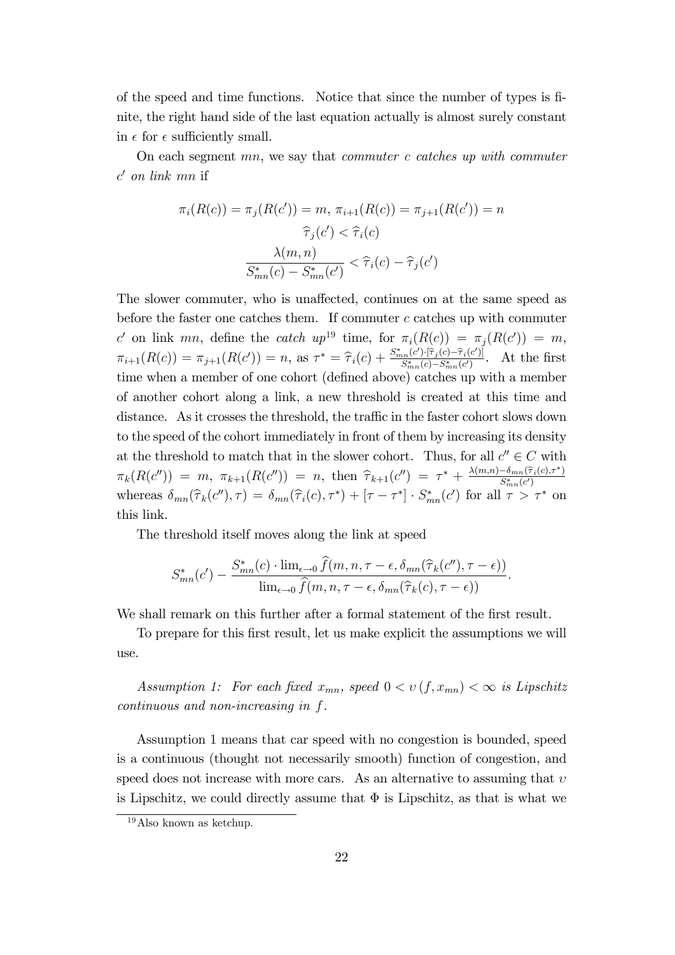of the speed and time functions. Notice that since the number of types is Önite, the right hand side of the last equation actually is almost surely constant in  $\epsilon$  for  $\epsilon$  sufficiently small.

On each segment  $mn$ , we say that *commuter c catches up with commuter*  $c'$  on link mn if

$$
\pi_i(R(c)) = \pi_j(R(c')) = m, \ \pi_{i+1}(R(c)) = \pi_{j+1}(R(c')) = n
$$

$$
\hat{\tau}_j(c') < \hat{\tau}_i(c)
$$

$$
\frac{\lambda(m, n)}{S_{mn}^*(c) - S_{mn}^*(c')} < \hat{\tau}_i(c) - \hat{\tau}_j(c')
$$

The slower commuter, who is unaffected, continues on at the same speed as before the faster one catches them. If commuter  $c$  catches up with commuter c' on link mn, define the catch  $up^{19}$  time, for  $\pi_i(R(c)) = \pi_j(R(c')) = m$ ,  $\pi_{i+1}(R(c)) = \pi_{j+1}(R(c')) = n, \text{ as } \tau^* = \hat{\tau}_i(c) + \frac{S_{mn}^*(c')\cdot[\hat{\tau}_j(c)-\hat{\tau}_i(c')]}{S_{mn}^*(c)-S_{mn}^*(c')}$  $\frac{S_{mn}(c')\{T_j(c)-T_i(c')\}}{S_{mn}^*(c)-S_{mn}^*(c')}$ . At the first time when a member of one cohort (defined above) catches up with a member of another cohort along a link, a new threshold is created at this time and distance. As it crosses the threshold, the traffic in the faster cohort slows down to the speed of the cohort immediately in front of them by increasing its density at the threshold to match that in the slower cohort. Thus, for all  $c'' \in C$  with  $\pi_k(R(c'')) = m, \ \pi_{k+1}(R(c'')) = n, \ \text{then} \ \widehat{\tau}_{k+1}(c'') = \tau^* + \frac{\lambda(m,n) - \delta_{mn}(\widehat{\tau}_i(c),\tau^*)}{S^*_{mn}(c')}$ whereas  $\delta_{mn}(\hat{\tau}_k(c''), \tau) = \delta_{mn}(\hat{\tau}_i(c), \tau^*) + [\tau - \tau^*] \cdot S^*_{mn}(c')$  for all  $\tau > \tau^*$  on this link.

The threshold itself moves along the link at speed

$$
S_{mn}^*(c') - \frac{S_{mn}^*(c) \cdot \lim_{\epsilon \to 0} \widehat{f}(m, n, \tau - \epsilon, \delta_{mn}(\widehat{\tau}_k(c''), \tau - \epsilon))}{\lim_{\epsilon \to 0} \widehat{f}(m, n, \tau - \epsilon, \delta_{mn}(\widehat{\tau}_k(c), \tau - \epsilon))}.
$$

We shall remark on this further after a formal statement of the first result.

To prepare for this first result, let us make explicit the assumptions we will use.

Assumption 1: For each fixed  $x_{mn}$ , speed  $0 < v(f, x_{mn}) < \infty$  is Lipschitz continuous and non-increasing in f.

Assumption 1 means that car speed with no congestion is bounded, speed is a continuous (thought not necessarily smooth) function of congestion, and speed does not increase with more cars. As an alternative to assuming that  $v$ is Lipschitz, we could directly assume that  $\Phi$  is Lipschitz, as that is what we

<sup>19</sup>Also known as ketchup.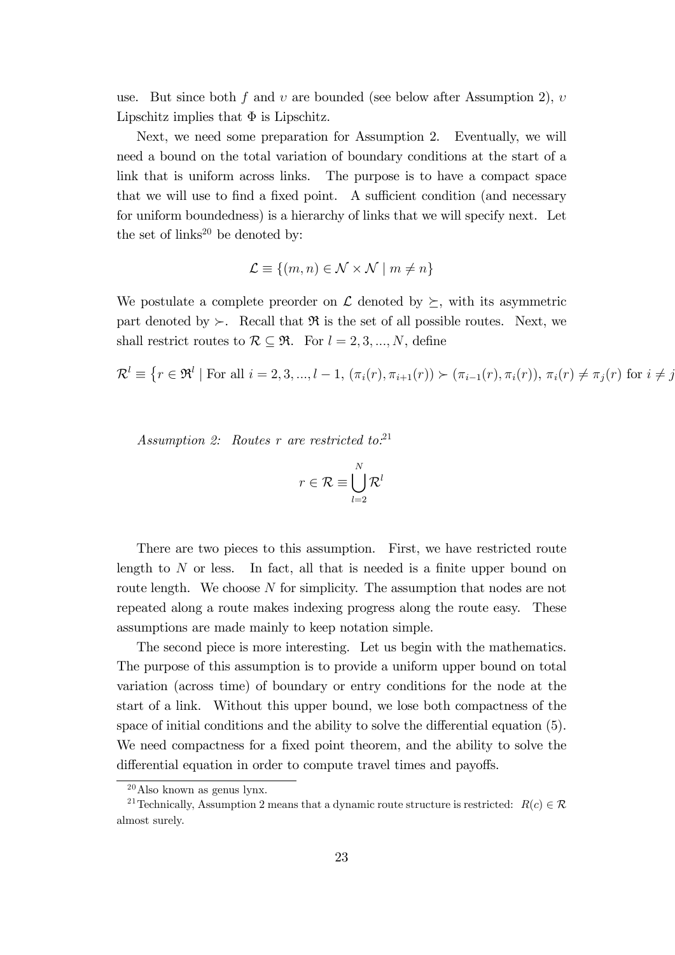use. But since both f and  $v$  are bounded (see below after Assumption 2),  $v$ Lipschitz implies that  $\Phi$  is Lipschitz.

Next, we need some preparation for Assumption 2. Eventually, we will need a bound on the total variation of boundary conditions at the start of a link that is uniform across links. The purpose is to have a compact space that we will use to find a fixed point. A sufficient condition (and necessary for uniform boundedness) is a hierarchy of links that we will specify next. Let the set of  $\text{links}^{20}$  be denoted by:

$$
\mathcal{L} \equiv \{(m,n) \in \mathcal{N} \times \mathcal{N} \mid m \neq n\}
$$

We postulate a complete preorder on  $\mathcal L$  denoted by  $\succeq$ , with its asymmetric part denoted by  $\succ$ . Recall that  $\Re$  is the set of all possible routes. Next, we shall restrict routes to  $\mathcal{R} \subseteq \mathfrak{R}$ . For  $l = 2, 3, ..., N$ , define

$$
\mathcal{R}^l \equiv \{r \in \mathfrak{R}^l \mid \text{For all } i = 2, 3, ..., l - 1, (\pi_i(r), \pi_{i+1}(r)) \succ (\pi_{i-1}(r), \pi_i(r)), \pi_i(r) \neq \pi_j(r) \text{ for } i \neq j \}
$$

Assumption 2: Routes r are restricted to.<sup>21</sup>

$$
r \in \mathcal{R} \equiv \bigcup_{l=2}^{N} \mathcal{R}^{l}
$$

There are two pieces to this assumption. First, we have restricted route length to  $N$  or less. In fact, all that is needed is a finite upper bound on route length. We choose N for simplicity. The assumption that nodes are not repeated along a route makes indexing progress along the route easy. These assumptions are made mainly to keep notation simple.

The second piece is more interesting. Let us begin with the mathematics. The purpose of this assumption is to provide a uniform upper bound on total variation (across time) of boundary or entry conditions for the node at the start of a link. Without this upper bound, we lose both compactness of the space of initial conditions and the ability to solve the differential equation  $(5)$ . We need compactness for a fixed point theorem, and the ability to solve the differential equation in order to compute travel times and payoffs.

 $20$  Also known as genus lynx.

<sup>&</sup>lt;sup>21</sup> Technically, Assumption 2 means that a dynamic route structure is restricted:  $R(c) \in \mathcal{R}$ almost surely.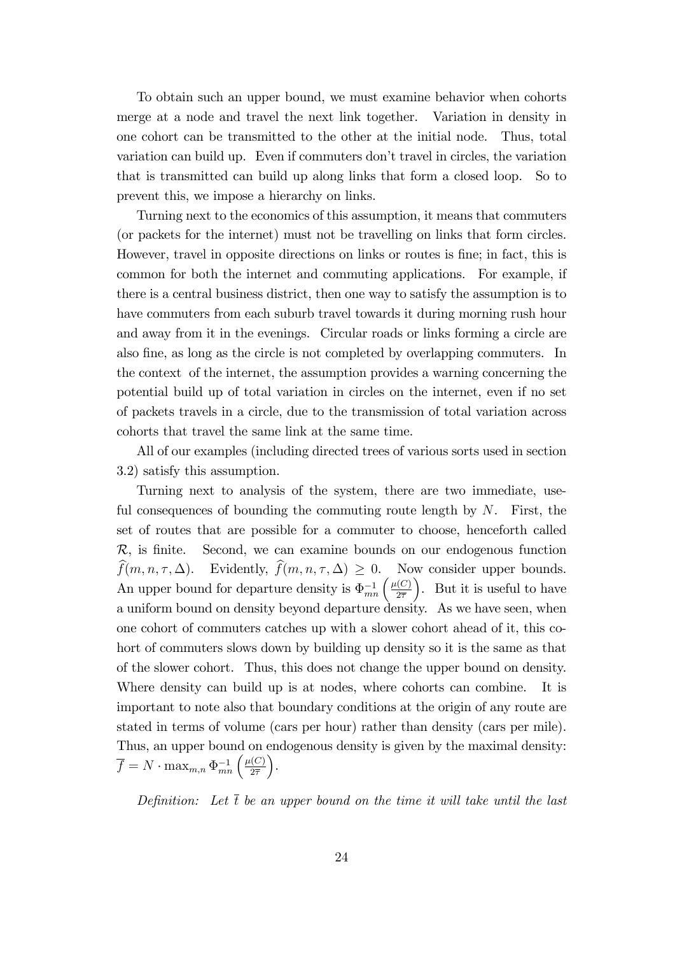To obtain such an upper bound, we must examine behavior when cohorts merge at a node and travel the next link together. Variation in density in one cohort can be transmitted to the other at the initial node. Thus, total variation can build up. Even if commuters don't travel in circles, the variation that is transmitted can build up along links that form a closed loop. So to prevent this, we impose a hierarchy on links.

Turning next to the economics of this assumption, it means that commuters (or packets for the internet) must not be travelling on links that form circles. However, travel in opposite directions on links or routes is Öne; in fact, this is common for both the internet and commuting applications. For example, if there is a central business district, then one way to satisfy the assumption is to have commuters from each suburb travel towards it during morning rush hour and away from it in the evenings. Circular roads or links forming a circle are also Öne, as long as the circle is not completed by overlapping commuters. In the context of the internet, the assumption provides a warning concerning the potential build up of total variation in circles on the internet, even if no set of packets travels in a circle, due to the transmission of total variation across cohorts that travel the same link at the same time.

All of our examples (including directed trees of various sorts used in section 3.2) satisfy this assumption.

Turning next to analysis of the system, there are two immediate, useful consequences of bounding the commuting route length by  $N$ . First, the set of routes that are possible for a commuter to choose, henceforth called  $\mathcal{R}$ , is finite. Second, we can examine bounds on our endogenous function  $f(m, n, \tau, \Delta)$ . Evidently,  $f(m, n, \tau, \Delta) \geq 0$ . Now consider upper bounds. An upper bound for departure density is  $\Phi^{-1}_{mn}\left(\frac{\mu(C)}{2\overline{\tau}}\right)$  $2\overline{7}$  . But it is useful to have a uniform bound on density beyond departure density. As we have seen, when one cohort of commuters catches up with a slower cohort ahead of it, this cohort of commuters slows down by building up density so it is the same as that of the slower cohort. Thus, this does not change the upper bound on density. Where density can build up is at nodes, where cohorts can combine. It is important to note also that boundary conditions at the origin of any route are stated in terms of volume (cars per hour) rather than density (cars per mile). Thus, an upper bound on endogenous density is given by the maximal density:  $\overline{f} = N \cdot \max_{m,n} \Phi_{mn}^{-1} \left( \frac{\mu(C)}{2\overline{\tau}} \right)$  $2\overline{7}$ .

Definition: Let  $\bar{t}$  be an upper bound on the time it will take until the last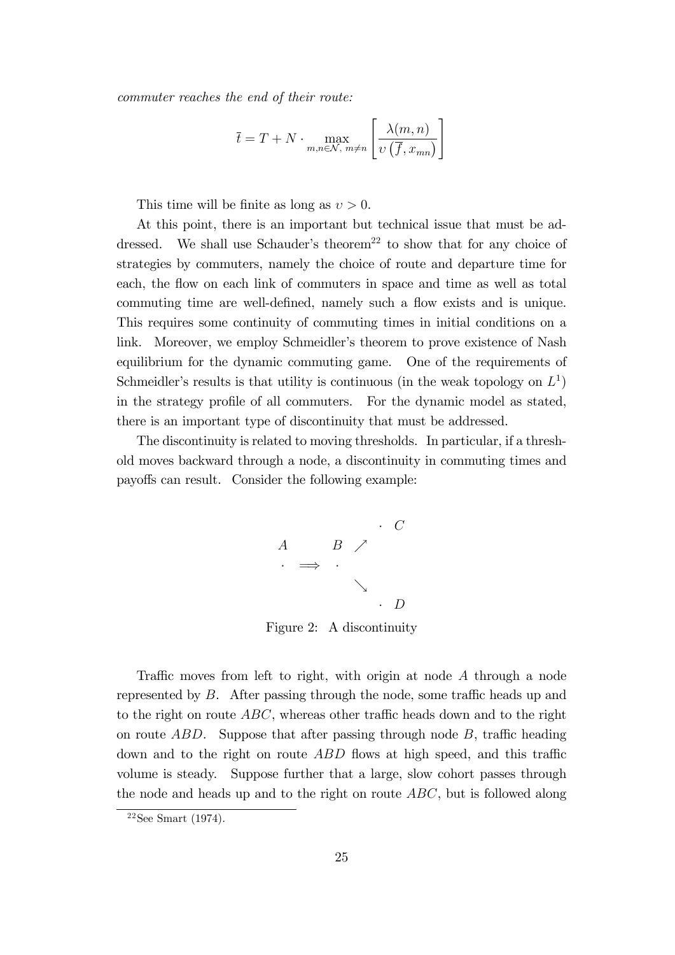commuter reaches the end of their route:

$$
\overline{t} = T + N \cdot \max_{m,n \in \mathcal{N}, m \neq n} \left[ \frac{\lambda(m,n)}{v(\overline{f}, x_{mn})} \right]
$$

This time will be finite as long as  $v > 0$ .

At this point, there is an important but technical issue that must be addressed. We shall use Schauder's theorem<sup>22</sup> to show that for any choice of strategies by commuters, namely the choice of route and departure time for each, the flow on each link of commuters in space and time as well as total commuting time are well-defined, namely such a flow exists and is unique. This requires some continuity of commuting times in initial conditions on a link. Moreover, we employ Schmeidler's theorem to prove existence of Nash equilibrium for the dynamic commuting game. One of the requirements of Schmeidler's results is that utility is continuous (in the weak topology on  $L^1$ ) in the strategy profile of all commuters. For the dynamic model as stated, there is an important type of discontinuity that must be addressed.

The discontinuity is related to moving thresholds. In particular, if a threshold moves backward through a node, a discontinuity in commuting times and payoffs can result. Consider the following example:



Figure 2: A discontinuity

Traffic moves from left to right, with origin at node  $A$  through a node represented by  $B$ . After passing through the node, some traffic heads up and to the right on route  $ABC$ , whereas other traffic heads down and to the right on route  $ABD$ . Suppose that after passing through node  $B$ , traffic heading down and to the right on route  $ABD$  flows at high speed, and this traffic volume is steady. Suppose further that a large, slow cohort passes through the node and heads up and to the right on route  $ABC$ , but is followed along

 $22$ See Smart (1974).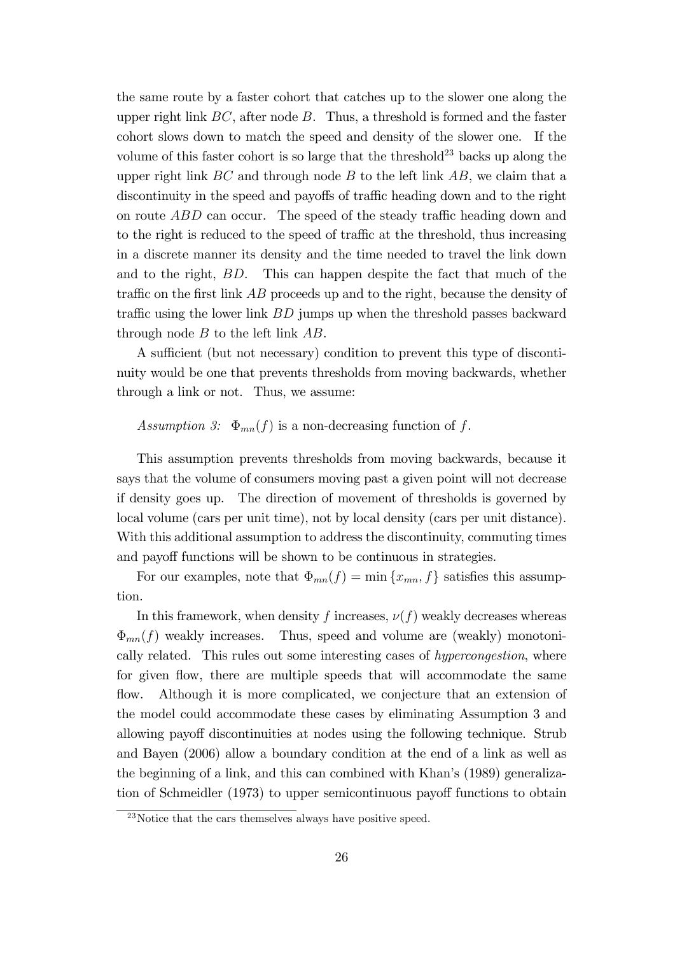the same route by a faster cohort that catches up to the slower one along the upper right link  $BC$ , after node  $B$ . Thus, a threshold is formed and the faster cohort slows down to match the speed and density of the slower one. If the volume of this faster cohort is so large that the threshold<sup>23</sup> backs up along the upper right link  $BC$  and through node  $B$  to the left link  $AB$ , we claim that a discontinuity in the speed and payoffs of traffic heading down and to the right on route  $ABD$  can occur. The speed of the steady traffic heading down and to the right is reduced to the speed of traffic at the threshold, thus increasing in a discrete manner its density and the time needed to travel the link down and to the right, BD. This can happen despite the fact that much of the traffic on the first link  $AB$  proceeds up and to the right, because the density of traffic using the lower link  $BD$  jumps up when the threshold passes backward through node  $B$  to the left link  $AB$ .

A sufficient (but not necessary) condition to prevent this type of discontinuity would be one that prevents thresholds from moving backwards, whether through a link or not. Thus, we assume:

#### Assumption 3:  $\Phi_{mn}(f)$  is a non-decreasing function of f.

This assumption prevents thresholds from moving backwards, because it says that the volume of consumers moving past a given point will not decrease if density goes up. The direction of movement of thresholds is governed by local volume (cars per unit time), not by local density (cars per unit distance). With this additional assumption to address the discontinuity, commuting times and payoff functions will be shown to be continuous in strategies.

For our examples, note that  $\Phi_{mn}(f) = \min\{x_{mn}, f\}$  satisfies this assumption.

In this framework, when density f increases,  $\nu(f)$  weakly decreases whereas  $\Phi_{mn}(f)$  weakly increases. Thus, speed and volume are (weakly) monotonically related. This rules out some interesting cases of hypercongestion, where for given flow, there are multiple speeds that will accommodate the same flow. Although it is more complicated, we conjecture that an extension of the model could accommodate these cases by eliminating Assumption 3 and allowing payoff discontinuities at nodes using the following technique. Strub and Bayen (2006) allow a boundary condition at the end of a link as well as the beginning of a link, and this can combined with Khan's (1989) generalization of Schmeidler (1973) to upper semicontinuous payoff functions to obtain

<sup>23</sup>Notice that the cars themselves always have positive speed.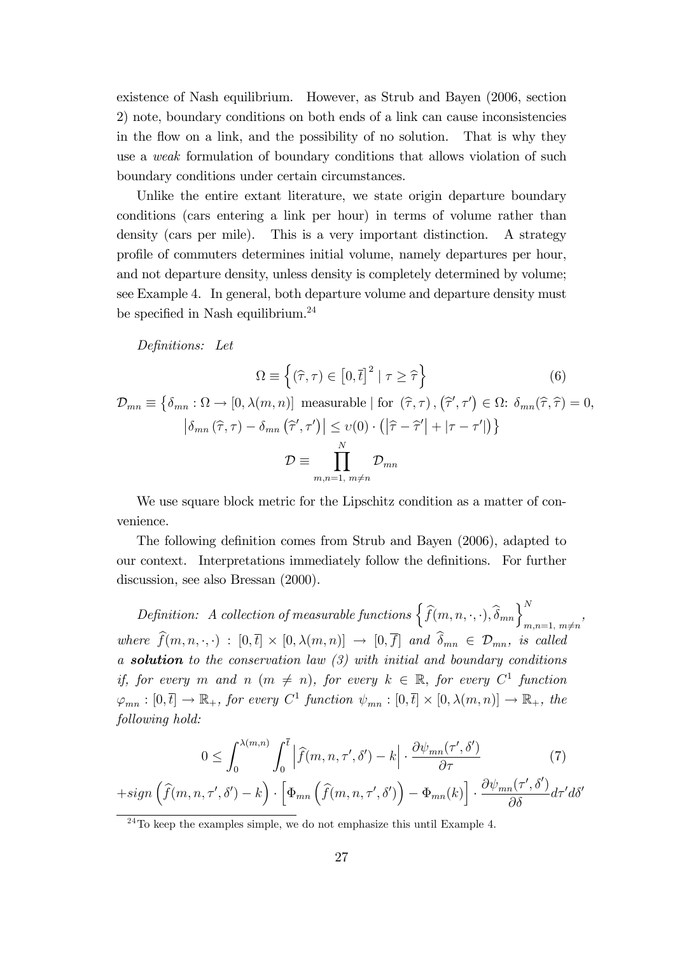existence of Nash equilibrium. However, as Strub and Bayen (2006, section 2) note, boundary conditions on both ends of a link can cause inconsistencies in the flow on a link, and the possibility of no solution. That is why they use a weak formulation of boundary conditions that allows violation of such boundary conditions under certain circumstances.

Unlike the entire extant literature, we state origin departure boundary conditions (cars entering a link per hour) in terms of volume rather than density (cars per mile). This is a very important distinction. A strategy proÖle of commuters determines initial volume, namely departures per hour, and not departure density, unless density is completely determined by volume; see Example 4. In general, both departure volume and departure density must be specified in Nash equilibrium. $^{24}$ 

Definitions: Let

$$
\Omega \equiv \left\{ (\widehat{\tau}, \tau) \in [0, \overline{t}]^2 \mid \tau \ge \widehat{\tau} \right\}
$$
(6)  

$$
\mathcal{D}_{mn} \equiv \left\{ \delta_{mn} : \Omega \to [0, \lambda(m, n)] \text{ measurable} \mid \text{for } (\widehat{\tau}, \tau), (\widehat{\tau}', \tau') \in \Omega : \delta_{mn}(\widehat{\tau}, \widehat{\tau}) = 0,
$$

$$
\left| \delta_{mn}(\widehat{\tau}, \tau) - \delta_{mn}(\widehat{\tau}', \tau') \right| \le v(0) \cdot \left( \left| \widehat{\tau} - \widehat{\tau}' \right| + \left| \tau - \tau' \right| \right) \right\}
$$

$$
\mathcal{D} \equiv \prod_{m,n=1, m \ne n}^N \mathcal{D}_{mn}
$$

We use square block metric for the Lipschitz condition as a matter of convenience.

The following definition comes from Strub and Bayen (2006), adapted to our context. Interpretations immediately follow the definitions. For further discussion, see also Bressan (2000).

Definition: A collection of measurable functions  $\left\{\widehat{f}(m,n,\cdot,\cdot),\widehat{\delta}_{mn}\right\}_{m,n=1, m\neq n}^{N}$ , where  $f(m, n, \cdot, \cdot) : [0, \bar{t}] \times [0, \lambda(m, n)] \rightarrow [0, f]$  and  $\delta_{mn} \in \mathcal{D}_{mn}$ , is called a **solution** to the conservation law  $(3)$  with initial and boundary conditions if, for every m and n  $(m \neq n)$ , for every  $k \in \mathbb{R}$ , for every  $C^1$  function  $\varphi_{mn} : [0, \bar{t}] \to \mathbb{R}_+$ , for every  $C^1$  function  $\psi_{mn} : [0, \bar{t}] \times [0, \lambda(m,n)] \to \mathbb{R}_+$ , the following hold:

$$
0 \leq \int_0^{\lambda(m,n)} \int_0^{\overline{t}} \left| \widehat{f}(m,n,\tau',\delta') - k \right| \cdot \frac{\partial \psi_{mn}(\tau',\delta')}{\partial \tau} \tag{7}
$$

$$
+ sign\left(\widehat{f}(m,n,\tau',\delta') - k\right) \cdot \left[ \Phi_{mn}\left(\widehat{f}(m,n,\tau',\delta')\right) - \Phi_{mn}(k) \right] \cdot \frac{\partial \psi_{mn}(\tau',\delta')}{\partial \delta} d\tau' d\delta'
$$

 $24$ To keep the examples simple, we do not emphasize this until Example 4.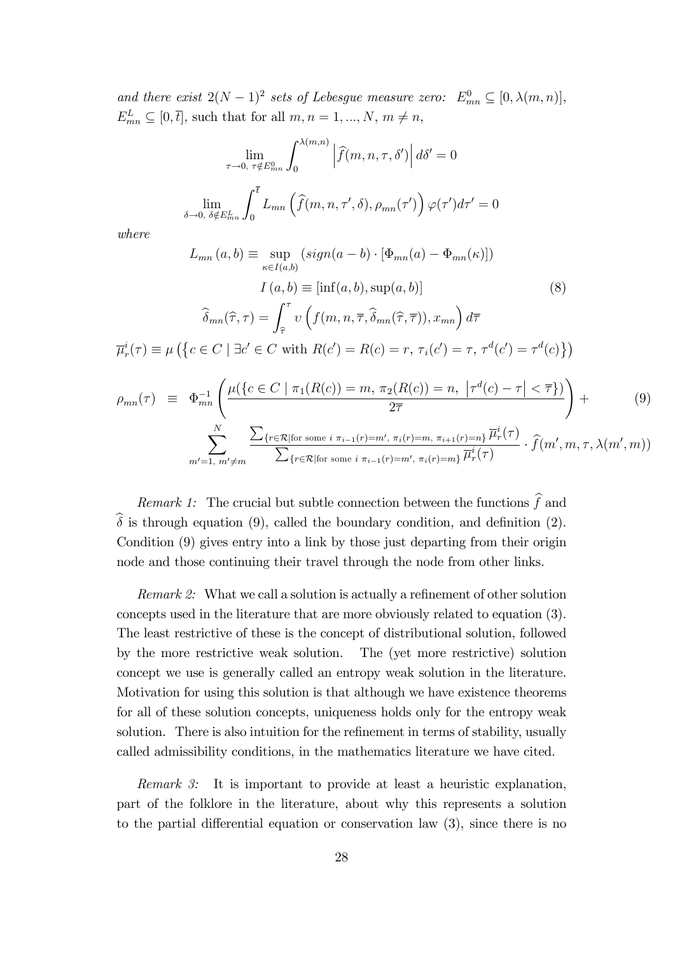and there exist  $2(N-1)^2$  sets of Lebesgue measure zero:  $E_{mn}^0 \subseteq [0, \lambda(m,n)],$  $E_{mn}^L \subseteq [0, \bar{t}],$  such that for all  $m, n = 1, ..., N, m \neq n$ ,

$$
\lim_{\tau \to 0, \ \tau \notin E_{mn}^0} \int_0^{\lambda(m,n)} \left| \widehat{f}(m,n,\tau,\delta') \right| d\delta' = 0
$$
  

$$
\lim_{\delta \to 0, \ \delta \notin E_{mn}^L} \int_0^{\overline{t}} L_{mn} \left( \widehat{f}(m,n,\tau',\delta), \rho_{mn}(\tau') \right) \varphi(\tau') d\tau' = 0
$$

where

$$
L_{mn}(a,b) \equiv \sup_{\kappa \in I(a,b)} (sign(a-b) \cdot [\Phi_{mn}(a) - \Phi_{mn}(\kappa)])
$$

$$
I(a,b) \equiv [inf(a,b),sup(a,b)]
$$
(8)
$$
\widehat{\delta}_{mn}(\widehat{\tau},\tau) = \int_{\widehat{\tau}}^{\tau} \nu \left( f(m,n,\overline{\tau},\widehat{\delta}_{mn}(\widehat{\tau},\overline{\tau})), x_{mn} \right) d\overline{\tau}
$$

$$
\overline{\mu}_r^i(\tau) \equiv \mu \left( \{ c \in C \mid \exists c' \in C \text{ with } R(c') = R(c) = r, \tau_i(c') = \tau, \tau^d(c') = \tau^d(c) \} \right)
$$

$$
\rho_{mn}(\tau) \equiv \Phi_{mn}^{-1} \left( \frac{\mu(\{c \in C \mid \pi_1(R(c)) = m, \pi_2(R(c)) = n, |\tau^d(c) - \tau| < \overline{\tau}\})}{2\overline{\tau}} \right) + \sum_{m'=1, m' \neq m}^{N} \frac{\sum_{\{r \in \mathcal{R} \mid \text{for some } i \pi_{i-1}(r) = m', \pi_i(r) = m, \pi_{i+1}(r) = n\}} \overline{\mu_r^i(\tau)} \cdot \hat{f}(m', m, \tau, \lambda(m', m))
$$
\n(9)

Remark 1: The crucial but subtle connection between the functions  $\hat{f}$  and  $\delta$  is through equation (9), called the boundary condition, and definition (2). Condition (9) gives entry into a link by those just departing from their origin node and those continuing their travel through the node from other links.

*Remark 2:* What we call a solution is actually a refinement of other solution concepts used in the literature that are more obviously related to equation (3). The least restrictive of these is the concept of distributional solution, followed by the more restrictive weak solution. The (yet more restrictive) solution concept we use is generally called an entropy weak solution in the literature. Motivation for using this solution is that although we have existence theorems for all of these solution concepts, uniqueness holds only for the entropy weak solution. There is also intuition for the refinement in terms of stability, usually called admissibility conditions, in the mathematics literature we have cited.

Remark 3: It is important to provide at least a heuristic explanation, part of the folklore in the literature, about why this represents a solution to the partial differential equation or conservation law  $(3)$ , since there is no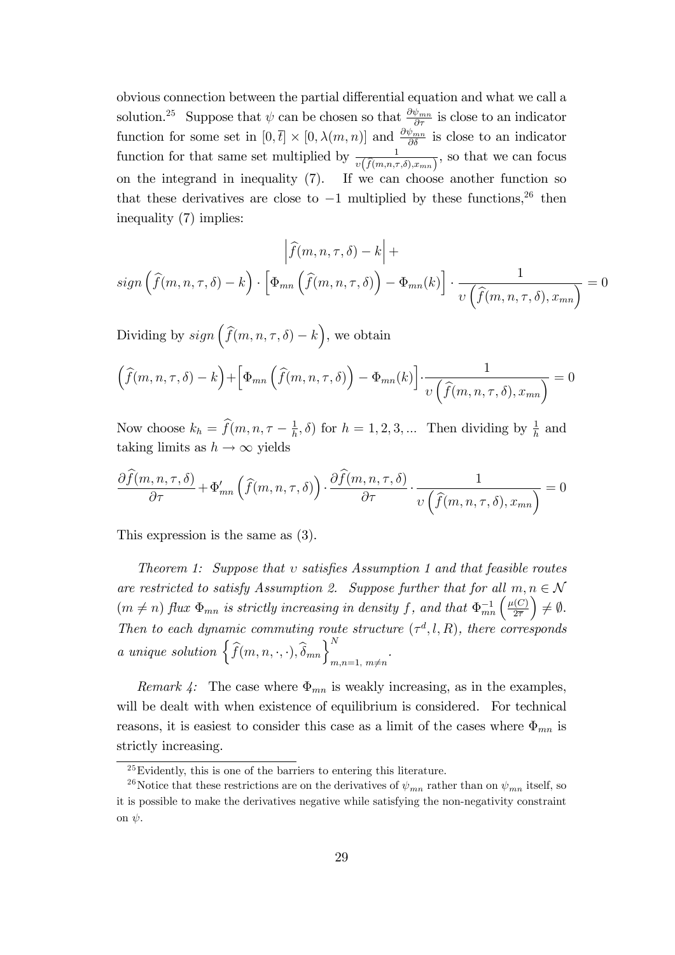obvious connection between the partial differential equation and what we call a solution.<sup>25</sup> Suppose that  $\psi$  can be chosen so that  $\frac{\partial \psi_{mn}}{\partial \tau}$  is close to an indicator function for some set in  $[0, \bar{t}] \times [0, \lambda(m, n)]$  and  $\frac{\partial \psi_{mn}}{\partial \delta}$  is close to an indicator function for that same set multiplied by  $\frac{1}{v(\widehat{f}(m,n,\tau,\delta),x_{mn})}$ , so that we can focus on the integrand in inequality (7). If we can choose another function so that these derivatives are close to  $-1$  multiplied by these functions,<sup>26</sup> then inequality (7) implies:

$$
\left| \widehat{f}(m, n, \tau, \delta) - k \right| +
$$
  

$$
sign\left( \widehat{f}(m, n, \tau, \delta) - k \right) \cdot \left[ \Phi_{mn} \left( \widehat{f}(m, n, \tau, \delta) \right) - \Phi_{mn}(k) \right] \cdot \frac{1}{v \left( \widehat{f}(m, n, \tau, \delta), x_{mn} \right)} = 0
$$

Dividing by  $sign\left(\widehat{f}(m,n,\tau,\delta)-k\right)$ , we obtain

$$
\left(\widehat{f}(m,n,\tau,\delta) - k\right) + \left[\Phi_{mn}\left(\widehat{f}(m,n,\tau,\delta)\right) - \Phi_{mn}(k)\right] \cdot \frac{1}{\upsilon\left(\widehat{f}(m,n,\tau,\delta),x_{mn}\right)} = 0
$$

Now choose  $k_h = \hat{f}(m, n, \tau - \frac{1}{h})$  $(\frac{1}{h}, \delta)$  for  $h = 1, 2, 3, ...$  Then dividing by  $\frac{1}{h}$  and taking limits as  $h \to \infty$  yields

$$
\frac{\partial \widehat{f}(m,n,\tau,\delta)}{\partial \tau} + \Phi'_{mn} \left( \widehat{f}(m,n,\tau,\delta) \right) \cdot \frac{\partial \widehat{f}(m,n,\tau,\delta)}{\partial \tau} \cdot \frac{1}{v \left( \widehat{f}(m,n,\tau,\delta), x_{mn} \right)} = 0
$$

This expression is the same as (3).

Theorem 1: Suppose that  $v$  satisfies Assumption 1 and that feasible routes are restricted to satisfy Assumption 2. Suppose further that for all  $m, n \in \mathcal{N}$  $(m \neq n)$  flux  $\Phi_{mn}$  is strictly increasing in density f, and that  $\Phi_{mn}^{-1}\left(\frac{\mu(C)}{2\overline{\tau}}\right)$  $2\overline{7}$  $\Big) \neq \emptyset.$ Then to each dynamic commuting route structure  $(\tau^d, l, R)$ , there corresponds a unique solution  $\left\{\widehat{f}(m,n,\cdot,\cdot),\widehat{\delta}_{mn}\right\}_{m,n=1, m\neq n}^{N}$ .

Remark 4: The case where  $\Phi_{mn}$  is weakly increasing, as in the examples, will be dealt with when existence of equilibrium is considered. For technical reasons, it is easiest to consider this case as a limit of the cases where  $\Phi_{mn}$  is strictly increasing.

 $25Evidently, this is one of the barriers to entering this literature.$ 

<sup>&</sup>lt;sup>26</sup>Notice that these restrictions are on the derivatives of  $\psi_{mn}$  rather than on  $\psi_{mn}$  itself, so it is possible to make the derivatives negative while satisfying the non-negativity constraint on  $\psi$ .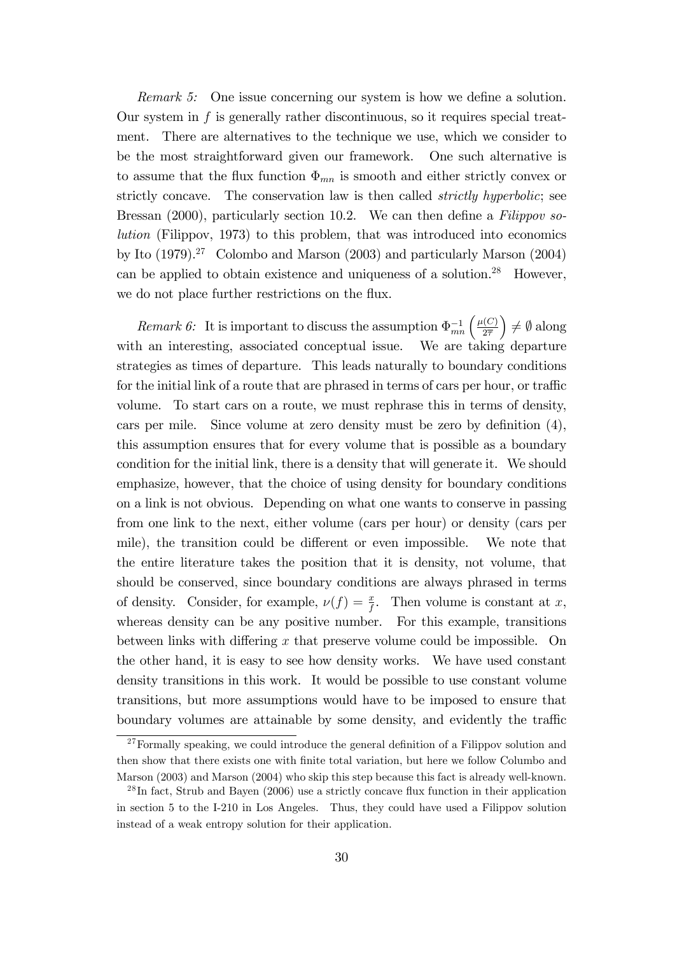Remark 5: One issue concerning our system is how we define a solution. Our system in  $f$  is generally rather discontinuous, so it requires special treatment. There are alternatives to the technique we use, which we consider to be the most straightforward given our framework. One such alternative is to assume that the flux function  $\Phi_{mn}$  is smooth and either strictly convex or strictly concave. The conservation law is then called *strictly hyperbolic*; see Bressan (2000), particularly section 10.2. We can then define a  $Filippov$  solution (Filippov, 1973) to this problem, that was introduced into economics by Ito  $(1979).^{27}$  Colombo and Marson  $(2003)$  and particularly Marson  $(2004)$ can be applied to obtain existence and uniqueness of a solution.<sup>28</sup> However, we do not place further restrictions on the flux.

Remark 6: It is important to discuss the assumption  $\Phi_{mn}^{-1}\left(\frac{\mu(C)}{2\overline{\tau}}\right)$  $2\overline{7}$  $\Big) \neq \emptyset$  along with an interesting, associated conceptual issue. We are taking departure strategies as times of departure. This leads naturally to boundary conditions for the initial link of a route that are phrased in terms of cars per hour, or traffic volume. To start cars on a route, we must rephrase this in terms of density, cars per mile. Since volume at zero density must be zero by definition  $(4)$ , this assumption ensures that for every volume that is possible as a boundary condition for the initial link, there is a density that will generate it. We should emphasize, however, that the choice of using density for boundary conditions on a link is not obvious. Depending on what one wants to conserve in passing from one link to the next, either volume (cars per hour) or density (cars per mile), the transition could be different or even impossible. We note that the entire literature takes the position that it is density, not volume, that should be conserved, since boundary conditions are always phrased in terms of density. Consider, for example,  $\nu(f) = \frac{x}{f}$ . Then volume is constant at x, whereas density can be any positive number. For this example, transitions between links with differing x that preserve volume could be impossible. On the other hand, it is easy to see how density works. We have used constant density transitions in this work. It would be possible to use constant volume transitions, but more assumptions would have to be imposed to ensure that boundary volumes are attainable by some density, and evidently the traffic

 $27$  Formally speaking, we could introduce the general definition of a Filippov solution and then show that there exists one with Önite total variation, but here we follow Columbo and Marson (2003) and Marson (2004) who skip this step because this fact is already well-known.

 $^{28}$ In fact, Strub and Bayen (2006) use a strictly concave flux function in their application in section 5 to the I-210 in Los Angeles. Thus, they could have used a Filippov solution instead of a weak entropy solution for their application.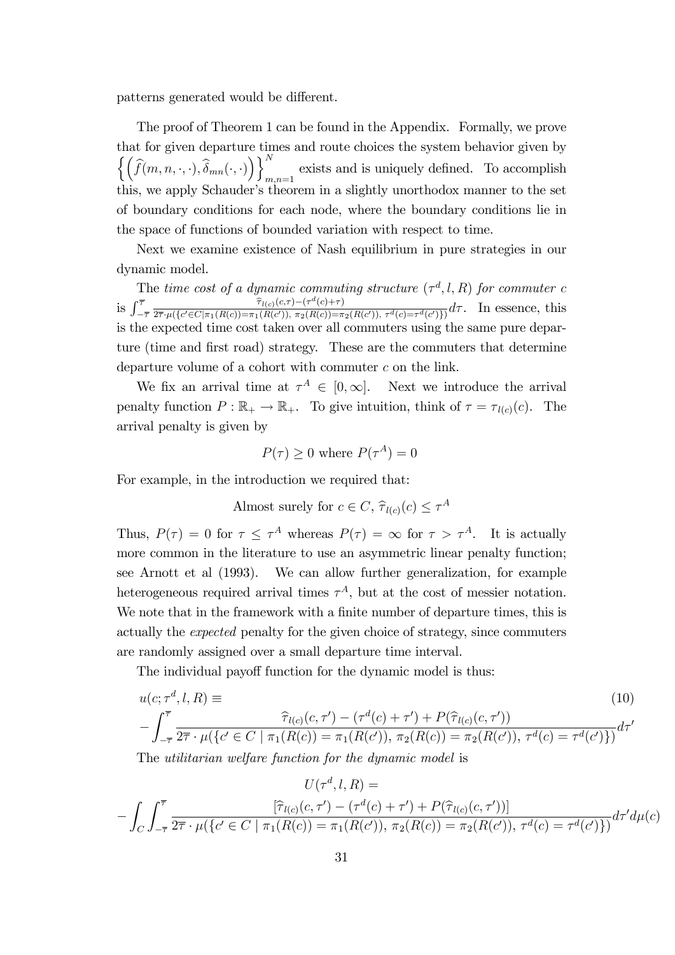patterns generated would be different.

The proof of Theorem 1 can be found in the Appendix. Formally, we prove that for given departure times and route choices the system behavior given by  $\left\{\left(\widehat{f}(m,n,\cdot,\cdot),\widehat{\delta}_{mn}(\cdot,\cdot)\right)\right\}_{m}^{N}$ exists and is uniquely defined. To accomplish  $m,n=1$ this, we apply Schauder's theorem in a slightly unorthodox manner to the set of boundary conditions for each node, where the boundary conditions lie in the space of functions of bounded variation with respect to time.

Next we examine existence of Nash equilibrium in pure strategies in our dynamic model.

The time cost of a dynamic commuting structure  $(\tau^d, l, R)$  for commuter c is  $\int_{-\overline{7}}^{\overline{7}}$  $\frac{\widehat{\tau}_{l(c)}(c,\tau)-(\tau^d(c)+\tau)}{(\widehat{\tau}^d(c))\widehat{\tau}^d(c)+\widehat{\tau}^d(c))}$  $\frac{G_{\tau,\mu}(\{c' \in C | \pi_1(R(c)) = \pi_1(R(c')), \pi_2(R(c)) = \pi_2(R(c')), \tau^d(c) = \tau^d(c')\})}{2\tau \cdot \mu(\{c' \in C | \pi_1(R(c)) = \pi_1(R(c')), \pi_2(R(c')) = \pi_2(R(c')), \tau^d(c) = \tau^d(c')\})} d\tau$ . In essence, this is the expected time cost taken over all commuters using the same pure departure (time and first road) strategy. These are the commuters that determine departure volume of a cohort with commuter c on the link.

We fix an arrival time at  $\tau^A \in [0,\infty]$ . Next we introduce the arrival penalty function  $P : \mathbb{R}_+ \to \mathbb{R}_+$ . To give intuition, think of  $\tau = \tau_{l(c)}(c)$ . The arrival penalty is given by

$$
P(\tau) \ge 0
$$
 where  $P(\tau^A) = 0$ 

For example, in the introduction we required that:

Almost surely for  $c \in C$ ,  $\hat{\tau}_{l(c)}(c) \leq \tau^A$ 

Thus,  $P(\tau) = 0$  for  $\tau \leq \tau^A$  whereas  $P(\tau) = \infty$  for  $\tau > \tau^A$ . It is actually more common in the literature to use an asymmetric linear penalty function; see Arnott et al (1993). We can allow further generalization, for example heterogeneous required arrival times  $\tau^A$ , but at the cost of messier notation. We note that in the framework with a finite number of departure times, this is actually the expected penalty for the given choice of strategy, since commuters are randomly assigned over a small departure time interval.

The individual payoff function for the dynamic model is thus:

$$
u(c; \tau^d, l, R) \equiv \qquad (10)
$$
  

$$
-\int_{-\overline{\tau}}^{\overline{\tau}} \frac{\widehat{\tau}_{l(c)}(c, \tau') - (\tau^d(c) + \tau') + P(\widehat{\tau}_{l(c)}(c, \tau'))}{2\overline{\tau} \cdot \mu(\{c' \in C \mid \pi_1(R(c)) = \pi_1(R(c')), \pi_2(R(c)) = \pi_2(R(c')), \tau^d(c) = \tau^d(c')\})} d\tau'
$$
  
The *utilitaring subd* and *transc real l* is *dimensional in*

The utilitarian welfare function for the dynamic model is

$$
U(\tau^d, l, R) =
$$
  
-  $\int_C \int_{-\overline{\tau}}^{\overline{\tau}} \frac{[\hat{\tau}_{l(c)}(c, \tau') - (\tau^d(c) + \tau') + P(\hat{\tau}_{l(c)}(c, \tau'))]}{\{2\overline{\tau} \cdot \mu(\{c' \in C \mid \pi_1(R(c)) = \pi_1(R(c')), \pi_2(R(c)) = \pi_2(R(c')), \tau^d(c) = \tau^d(c')\})}} d\tau' d\mu(c)$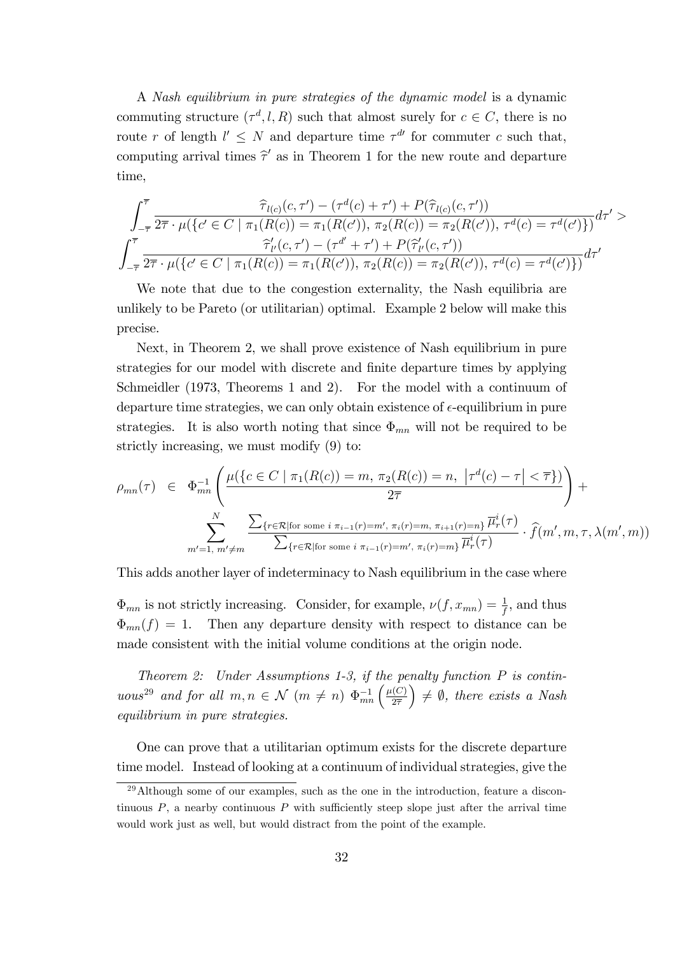A Nash equilibrium in pure strategies of the dynamic model is a dynamic commuting structure  $(\tau^d, l, R)$  such that almost surely for  $c \in C$ , there is no route r of length  $l' \leq N$  and departure time  $\tau^{d'}$  for commuter c such that, computing arrival times  $\hat{\tau}'$  as in Theorem 1 for the new route and departure time,

$$
\int_{-\overline{\tau}}^{\overline{\tau}} \frac{\widehat{\tau}_{l(c)}(c,\tau') - (\tau^{d}(c) + \tau') + P(\widehat{\tau}_{l(c)}(c,\tau'))}{2\overline{\tau} \cdot \mu(\{c' \in C \mid \pi_1(R(c)) = \pi_1(R(c')), \pi_2(R(c)) = \pi_2(R(c')), \tau^{d}(c) = \tau^{d}(c')\})} d\tau' > \int_{-\overline{\tau}}^{\overline{\tau}} \frac{\widehat{\tau}'_{l'}(c,\tau') - (\tau^{d'} + \tau') + P(\widehat{\tau}'_{l'}(c,\tau'))}{2\overline{\tau} \cdot \mu(\{c' \in C \mid \pi_1(R(c)) = \pi_1(R(c')), \pi_2(R(c)) = \pi_2(R(c')), \tau^{d}(c) = \tau^{d}(c')\})} d\tau'
$$

We note that due to the congestion externality, the Nash equilibria are unlikely to be Pareto (or utilitarian) optimal. Example 2 below will make this precise.

Next, in Theorem 2, we shall prove existence of Nash equilibrium in pure strategies for our model with discrete and finite departure times by applying Schmeidler (1973, Theorems 1 and 2). For the model with a continuum of departure time strategies, we can only obtain existence of  $\epsilon$ -equilibrium in pure strategies. It is also worth noting that since  $\Phi_{mn}$  will not be required to be strictly increasing, we must modify (9) to:

$$
\rho_{mn}(\tau) \in \Phi_{mn}^{-1} \left( \frac{\mu(\{c \in C \mid \pi_1(R(c)) = m, \pi_2(R(c)) = n, |\tau^d(c) - \tau| < \overline{\tau}\})}{2\overline{\tau}} \right) + \sum_{m'=1, m' \neq m}^{N} \frac{\sum_{\{r \in \mathcal{R} \mid \text{for some } i \pi_{i-1}(r) = m', \pi_i(r) = m, \pi_{i+1}(r) = n\}} \overline{\mu_r^i(\tau)} }{\sum_{\{r \in \mathcal{R} \mid \text{for some } i \pi_{i-1}(r) = m', \pi_i(r) = m\}} \overline{\mu_r^i(\tau)}} \cdot \hat{f}(m', m, \tau, \lambda(m', m))
$$

This adds another layer of indeterminacy to Nash equilibrium in the case where

 $\Phi_{mn}$  is not strictly increasing. Consider, for example,  $\nu(f, x_{mn}) = \frac{1}{f}$ , and thus  $\Phi_{mn}(f) = 1$ . Then any departure density with respect to distance can be made consistent with the initial volume conditions at the origin node.

Theorem 2: Under Assumptions 1-3, if the penalty function  $P$  is continuous<sup>29</sup> and for all  $m, n \in \mathcal{N}$   $(m \neq n)$   $\Phi_{mn}^{-1} \left( \frac{\mu(C)}{2\overline{\tau}} \right)$  $2\overline{\tau}$  $\Big) \neq \emptyset$ , there exists a Nash equilibrium in pure strategies.

One can prove that a utilitarian optimum exists for the discrete departure time model. Instead of looking at a continuum of individual strategies, give the

 $^{29}$ Although some of our examples, such as the one in the introduction, feature a discontinuous  $P$ , a nearby continuous  $P$  with sufficiently steep slope just after the arrival time would work just as well, but would distract from the point of the example.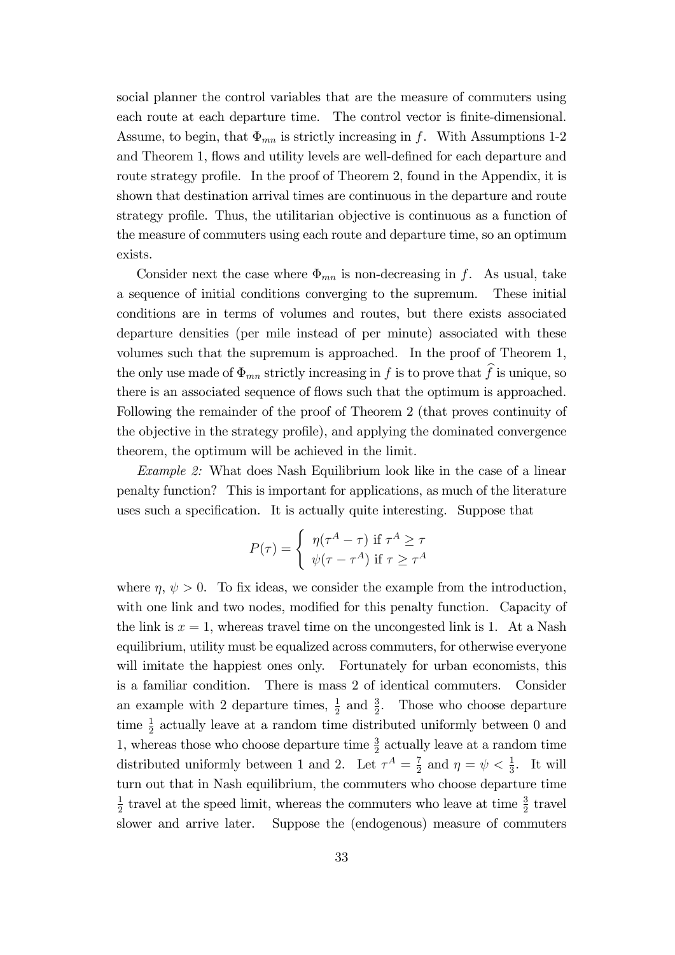social planner the control variables that are the measure of commuters using each route at each departure time. The control vector is finite-dimensional. Assume, to begin, that  $\Phi_{mn}$  is strictly increasing in f. With Assumptions 1-2 and Theorem 1, flows and utility levels are well-defined for each departure and route strategy profile. In the proof of Theorem 2, found in the Appendix, it is shown that destination arrival times are continuous in the departure and route strategy profile. Thus, the utilitarian objective is continuous as a function of the measure of commuters using each route and departure time, so an optimum exists.

Consider next the case where  $\Phi_{mn}$  is non-decreasing in f. As usual, take a sequence of initial conditions converging to the supremum. These initial conditions are in terms of volumes and routes, but there exists associated departure densities (per mile instead of per minute) associated with these volumes such that the supremum is approached. In the proof of Theorem 1, the only use made of  $\Phi_{mn}$  strictly increasing in f is to prove that  $\widehat{f}$  is unique, so there is an associated sequence of flows such that the optimum is approached. Following the remainder of the proof of Theorem 2 (that proves continuity of the objective in the strategy profile), and applying the dominated convergence theorem, the optimum will be achieved in the limit.

Example 2: What does Nash Equilibrium look like in the case of a linear penalty function? This is important for applications, as much of the literature uses such a specification. It is actually quite interesting. Suppose that

$$
P(\tau) = \begin{cases} \eta(\tau^A - \tau) & \text{if } \tau^A \ge \tau \\ \psi(\tau - \tau^A) & \text{if } \tau \ge \tau^A \end{cases}
$$

where  $\eta, \psi > 0$ . To fix ideas, we consider the example from the introduction, with one link and two nodes, modified for this penalty function. Capacity of the link is  $x = 1$ , whereas travel time on the uncongested link is 1. At a Nash equilibrium, utility must be equalized across commuters, for otherwise everyone will imitate the happiest ones only. Fortunately for urban economists, this is a familiar condition. There is mass 2 of identical commuters. Consider an example with 2 departure times,  $\frac{1}{2}$  and  $\frac{3}{2}$ . Those who choose departure time  $\frac{1}{2}$  actually leave at a random time distributed uniformly between 0 and 1, whereas those who choose departure time  $\frac{3}{2}$  actually leave at a random time distributed uniformly between 1 and 2. Let  $\tau^A = \frac{7}{2}$  $\frac{7}{2}$  and  $\eta = \psi < \frac{1}{3}$ . It will turn out that in Nash equilibrium, the commuters who choose departure time 1  $\frac{1}{2}$  travel at the speed limit, whereas the commuters who leave at time  $\frac{3}{2}$  travel slower and arrive later. Suppose the (endogenous) measure of commuters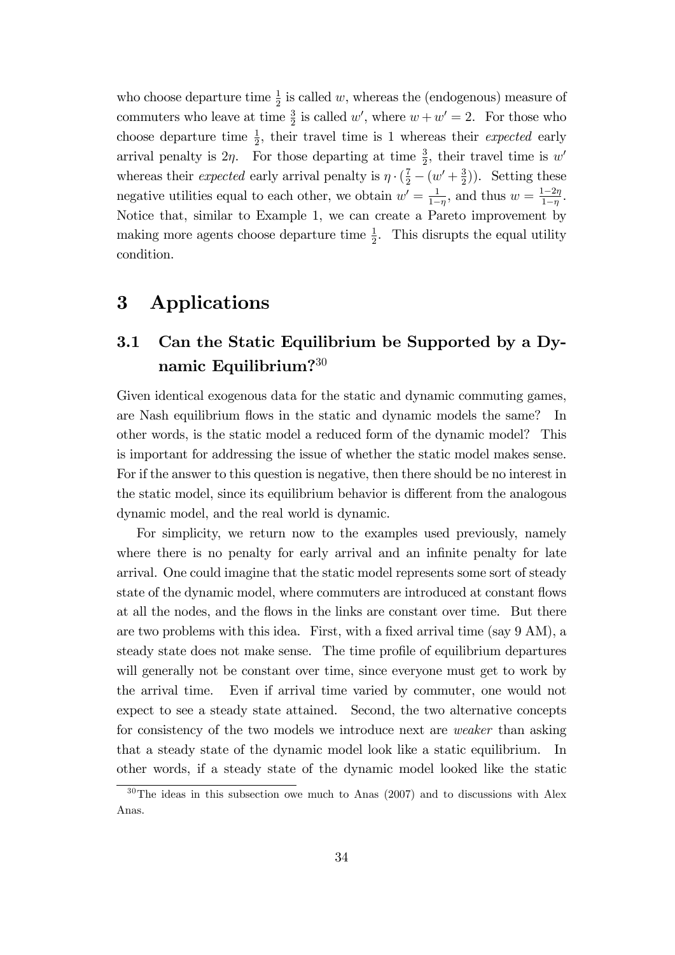who choose departure time  $\frac{1}{2}$  is called w, whereas the (endogenous) measure of commuters who leave at time  $\frac{3}{2}$  is called w', where  $w + w' = 2$ . For those who choose departure time  $\frac{1}{2}$ , their travel time is 1 whereas their *expected* early arrival penalty is  $2\eta$ . For those departing at time  $\frac{3}{2}$ , their travel time is w' whereas their *expected* early arrival penalty is  $\eta \cdot (\frac{7}{2} - (w' + \frac{3}{2}))$  $(\frac{3}{2})$ ). Setting these negative utilities equal to each other, we obtain  $w' = \frac{1}{1-z}$  $\frac{1}{1-\eta}$ , and thus  $w = \frac{1-2\eta}{1-\eta}$  $rac{1-2\eta}{1-\eta}$ . Notice that, similar to Example 1, we can create a Pareto improvement by making more agents choose departure time  $\frac{1}{2}$ . This disrupts the equal utility condition.

### 3 Applications

## 3.1 Can the Static Equilibrium be Supported by a Dynamic Equilibrium?<sup>30</sup>

Given identical exogenous data for the static and dynamic commuting games, are Nash equilibrium flows in the static and dynamic models the same? In other words, is the static model a reduced form of the dynamic model? This is important for addressing the issue of whether the static model makes sense. For if the answer to this question is negative, then there should be no interest in the static model, since its equilibrium behavior is different from the analogous dynamic model, and the real world is dynamic.

For simplicity, we return now to the examples used previously, namely where there is no penalty for early arrival and an infinite penalty for late arrival. One could imagine that the static model represents some sort of steady state of the dynamic model, where commuters are introduced at constant flows at all the nodes, and the flows in the links are constant over time. But there are two problems with this idea. First, with a fixed arrival time (say  $9 \text{ AM}$ ), a steady state does not make sense. The time profile of equilibrium departures will generally not be constant over time, since everyone must get to work by the arrival time. Even if arrival time varied by commuter, one would not expect to see a steady state attained. Second, the two alternative concepts for consistency of the two models we introduce next are weaker than asking that a steady state of the dynamic model look like a static equilibrium. In other words, if a steady state of the dynamic model looked like the static

 $30$ The ideas in this subsection owe much to Anas (2007) and to discussions with Alex Anas.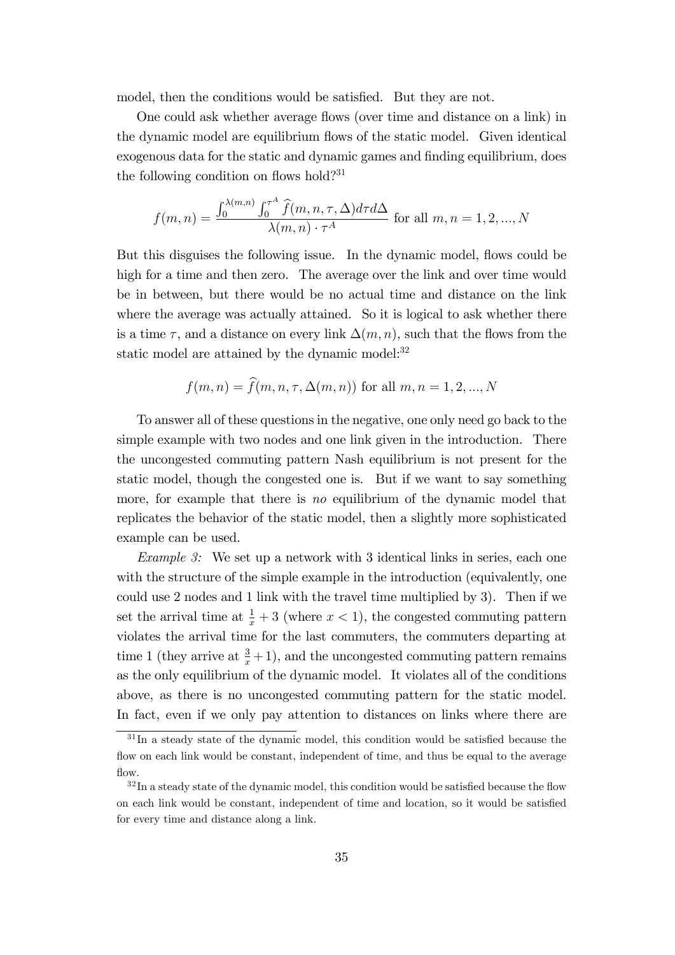model, then the conditions would be satisfied. But they are not.

One could ask whether average flows (over time and distance on a link) in the dynamic model are equilibrium flows of the static model. Given identical exogenous data for the static and dynamic games and finding equilibrium, does the following condition on flows hold?<sup>31</sup>

$$
f(m,n) = \frac{\int_0^{\lambda(m,n)} \int_0^{\tau^A} \hat{f}(m,n,\tau,\Delta) d\tau d\Delta}{\lambda(m,n) \cdot \tau^A}
$$
 for all  $m, n = 1, 2, ..., N$ 

But this disguises the following issue. In the dynamic model, flows could be high for a time and then zero. The average over the link and over time would be in between, but there would be no actual time and distance on the link where the average was actually attained. So it is logical to ask whether there is a time  $\tau$ , and a distance on every link  $\Delta(m, n)$ , such that the flows from the static model are attained by the dynamic model: $32$ 

$$
f(m, n) = f(m, n, \tau, \Delta(m, n))
$$
 for all  $m, n = 1, 2, ..., N$ 

To answer all of these questions in the negative, one only need go back to the simple example with two nodes and one link given in the introduction. There the uncongested commuting pattern Nash equilibrium is not present for the static model, though the congested one is. But if we want to say something more, for example that there is no equilibrium of the dynamic model that replicates the behavior of the static model, then a slightly more sophisticated example can be used.

Example 3: We set up a network with 3 identical links in series, each one with the structure of the simple example in the introduction (equivalently, one could use 2 nodes and 1 link with the travel time multiplied by 3). Then if we set the arrival time at  $\frac{1}{x} + 3$  (where  $x < 1$ ), the congested commuting pattern violates the arrival time for the last commuters, the commuters departing at time 1 (they arrive at  $\frac{3}{x}+1$ ), and the uncongested commuting pattern remains as the only equilibrium of the dynamic model. It violates all of the conditions above, as there is no uncongested commuting pattern for the static model. In fact, even if we only pay attention to distances on links where there are

 $31$ In a steady state of the dynamic model, this condition would be satisfied because the flow on each link would be constant, independent of time, and thus be equal to the average flow.

 $32 \text{In a steady state of the dynamic model, this condition would be satisfied because the flow}$ on each link would be constant, independent of time and location, so it would be satisfied for every time and distance along a link.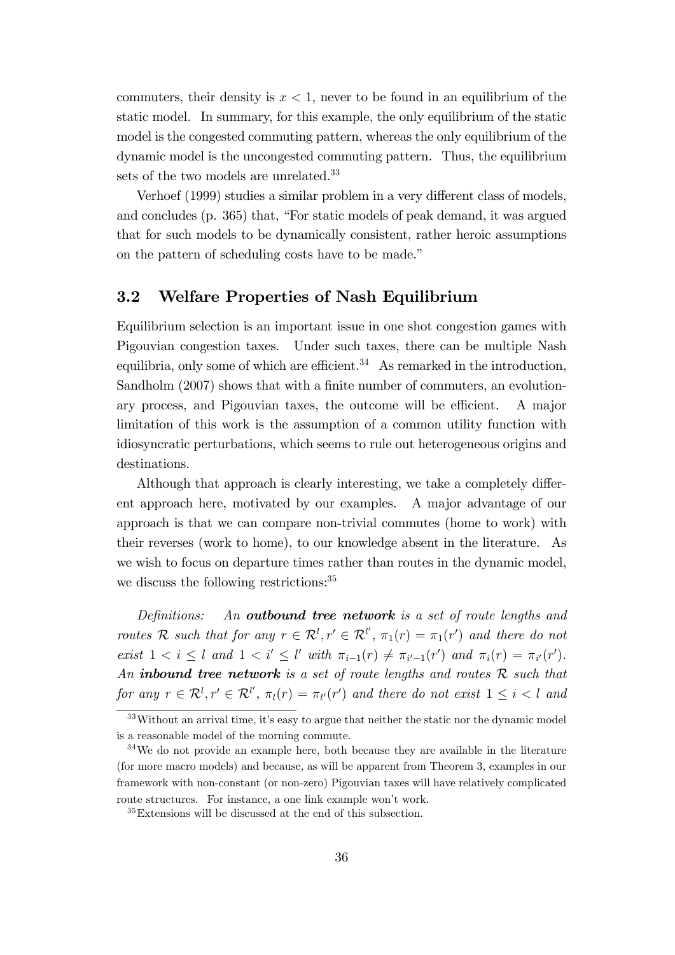commuters, their density is  $x < 1$ , never to be found in an equilibrium of the static model. In summary, for this example, the only equilibrium of the static model is the congested commuting pattern, whereas the only equilibrium of the dynamic model is the uncongested commuting pattern. Thus, the equilibrium sets of the two models are unrelated.<sup>33</sup>

Verhoef (1999) studies a similar problem in a very different class of models, and concludes (p. 365) that, "For static models of peak demand, it was argued that for such models to be dynamically consistent, rather heroic assumptions on the pattern of scheduling costs have to be made.<sup>"</sup>

#### 3.2 Welfare Properties of Nash Equilibrium

Equilibrium selection is an important issue in one shot congestion games with Pigouvian congestion taxes. Under such taxes, there can be multiple Nash equilibria, only some of which are efficient.<sup>34</sup> As remarked in the introduction, Sandholm (2007) shows that with a finite number of commuters, an evolutionary process, and Pigouvian taxes, the outcome will be efficient. A major limitation of this work is the assumption of a common utility function with idiosyncratic perturbations, which seems to rule out heterogeneous origins and destinations.

Although that approach is clearly interesting, we take a completely different approach here, motivated by our examples. A major advantage of our approach is that we can compare non-trivial commutes (home to work) with their reverses (work to home), to our knowledge absent in the literature. As we wish to focus on departure times rather than routes in the dynamic model, we discuss the following restrictions:<sup>35</sup>

Definitions: An outbound tree network is a set of route lengths and routes R such that for any  $r \in \mathcal{R}^l$ ,  $r' \in \mathcal{R}^{l'}$ ,  $\pi_1(r) = \pi_1(r')$  and there do not exist  $1 < i \leq l$  and  $1 < i' \leq l'$  with  $\pi_{i-1}(r) \neq \pi_{i'-1}(r')$  and  $\pi_i(r) = \pi_{i'}(r')$ . An inbound tree network is a set of route lengths and routes  $R$  such that for any  $r \in \mathcal{R}^l, r' \in \mathcal{R}^{l'}, \pi_l(r) = \pi_{l'}(r')$  and there do not exist  $1 \leq i < l$  and

 $33$ Without an arrival time, it's easy to argue that neither the static nor the dynamic model is a reasonable model of the morning commute.

<sup>34</sup>We do not provide an example here, both because they are available in the literature (for more macro models) and because, as will be apparent from Theorem 3, examples in our framework with non-constant (or non-zero) Pigouvian taxes will have relatively complicated route structures. For instance, a one link example won't work.

<sup>35</sup>Extensions will be discussed at the end of this subsection.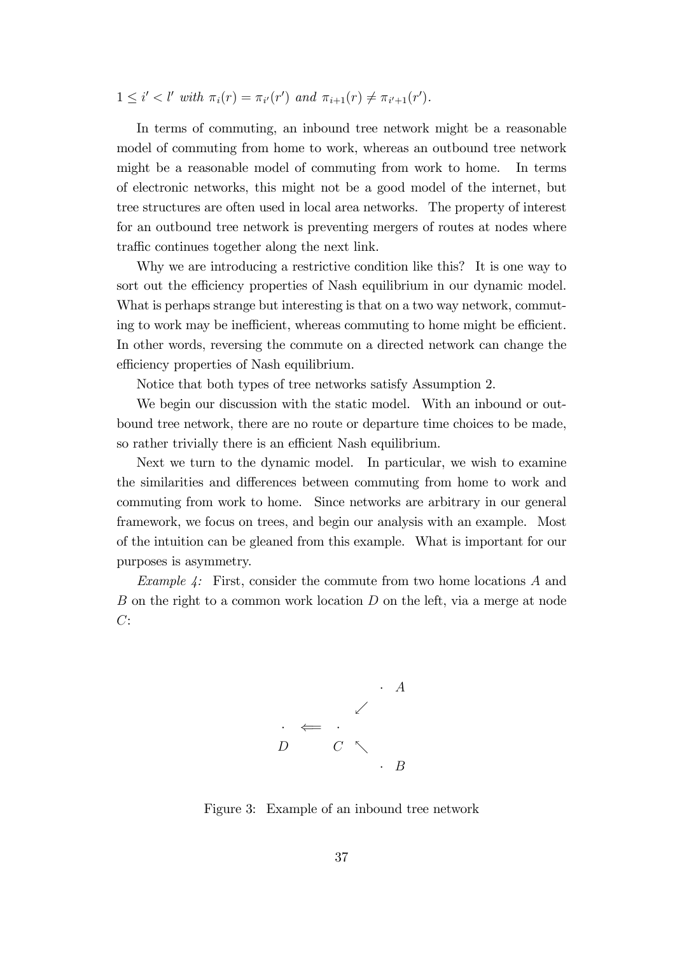$1 \leq i' < l'$  with  $\pi_i(r) = \pi_{i'}(r')$  and  $\pi_{i+1}(r) \neq \pi_{i'+1}(r')$ .

In terms of commuting, an inbound tree network might be a reasonable model of commuting from home to work, whereas an outbound tree network might be a reasonable model of commuting from work to home. In terms of electronic networks, this might not be a good model of the internet, but tree structures are often used in local area networks. The property of interest for an outbound tree network is preventing mergers of routes at nodes where traffic continues together along the next link.

Why we are introducing a restrictive condition like this? It is one way to sort out the efficiency properties of Nash equilibrium in our dynamic model. What is perhaps strange but interesting is that on a two way network, commuting to work may be inefficient, whereas commuting to home might be efficient. In other words, reversing the commute on a directed network can change the efficiency properties of Nash equilibrium.

Notice that both types of tree networks satisfy Assumption 2.

We begin our discussion with the static model. With an inbound or outbound tree network, there are no route or departure time choices to be made, so rather trivially there is an efficient Nash equilibrium.

Next we turn to the dynamic model. In particular, we wish to examine the similarities and differences between commuting from home to work and commuting from work to home. Since networks are arbitrary in our general framework, we focus on trees, and begin our analysis with an example. Most of the intuition can be gleaned from this example. What is important for our purposes is asymmetry.

Example 4: First, consider the commute from two home locations A and B on the right to a common work location D on the left, via a merge at node  $C:$ 



Figure 3: Example of an inbound tree network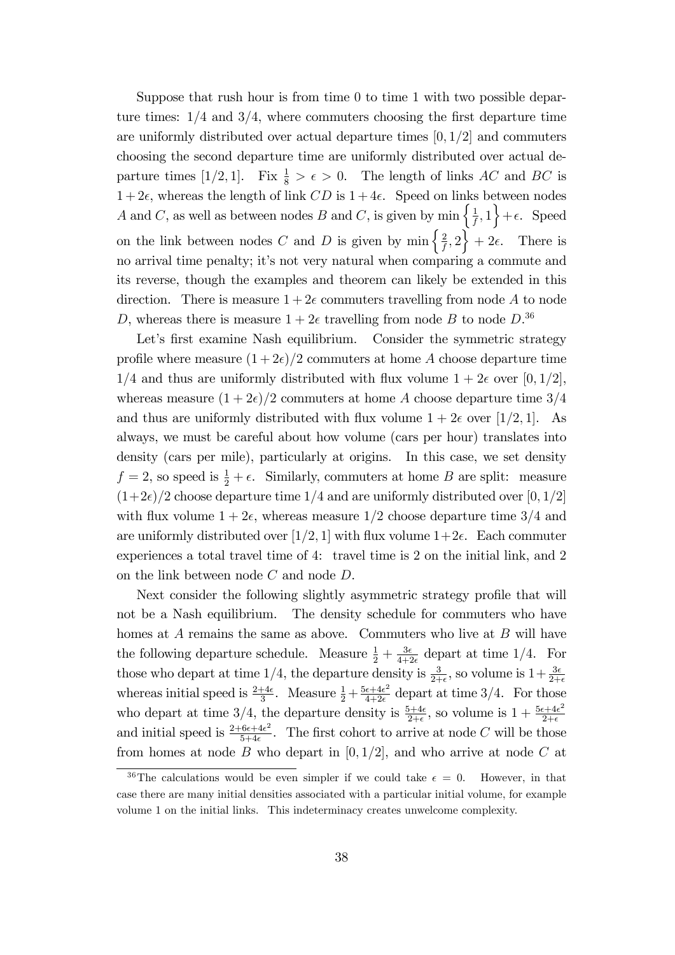Suppose that rush hour is from time 0 to time 1 with two possible departure times:  $1/4$  and  $3/4$ , where commuters choosing the first departure time are uniformly distributed over actual departure times  $[0, 1/2]$  and commuters choosing the second departure time are uniformly distributed over actual departure times [1/2, 1]. Fix  $\frac{1}{8} > \epsilon > 0$ . The length of links AC and BC is  $1+2\epsilon$ , whereas the length of link CD is  $1+4\epsilon$ . Speed on links between nodes A and C, as well as between nodes B and C, is given by  $\min \left\{ \frac{1}{t} \right\}$  $\left\{\frac{1}{f},1\right\}+\epsilon$ . Speed on the link between nodes C and D is given by  $\min \left\{ \frac{2}{t} \right\}$  $\left\{\frac{2}{f},2\right\}+2\epsilon$ . There is no arrival time penalty; it's not very natural when comparing a commute and its reverse, though the examples and theorem can likely be extended in this direction. There is measure  $1+2\epsilon$  commuters travelling from node A to node D, whereas there is measure  $1+2\epsilon$  travelling from node B to node  $D^{36}$ .

Let's first examine Nash equilibrium. Consider the symmetric strategy profile where measure  $(1+2\epsilon)/2$  commuters at home A choose departure time  $1/4$  and thus are uniformly distributed with flux volume  $1 + 2\epsilon$  over [0, 1/2], whereas measure  $(1+2\epsilon)/2$  commuters at home A choose departure time  $3/4$ and thus are uniformly distributed with flux volume  $1 + 2\epsilon$  over [1/2, 1]. As always, we must be careful about how volume (cars per hour) translates into density (cars per mile), particularly at origins. In this case, we set density  $f = 2$ , so speed is  $\frac{1}{2} + \epsilon$ . Similarly, commuters at home B are split: measure  $(1+2\epsilon)/2$  choose departure time 1/4 and are uniformly distributed over [0, 1/2] with flux volume  $1 + 2\epsilon$ , whereas measure  $1/2$  choose departure time  $3/4$  and are uniformly distributed over [1/2, 1] with flux volume  $1+2\epsilon$ . Each commuter experiences a total travel time of 4: travel time is 2 on the initial link, and 2 on the link between node  $C$  and node  $D$ .

Next consider the following slightly asymmetric strategy profile that will not be a Nash equilibrium. The density schedule for commuters who have homes at  $A$  remains the same as above. Commuters who live at  $B$  will have the following departure schedule. Measure  $\frac{1}{2} + \frac{3\epsilon}{4+i}$  $\frac{3\epsilon}{4+2\epsilon}$  depart at time 1/4. For those who depart at time 1/4, the departure density is  $\frac{3}{2+\epsilon}$ , so volume is  $1+\frac{3\epsilon}{2+\epsilon}$ whereas initial speed is  $\frac{2+4\epsilon}{3}$ . Measure  $\frac{1}{2} + \frac{5\epsilon + 4\epsilon^2}{4+2\epsilon}$  $rac{\epsilon+4\epsilon^2}{4+2\epsilon}$  depart at time 3/4. For those who depart at time 3/4, the departure density is  $\frac{5+4\epsilon}{2+\epsilon}$ , so volume is  $1 + \frac{5\epsilon + 4\epsilon^2}{2+\epsilon}$  $2+\epsilon$ and initial speed is  $\frac{2+6\epsilon+4\epsilon^2}{5+4\epsilon}$  $\frac{6\epsilon+4\epsilon^2}{5+4\epsilon}$ . The first cohort to arrive at node C will be those from homes at node B who depart in  $[0, 1/2]$ , and who arrive at node C at

<sup>&</sup>lt;sup>36</sup>The calculations would be even simpler if we could take  $\epsilon = 0$ . However, in that case there are many initial densities associated with a particular initial volume, for example volume 1 on the initial links. This indeterminacy creates unwelcome complexity.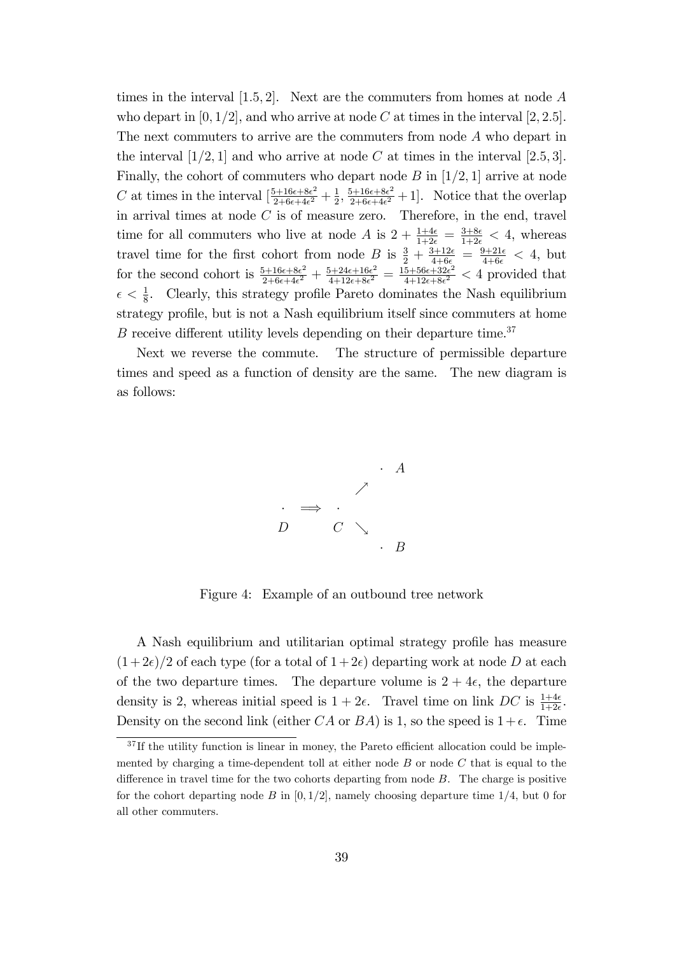times in the interval  $[1.5, 2]$ . Next are the commuters from homes at node A who depart in  $[0, 1/2]$ , and who arrive at node C at times in the interval  $[2, 2.5]$ . The next commuters to arrive are the commuters from node A who depart in the interval  $[1/2, 1]$  and who arrive at node C at times in the interval  $[2.5, 3]$ . Finally, the cohort of commuters who depart node  $B$  in [1/2, 1] arrive at node C at times in the interval  $\left[\frac{5+16\epsilon+8\epsilon^2}{2+6\epsilon+4\epsilon^2}\right]$  $\frac{5+16\epsilon+8\epsilon^2}{2+6\epsilon+4\epsilon^2}+\frac{1}{2}$  $\frac{1}{2}, \frac{5+16\epsilon+8\epsilon^2}{2+6\epsilon+4\epsilon^2}$  $\frac{2+16\epsilon+8\epsilon^2}{2+6\epsilon+4\epsilon^2}+1$ . Notice that the overlap in arrival times at node  $C$  is of measure zero. Therefore, in the end, travel time for all commuters who live at node A is  $2 + \frac{1+4\epsilon}{1+2\epsilon} = \frac{3+8\epsilon}{1+2\epsilon} < 4$ , whereas travel time for the first cohort from node B is  $\frac{3}{2} + \frac{3+12\epsilon}{4+6\epsilon} = \frac{9+21\epsilon}{4+6\epsilon} < 4$ , but for the second cohort is  $\frac{5+16\epsilon+8\epsilon^2}{2+6\epsilon+4\epsilon^2}$  $\frac{5+16\epsilon+8\epsilon^2}{2+6\epsilon+4\epsilon^2}+\frac{5+24\epsilon+16\epsilon^2}{4+12\epsilon+8\epsilon^2}$  $\frac{5+24\epsilon+16\epsilon^2}{4+12\epsilon+8\epsilon^2} = \frac{15+56\epsilon+32\epsilon^2}{4+12\epsilon+8\epsilon^2}$  $\frac{5+56\epsilon+32\epsilon^2}{4+12\epsilon+8\epsilon^2}$  < 4 provided that  $\epsilon < \frac{1}{8}$ . Clearly, this strategy profile Pareto dominates the Nash equilibrium strategy profile, but is not a Nash equilibrium itself since commuters at home  $B$  receive different utility levels depending on their departure time.<sup>37</sup>

Next we reverse the commute. The structure of permissible departure times and speed as a function of density are the same. The new diagram is as follows:



Figure 4: Example of an outbound tree network

A Nash equilibrium and utilitarian optimal strategy profile has measure  $(1+2\epsilon)/2$  of each type (for a total of  $1+2\epsilon$ ) departing work at node D at each of the two departure times. The departure volume is  $2 + 4\epsilon$ , the departure density is 2, whereas initial speed is  $1 + 2\epsilon$ . Travel time on link DC is  $\frac{1+4\epsilon}{1+2\epsilon}$ . Density on the second link (either CA or BA) is 1, so the speed is  $1+\epsilon$ . Time

 $37$  If the utility function is linear in money, the Pareto efficient allocation could be implemented by charging a time-dependent toll at either node  $B$  or node  $C$  that is equal to the difference in travel time for the two cohorts departing from node  $B$ . The charge is positive for the cohort departing node B in  $[0, 1/2]$ , namely choosing departure time  $1/4$ , but 0 for all other commuters.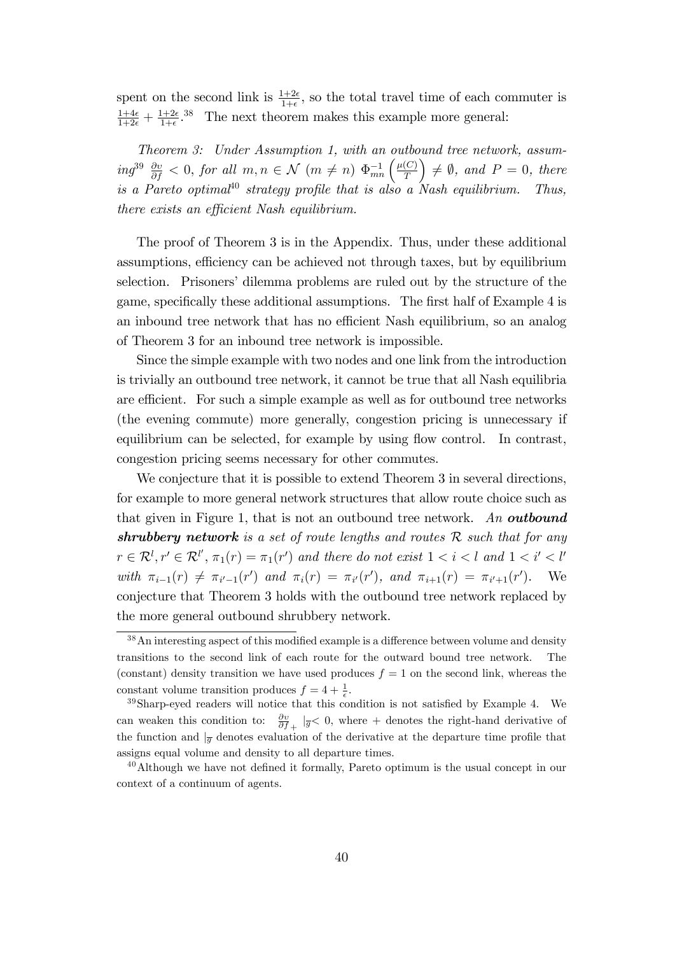spent on the second link is  $\frac{1+2\epsilon}{1+\epsilon}$ , so the total travel time of each commuter is  $\frac{1+4\epsilon}{1+2\epsilon}+\frac{1+2\epsilon}{1+\epsilon}$  $\frac{1+2\epsilon}{1+\epsilon}$ <sup>38</sup> The next theorem makes this example more general:

Theorem 3: Under Assumption 1, with an outbound tree network, assum- $\int_{m}^{39} \frac{\partial v}{\partial f}$  < 0, for all  $m, n \in \mathcal{N}$   $(m \neq n)$   $\Phi_{mn}^{-1}$   $\left(\frac{\mu(C)}{T}\right)$ T  $\Big) \neq \emptyset$ , and  $P = 0$ , there is a Pareto optimal<sup>40</sup> strategy profile that is also a Nash equilibrium. Thus, there exists an efficient Nash equilibrium.

The proof of Theorem 3 is in the Appendix. Thus, under these additional assumptions, efficiency can be achieved not through taxes, but by equilibrium selection. Prisoners' dilemma problems are ruled out by the structure of the game, specifically these additional assumptions. The first half of Example 4 is an inbound tree network that has no efficient Nash equilibrium, so an analog of Theorem 3 for an inbound tree network is impossible.

Since the simple example with two nodes and one link from the introduction is trivially an outbound tree network, it cannot be true that all Nash equilibria are efficient. For such a simple example as well as for outbound tree networks (the evening commute) more generally, congestion pricing is unnecessary if equilibrium can be selected, for example by using flow control. In contrast, congestion pricing seems necessary for other commutes.

We conjecture that it is possible to extend Theorem 3 in several directions, for example to more general network structures that allow route choice such as that given in Figure 1, that is not an outbound tree network. An **outbound** shrubbery network is a set of route lengths and routes  $R$  such that for any  $r \in \mathcal{R}^l, r' \in \mathcal{R}^{l'}, \pi_1(r) = \pi_1(r')$  and there do not exist  $1 < i < l$  and  $1 < i' < l'$ with  $\pi_{i-1}(r) \neq \pi_{i'-1}(r')$  and  $\pi_i(r) = \pi_{i'}(r')$ , and  $\pi_{i+1}(r) = \pi_{i'+1}(r')$ . We conjecture that Theorem 3 holds with the outbound tree network replaced by the more general outbound shrubbery network.

 $38$ An interesting aspect of this modified example is a difference between volume and density transitions to the second link of each route for the outward bound tree network. The (constant) density transition we have used produces  $f = 1$  on the second link, whereas the constant volume transition produces  $f = 4 + \frac{1}{\epsilon}$ .

 $39\$ Sharp-eyed readers will notice that this condition is not satisfied by Example 4. We can weaken this condition to:  $\frac{\partial v}{\partial f_+}$   $|_{\overline{g}} < 0$ , where + denotes the right-hand derivative of the function and  $|_{\overline{g}}$  denotes evaluation of the derivative at the departure time profile that assigns equal volume and density to all departure times.

 $^{40}$ Although we have not defined it formally, Pareto optimum is the usual concept in our context of a continuum of agents.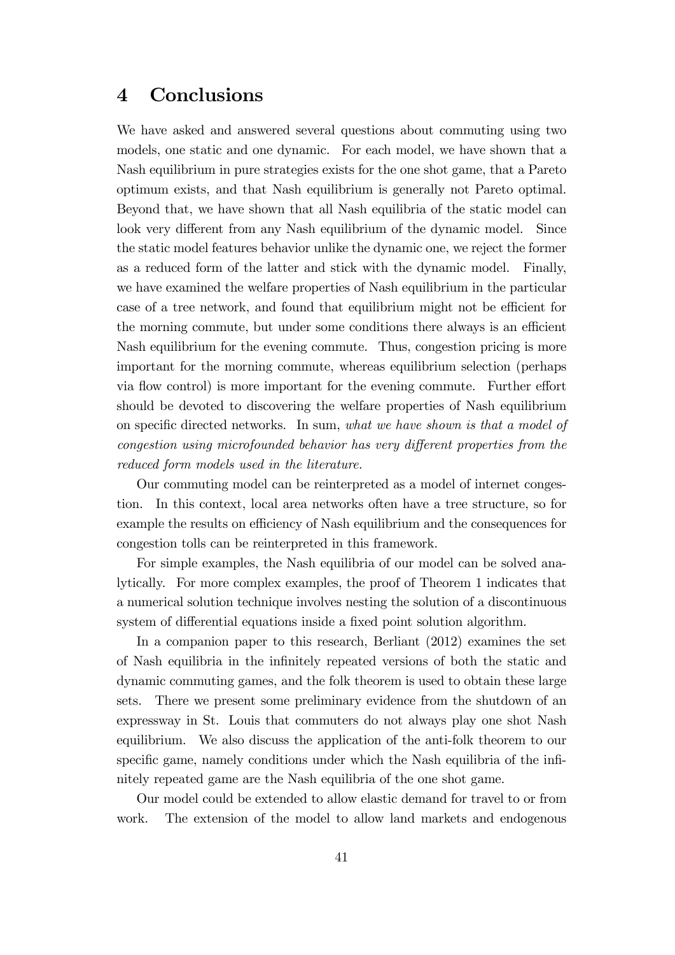## 4 Conclusions

We have asked and answered several questions about commuting using two models, one static and one dynamic. For each model, we have shown that a Nash equilibrium in pure strategies exists for the one shot game, that a Pareto optimum exists, and that Nash equilibrium is generally not Pareto optimal. Beyond that, we have shown that all Nash equilibria of the static model can look very different from any Nash equilibrium of the dynamic model. Since the static model features behavior unlike the dynamic one, we reject the former as a reduced form of the latter and stick with the dynamic model. Finally, we have examined the welfare properties of Nash equilibrium in the particular case of a tree network, and found that equilibrium might not be efficient for the morning commute, but under some conditions there always is an efficient Nash equilibrium for the evening commute. Thus, congestion pricing is more important for the morning commute, whereas equilibrium selection (perhaps via flow control) is more important for the evening commute. Further effort should be devoted to discovering the welfare properties of Nash equilibrium on specific directed networks. In sum, what we have shown is that a model of congestion using microfounded behavior has very different properties from the reduced form models used in the literature.

Our commuting model can be reinterpreted as a model of internet congestion. In this context, local area networks often have a tree structure, so for example the results on efficiency of Nash equilibrium and the consequences for congestion tolls can be reinterpreted in this framework.

For simple examples, the Nash equilibria of our model can be solved analytically. For more complex examples, the proof of Theorem 1 indicates that a numerical solution technique involves nesting the solution of a discontinuous system of differential equations inside a fixed point solution algorithm.

In a companion paper to this research, Berliant (2012) examines the set of Nash equilibria in the inÖnitely repeated versions of both the static and dynamic commuting games, and the folk theorem is used to obtain these large sets. There we present some preliminary evidence from the shutdown of an expressway in St. Louis that commuters do not always play one shot Nash equilibrium. We also discuss the application of the anti-folk theorem to our specific game, namely conditions under which the Nash equilibria of the infinitely repeated game are the Nash equilibria of the one shot game.

Our model could be extended to allow elastic demand for travel to or from work. The extension of the model to allow land markets and endogenous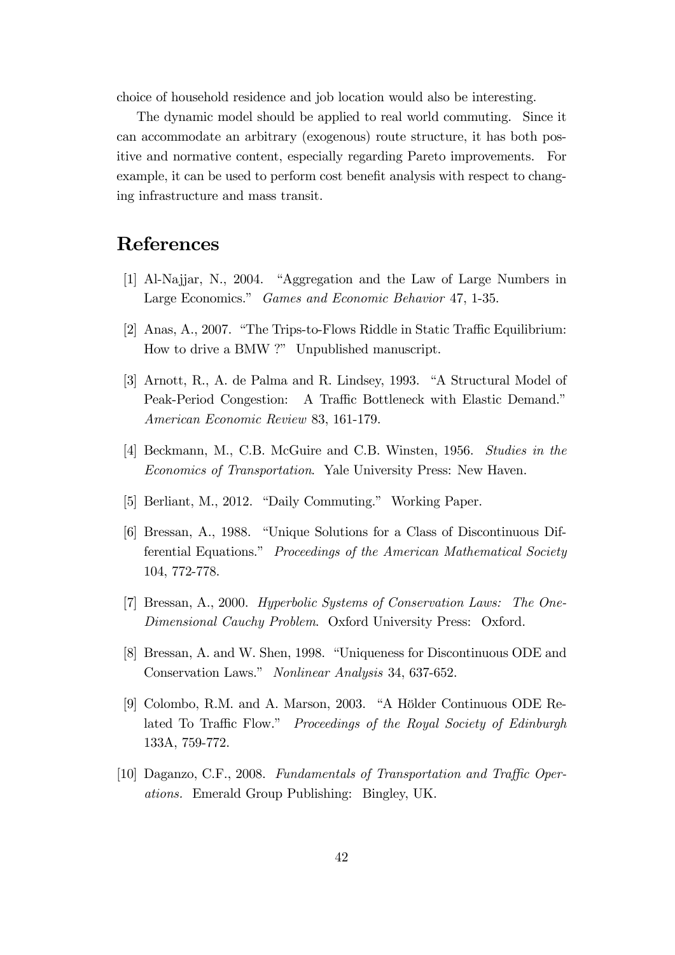choice of household residence and job location would also be interesting.

The dynamic model should be applied to real world commuting. Since it can accommodate an arbitrary (exogenous) route structure, it has both positive and normative content, especially regarding Pareto improvements. For example, it can be used to perform cost benefit analysis with respect to changing infrastructure and mass transit.

## References

- [1] Al-Najjar, N., 2004. "Aggregation and the Law of Large Numbers in Large Economics." Games and Economic Behavior 47, 1-35.
- [2] Anas, A., 2007. "The Trips-to-Flows Riddle in Static Traffic Equilibrium: How to drive a BMW ?" Unpublished manuscript.
- [3] Arnott, R., A. de Palma and R. Lindsey, 1993. "A Structural Model of Peak-Period Congestion: A Traffic Bottleneck with Elastic Demand.<sup>n</sup> American Economic Review 83, 161-179.
- [4] Beckmann, M., C.B. McGuire and C.B. Winsten, 1956. Studies in the Economics of Transportation. Yale University Press: New Haven.
- [5] Berliant, M., 2012. "Daily Commuting." Working Paper.
- [6] Bressan, A., 1988. "Unique Solutions for a Class of Discontinuous Differential Equations." Proceedings of the American Mathematical Society 104, 772-778.
- [7] Bressan, A., 2000. Hyperbolic Systems of Conservation Laws: The One-Dimensional Cauchy Problem. Oxford University Press: Oxford.
- [8] Bressan, A. and W. Shen, 1998. "Uniqueness for Discontinuous ODE and Conservation Laws." Nonlinear Analysis 34, 637-652.
- [9] Colombo, R.M. and A. Marson, 2003. "A Hölder Continuous ODE Related To Traffic Flow." Proceedings of the Royal Society of Edinburgh 133A, 759-772.
- [10] Daganzo, C.F., 2008. Fundamentals of Transportation and Traffic Operations. Emerald Group Publishing: Bingley, UK.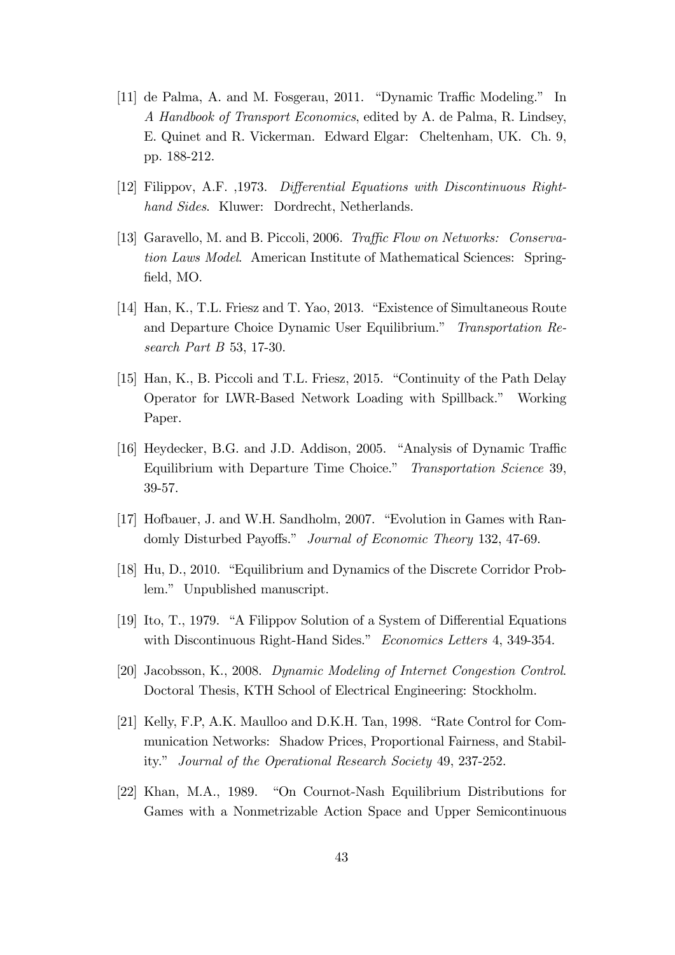- [11] de Palma, A. and M. Fosgerau, 2011. "Dynamic Traffic Modeling." In A Handbook of Transport Economics, edited by A. de Palma, R. Lindsey, E. Quinet and R. Vickerman. Edward Elgar: Cheltenham, UK. Ch. 9, pp. 188-212.
- [12] Filippov, A.F. ,1973. Differential Equations with Discontinuous Righthand Sides. Kluwer: Dordrecht, Netherlands.
- [13] Garavello, M. and B. Piccoli, 2006. Traffic Flow on Networks: Conservation Laws Model. American Institute of Mathematical Sciences: Springfield, MO.
- [14] Han, K., T.L. Friesz and T. Yao, 2013. "Existence of Simultaneous Route and Departure Choice Dynamic User Equilibrium." Transportation Research Part B 53, 17-30.
- [15] Han, K., B. Piccoli and T.L. Friesz, 2015. "Continuity of the Path Delay Operator for LWR-Based Network Loading with Spillback.î Working Paper.
- [16] Heydecker, B.G. and J.D. Addison, 2005. "Analysis of Dynamic Traffic Equilibrium with Departure Time Choice." Transportation Science 39, 39-57.
- [17] Hofbauer, J. and W.H. Sandholm, 2007. "Evolution in Games with Randomly Disturbed Payoffs." Journal of Economic Theory 132, 47-69.
- [18] Hu, D., 2010. "Equilibrium and Dynamics of the Discrete Corridor Problem." Unpublished manuscript.
- [19] Ito, T., 1979. "A Filippov Solution of a System of Differential Equations with Discontinuous Right-Hand Sides." Economics Letters 4, 349-354.
- [20] Jacobsson, K., 2008. Dynamic Modeling of Internet Congestion Control. Doctoral Thesis, KTH School of Electrical Engineering: Stockholm.
- [21] Kelly, F.P, A.K. Maulloo and D.K.H. Tan, 1998. "Rate Control for Communication Networks: Shadow Prices, Proportional Fairness, and Stability." Journal of the Operational Research Society 49, 237-252.
- [22] Khan, M.A., 1989. "On Cournot-Nash Equilibrium Distributions for Games with a Nonmetrizable Action Space and Upper Semicontinuous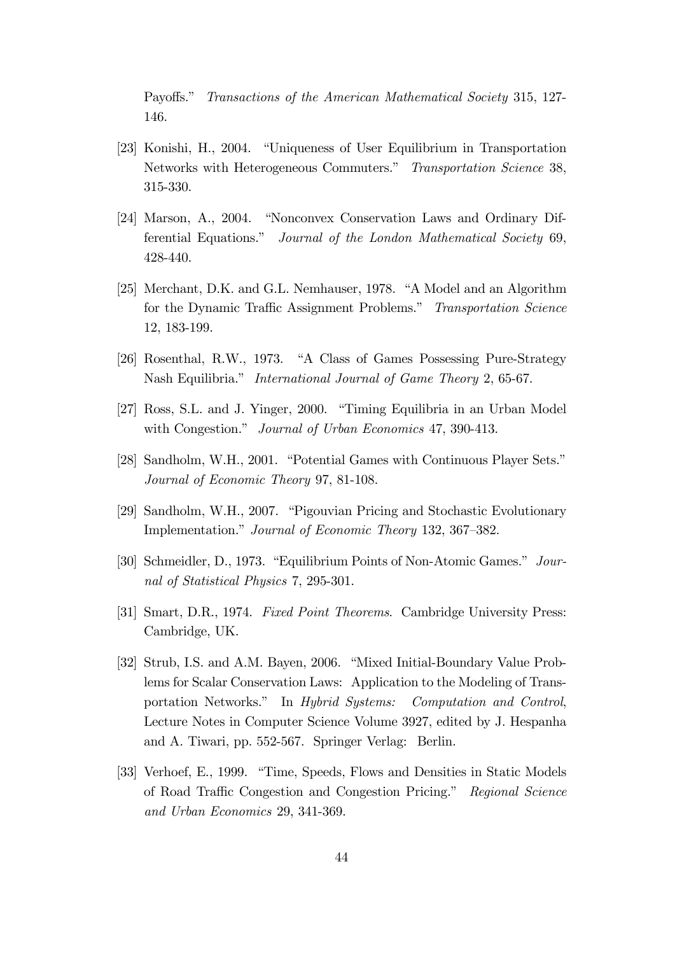Payoffs." Transactions of the American Mathematical Society 315, 127-146.

- [23] Konishi, H., 2004. "Uniqueness of User Equilibrium in Transportation Networks with Heterogeneous Commuters." Transportation Science 38, 315-330.
- [24] Marson, A., 2004. "Nonconvex Conservation Laws and Ordinary Differential Equations." Journal of the London Mathematical Society 69, 428-440.
- [25] Merchant, D.K. and G.L. Nemhauser, 1978. "A Model and an Algorithm for the Dynamic Traffic Assignment Problems." Transportation Science 12, 183-199.
- [26] Rosenthal, R.W., 1973. "A Class of Games Possessing Pure-Strategy Nash Equilibria." International Journal of Game Theory 2, 65-67.
- [27] Ross, S.L. and J. Yinger, 2000. "Timing Equilibria in an Urban Model with Congestion." Journal of Urban Economics 47, 390-413.
- [28] Sandholm, W.H., 2001. "Potential Games with Continuous Player Sets." Journal of Economic Theory 97, 81-108.
- [29] Sandholm, W.H., 2007. "Pigouvian Pricing and Stochastic Evolutionary Implementation." Journal of Economic Theory 132, 367–382.
- [30] Schmeidler, D., 1973. "Equilibrium Points of Non-Atomic Games." Journal of Statistical Physics 7, 295-301.
- [31] Smart, D.R., 1974. Fixed Point Theorems. Cambridge University Press: Cambridge, UK.
- [32] Strub, I.S. and A.M. Bayen, 2006. "Mixed Initial-Boundary Value Problems for Scalar Conservation Laws: Application to the Modeling of Transportation Networks." In Hybrid Systems: Computation and Control, Lecture Notes in Computer Science Volume 3927, edited by J. Hespanha and A. Tiwari, pp. 552-567. Springer Verlag: Berlin.
- [33] Verhoef, E., 1999. "Time, Speeds, Flows and Densities in Static Models of Road Traffic Congestion and Congestion Pricing." Regional Science and Urban Economics 29, 341-369.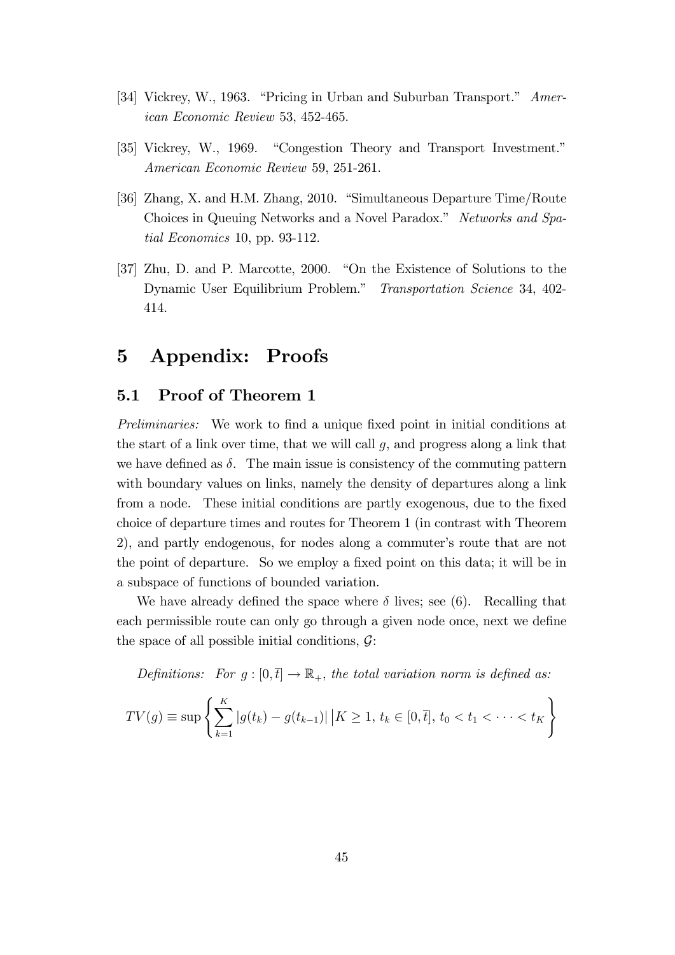- [34] Vickrey, W., 1963. "Pricing in Urban and Suburban Transport." American Economic Review 53, 452-465.
- [35] Vickrey, W., 1969. "Congestion Theory and Transport Investment." American Economic Review 59, 251-261.
- [36] Zhang, X. and H.M. Zhang, 2010. "Simultaneous Departure Time/Route Choices in Queuing Networks and a Novel Paradox." Networks and Spatial Economics 10, pp. 93-112.
- [37] Zhu, D. and P. Marcotte, 2000. "On the Existence of Solutions to the Dynamic User Equilibrium Problem." Transportation Science 34, 402-414.

## 5 Appendix: Proofs

### 5.1 Proof of Theorem 1

Preliminaries: We work to find a unique fixed point in initial conditions at the start of a link over time, that we will call  $g$ , and progress along a link that we have defined as  $\delta$ . The main issue is consistency of the commuting pattern with boundary values on links, namely the density of departures along a link from a node. These initial conditions are partly exogenous, due to the fixed choice of departure times and routes for Theorem 1 (in contrast with Theorem 2), and partly endogenous, for nodes along a commuter's route that are not the point of departure. So we employ a fixed point on this data; it will be in a subspace of functions of bounded variation.

We have already defined the space where  $\delta$  lives; see (6). Recalling that each permissible route can only go through a given node once, next we define the space of all possible initial conditions,  $\mathcal{G}$ :

Definitions: For  $g : [0, \bar{t}] \to \mathbb{R}_+$ , the total variation norm is defined as:

$$
TV(g) \equiv \sup \left\{ \sum_{k=1}^{K} |g(t_k) - g(t_{k-1})| \, \big| K \ge 1, \, t_k \in [0, \overline{t}], \, t_0 < t_1 < \cdots < t_K \right\}
$$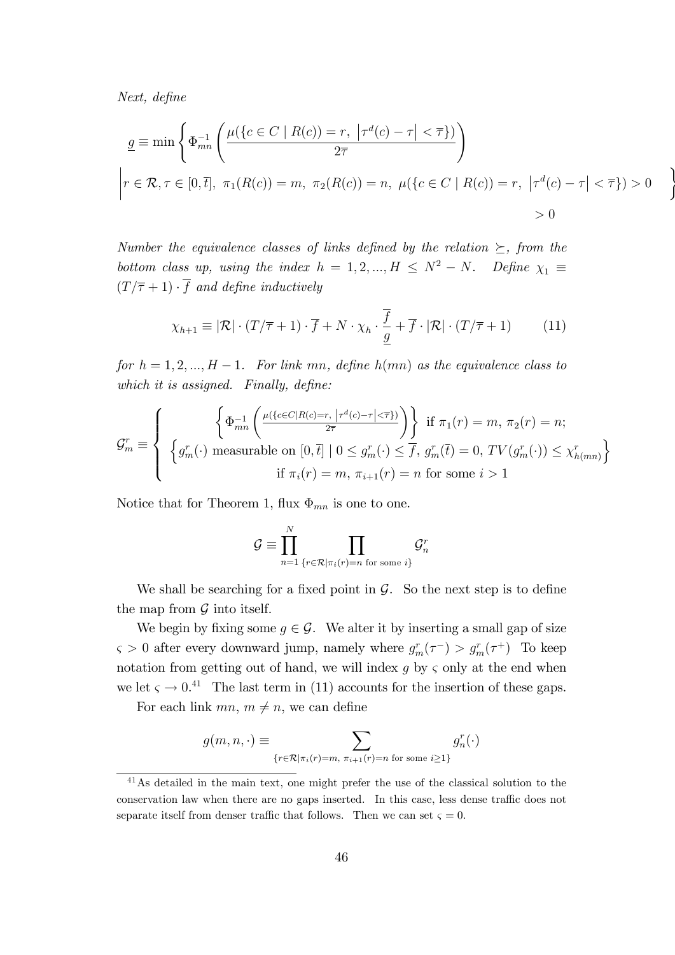Next, define

$$
\underline{g} \equiv \min \left\{ \Phi_{mn}^{-1} \left( \frac{\mu(\{c \in C \mid R(c)) = r, \ |\tau^d(c) - \tau| < \overline{\tau} \})}{2\overline{\tau}} \right) \right\}
$$
\n
$$
\left| r \in \mathcal{R}, \tau \in [0, \overline{t}], \ \pi_1(R(c)) = m, \ \pi_2(R(c)) = n, \ \mu(\{c \in C \mid R(c)) = r, \ |\tau^d(c) - \tau| < \overline{\tau} \}) > 0
$$
\n
$$
> 0
$$

 $\lambda$ 

Number the equivalence classes of links defined by the relation  $\succeq$ , from the bottom class up, using the index  $h = 1, 2, ..., H \leq N^2 - N$ . Define  $\chi_1 \equiv$  $(T/\overline{\tau} + 1) \cdot \overline{f}$  and define inductively

$$
\chi_{h+1} \equiv |\mathcal{R}| \cdot (T/\overline{\tau} + 1) \cdot \overline{f} + N \cdot \chi_h \cdot \frac{\overline{f}}{\underline{g}} + \overline{f} \cdot |\mathcal{R}| \cdot (T/\overline{\tau} + 1) \tag{11}
$$

for  $h = 1, 2, ..., H - 1$ . For link mn, define  $h(mn)$  as the equivalence class to which it is assigned. Finally, define:

$$
\mathcal{G}_m^r \equiv \left\{ \begin{array}{c} \left\{ \Phi_{mn}^{-1} \left( \frac{\mu(\{c \in C | R(c) = r, \, \left| \tau^d(c) - \tau \right| < \overline{\tau} \})}{2\overline{\tau}} \right) \right\} & \text{if } \pi_1(r) = m, \, \pi_2(r) = n; \\ \left\{ g_m^r(\cdot) \text{ measurable on } [0, \overline{t}] \mid 0 \le g_m^r(\cdot) \le \overline{f}, \, g_m^r(\overline{t}) = 0, \, TV(g_m^r(\cdot)) \le \chi_{h(mn)}^r \right\} \\ & \text{if } \pi_i(r) = m, \, \pi_{i+1}(r) = n \text{ for some } i > 1 \end{array} \right\}
$$

Notice that for Theorem 1, flux  $\Phi_{mn}$  is one to one.

$$
\mathcal{G} \equiv \prod_{n=1}^N \prod_{\{r \in \mathcal{R} \mid \pi_i(r) = n \text{ for some } i\}} \mathcal{G}^r_n
$$

We shall be searching for a fixed point in  $\mathcal{G}$ . So the next step is to define the map from  $\mathcal G$  into itself.

We begin by fixing some  $g \in \mathcal{G}$ . We alter it by inserting a small gap of size  $\varsigma > 0$  after every downward jump, namely where  $g_m^r(\tau^-) > g_m^r(\tau^+)$  To keep notation from getting out of hand, we will index  $g$  by  $\zeta$  only at the end when we let  $\varsigma \to 0.41$  The last term in (11) accounts for the insertion of these gaps.

For each link  $mn, m \neq n$ , we can define

$$
g(m, n, \cdot) \equiv \sum_{\{r \in \mathcal{R} \mid \pi_i(r) = m, \pi_{i+1}(r) = n \text{ for some } i \ge 1\}} g_n^r(\cdot)
$$

<sup>41</sup>As detailed in the main text, one might prefer the use of the classical solution to the conservation law when there are no gaps inserted. In this case, less dense traffic does not separate itself from denser traffic that follows. Then we can set  $\zeta = 0$ .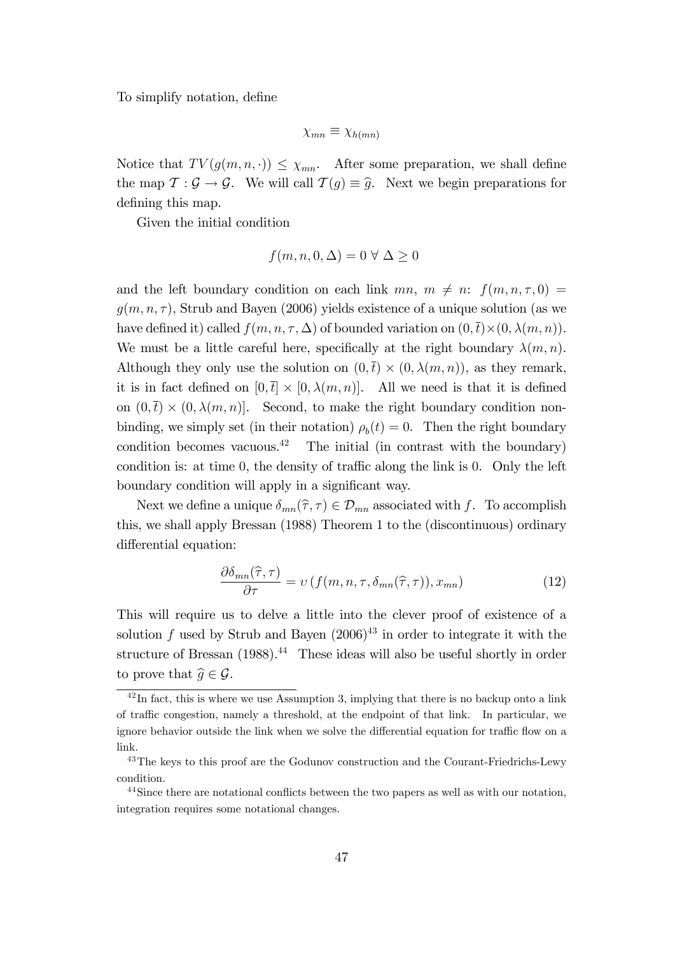To simplify notation, define

$$
\chi_{mn} \equiv \chi_{h(mn)}
$$

Notice that  $TV(g(m, n, \cdot)) \leq \chi_{mn}$ . After some preparation, we shall define the map  $\mathcal{T} : \mathcal{G} \to \mathcal{G}$ . We will call  $\mathcal{T}(g) \equiv \hat{g}$ . Next we begin preparations for defining this map.

Given the initial condition

$$
f(m, n, 0, \Delta) = 0 \,\forall \,\Delta \ge 0
$$

and the left boundary condition on each link  $mn, m \neq n: f(m, n, \tau, 0)$  $q(m, n, \tau)$ , Strub and Bayen (2006) yields existence of a unique solution (as we have defined it) called  $f(m, n, \tau, \Delta)$  of bounded variation on  $(0, \bar{t}) \times (0, \lambda(m, n)).$ We must be a little careful here, specifically at the right boundary  $\lambda(m, n)$ . Although they only use the solution on  $(0, \bar{t}) \times (0, \lambda(m, n))$ , as they remark, it is in fact defined on  $[0, \bar{t}] \times [0, \lambda(m, n)]$ . All we need is that it is defined on  $(0, \bar{t}) \times (0, \lambda(m, n))$ . Second, to make the right boundary condition nonbinding, we simply set (in their notation)  $\rho_b(t) = 0$ . Then the right boundary condition becomes vacuous.<sup>42</sup> The initial (in contrast with the boundary) condition is: at time  $0$ , the density of traffic along the link is  $0$ . Only the left boundary condition will apply in a significant way.

Next we define a unique  $\delta_{mn}(\hat{\tau}, \tau) \in \mathcal{D}_{mn}$  associated with f. To accomplish this, we shall apply Bressan (1988) Theorem 1 to the (discontinuous) ordinary differential equation:

$$
\frac{\partial \delta_{mn}(\hat{\tau}, \tau)}{\partial \tau} = \nu \left( f(m, n, \tau, \delta_{mn}(\hat{\tau}, \tau)), x_{mn} \right) \tag{12}
$$

This will require us to delve a little into the clever proof of existence of a solution  $f$  used by Strub and Bayen  $(2006)^{43}$  in order to integrate it with the structure of Bressan  $(1988).<sup>44</sup>$  These ideas will also be useful shortly in order to prove that  $\widehat{q} \in \mathcal{G}$ .

 $42$ In fact, this is where we use Assumption 3, implying that there is no backup onto a link of traffic congestion, namely a threshold, at the endpoint of that link. In particular, we ignore behavior outside the link when we solve the differential equation for traffic flow on a link.

<sup>&</sup>lt;sup>43</sup>The keys to this proof are the Godunov construction and the Courant-Friedrichs-Lewy condition.

<sup>&</sup>lt;sup>44</sup>Since there are notational conflicts between the two papers as well as with our notation. integration requires some notational changes.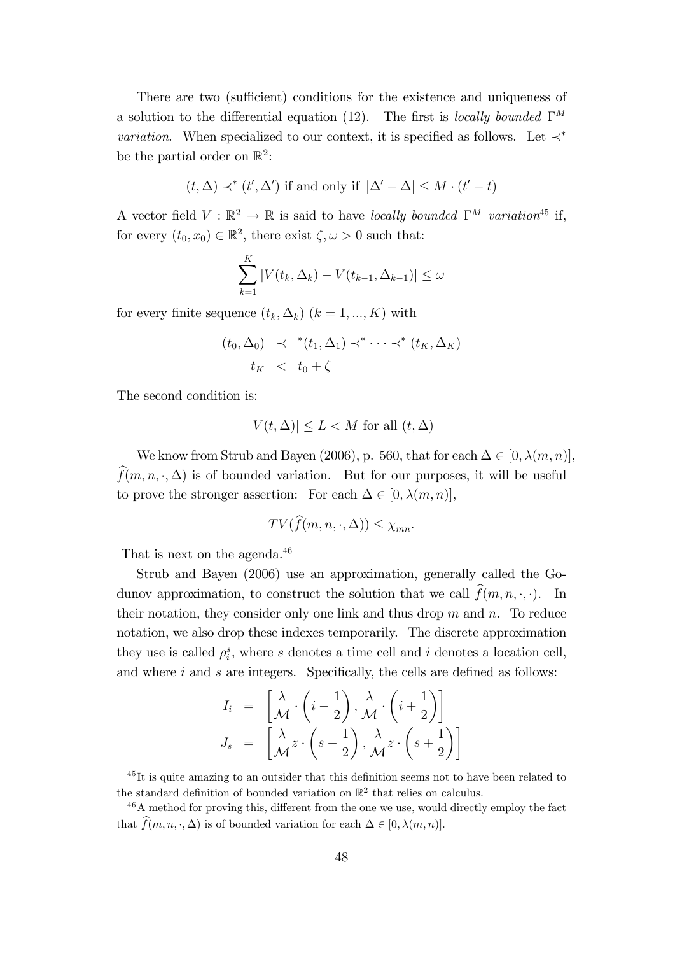There are two (sufficient) conditions for the existence and uniqueness of a solution to the differential equation (12). The first is locally bounded  $\Gamma^M$ *variation*. When specialized to our context, it is specified as follows. Let  $\prec^*$ be the partial order on  $\mathbb{R}^2$ :

$$
(t, \Delta) \prec^* (t', \Delta')
$$
 if and only if  $|\Delta' - \Delta| \leq M \cdot (t' - t)$ 

A vector field  $V : \mathbb{R}^2 \to \mathbb{R}$  is said to have locally bounded  $\Gamma^M$  variation<sup>45</sup> if, for every  $(t_0, x_0) \in \mathbb{R}^2$ , there exist  $\zeta, \omega > 0$  such that:

$$
\sum_{k=1}^{K} |V(t_k, \Delta_k) - V(t_{k-1}, \Delta_{k-1})| \le \omega
$$

for every finite sequence  $(t_k, \Delta_k)$   $(k = 1, ..., K)$  with

$$
(t_0, \Delta_0) \prec^*(t_1, \Delta_1) \prec^* \cdots \prec^*(t_K, \Delta_K)
$$
  

$$
t_K \prec t_0 + \zeta
$$

The second condition is:

$$
|V(t, \Delta)| \le L < M \text{ for all } (t, \Delta)
$$

We know from Strub and Bayen (2006), p. 560, that for each  $\Delta \in [0, \lambda(m, n)],$  $\widehat{f}(m, n, \cdot, \Delta)$  is of bounded variation. But for our purposes, it will be useful to prove the stronger assertion: For each  $\Delta \in [0, \lambda(m, n)],$ 

$$
TV(f(m, n, \cdot, \Delta)) \leq \chi_{mn}.
$$

That is next on the agenda.<sup>46</sup>

Strub and Bayen (2006) use an approximation, generally called the Godunov approximation, to construct the solution that we call  $\widehat{f}(m, n, \cdot, \cdot)$ . In their notation, they consider only one link and thus drop  $m$  and  $n$ . To reduce notation, we also drop these indexes temporarily. The discrete approximation they use is called  $\rho_i^s$ , where s denotes a time cell and i denotes a location cell, and where  $i$  and  $s$  are integers. Specifically, the cells are defined as follows:

$$
I_i = \left[\frac{\lambda}{\mathcal{M}} \cdot \left(i - \frac{1}{2}\right), \frac{\lambda}{\mathcal{M}} \cdot \left(i + \frac{1}{2}\right)\right]
$$

$$
J_s = \left[\frac{\lambda}{\mathcal{M}} z \cdot \left(s - \frac{1}{2}\right), \frac{\lambda}{\mathcal{M}} z \cdot \left(s + \frac{1}{2}\right)\right]
$$

 $\frac{45}{11}$  is quite amazing to an outsider that this definition seems not to have been related to the standard definition of bounded variation on  $\mathbb{R}^2$  that relies on calculus.

 $46A$  method for proving this, different from the one we use, would directly employ the fact that  $\widehat{f}(m, n, \cdot, \Delta)$  is of bounded variation for each  $\Delta \in [0, \lambda(m, n)].$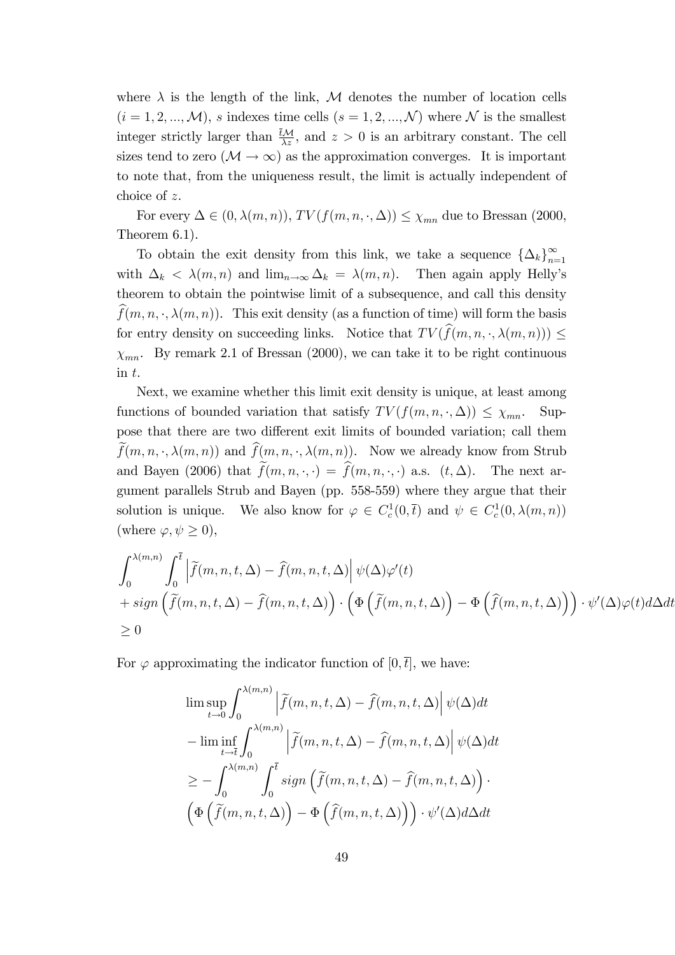where  $\lambda$  is the length of the link, M denotes the number of location cells  $(i = 1, 2, ..., \mathcal{M})$ , s indexes time cells  $(s = 1, 2, ..., \mathcal{N})$  where N is the smallest integer strictly larger than  $\frac{tM}{\lambda z}$ , and  $z > 0$  is an arbitrary constant. The cell sizes tend to zero  $(M \to \infty)$  as the approximation converges. It is important to note that, from the uniqueness result, the limit is actually independent of choice of z.

For every  $\Delta \in (0, \lambda(m, n)), TV(f(m, n, \cdot, \Delta)) \leq \chi_{mn}$  due to Bressan (2000, Theorem 6.1).

To obtain the exit density from this link, we take a sequence  $\{\Delta_k\}_{k=1}^{\infty}$ with  $\Delta_k < \lambda(m, n)$  and  $\lim_{n\to\infty} \Delta_k = \lambda(m, n)$ . Then again apply Helly's theorem to obtain the pointwise limit of a subsequence, and call this density  $f(m, n, \cdot, \lambda(m, n))$ . This exit density (as a function of time) will form the basis for entry density on succeeding links. Notice that  $TV(\widehat{f}(m, n, \cdot, \lambda(m, n))) \leq$  $\chi_{mn}$ . By remark 2.1 of Bressan (2000), we can take it to be right continuous in t.

Next, we examine whether this limit exit density is unique, at least among functions of bounded variation that satisfy  $TV(f(m, n, \cdot, \Delta)) \leq \chi_{mn}$ . Suppose that there are two different exit limits of bounded variation; call them  $f(m, n, \cdot, \lambda(m, n))$  and  $f(m, n, \cdot, \lambda(m, n))$ . Now we already know from Strub and Bayen (2006) that  $\tilde{f}(m, n, \cdot, \cdot) = \hat{f}(m, n, \cdot, \cdot)$  a.s.  $(t, \Delta)$ . The next argument parallels Strub and Bayen (pp. 558-559) where they argue that their solution is unique. We also know for  $\varphi \in C_c^1(0, \bar{t})$  and  $\psi \in C_c^1(0, \lambda(m, n))$ (where  $\varphi, \psi \geq 0$ ),

$$
\int_0^{\lambda(m,n)} \int_0^{\overline{t}} \left| \tilde{f}(m,n,t,\Delta) - \hat{f}(m,n,t,\Delta) \right| \psi(\Delta) \varphi'(t)
$$
  
+ sign  $\left( \tilde{f}(m,n,t,\Delta) - \hat{f}(m,n,t,\Delta) \right) \cdot \left( \Phi \left( \tilde{f}(m,n,t,\Delta) \right) - \Phi \left( \hat{f}(m,n,t,\Delta) \right) \right) \cdot \psi'(\Delta) \varphi(t) d\Delta dt$   
 $\geq 0$ 

For  $\varphi$  approximating the indicator function of  $[0,\bar{t}]$ , we have:

$$
\limsup_{t \to 0} \int_0^{\lambda(m,n)} \left| \tilde{f}(m,n,t,\Delta) - \hat{f}(m,n,t,\Delta) \right| \psi(\Delta) dt
$$
  
\n
$$
- \liminf_{t \to \bar{t}} \int_0^{\lambda(m,n)} \left| \tilde{f}(m,n,t,\Delta) - \hat{f}(m,n,t,\Delta) \right| \psi(\Delta) dt
$$
  
\n
$$
\geq - \int_0^{\lambda(m,n)} \int_0^{\bar{t}} sign \left( \tilde{f}(m,n,t,\Delta) - \hat{f}(m,n,t,\Delta) \right) \cdot \left( \Phi \left( \tilde{f}(m,n,t,\Delta) \right) - \Phi \left( \hat{f}(m,n,t,\Delta) \right) \right) \cdot \psi'(\Delta) d\Delta dt
$$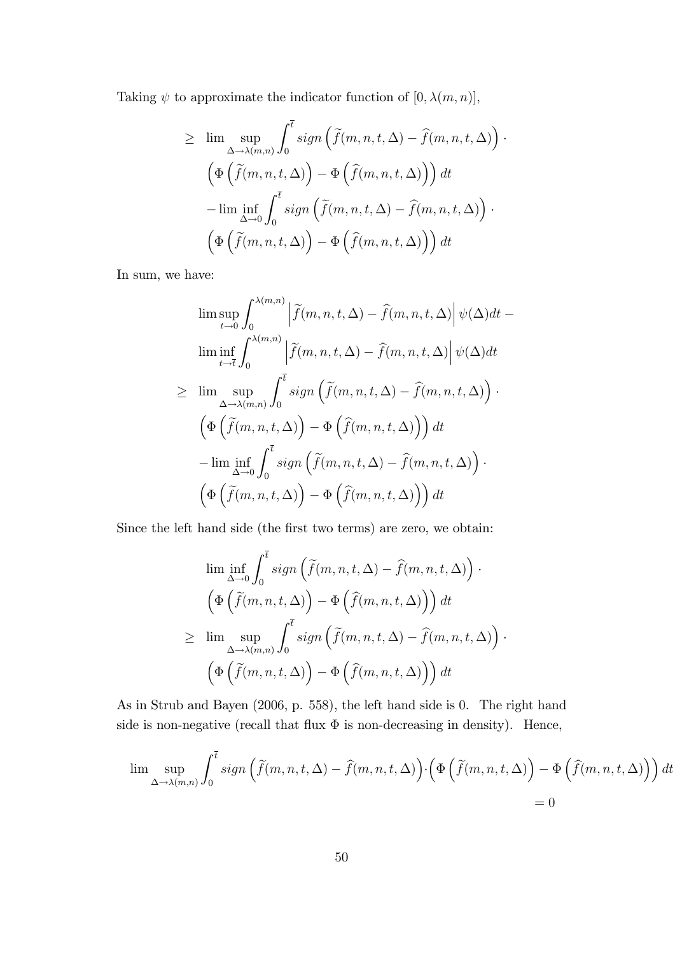Taking  $\psi$  to approximate the indicator function of  $[0, \lambda(m, n)],$ 

$$
\geq \lim_{\Delta \to \lambda(m,n)} \sup_{\mathbf{0}} \int_0^{\overline{t}} sign\left(\tilde{f}(m,n,t,\Delta) - \hat{f}(m,n,t,\Delta)\right) \cdot
$$

$$
\left(\Phi\left(\tilde{f}(m,n,t,\Delta)\right) - \Phi\left(\hat{f}(m,n,t,\Delta)\right)\right) dt
$$

$$
-\lim_{\Delta \to 0} \inf_{\mathbf{0}} \int_0^{\overline{t}} sign\left(\tilde{f}(m,n,t,\Delta) - \hat{f}(m,n,t,\Delta)\right) \cdot
$$

$$
\left(\Phi\left(\tilde{f}(m,n,t,\Delta)\right) - \Phi\left(\hat{f}(m,n,t,\Delta)\right)\right) dt
$$

In sum, we have:

$$
\limsup_{t \to 0} \int_0^{\lambda(m,n)} \left| \tilde{f}(m,n,t,\Delta) - \hat{f}(m,n,t,\Delta) \right| \psi(\Delta) dt -
$$
  
\n
$$
\liminf_{t \to \bar{t}} \int_0^{\lambda(m,n)} \left| \tilde{f}(m,n,t,\Delta) - \hat{f}(m,n,t,\Delta) \right| \psi(\Delta) dt
$$
  
\n
$$
\geq \limsup_{\Delta \to \lambda(m,n)} \int_0^{\bar{t}} sign \left( \tilde{f}(m,n,t,\Delta) - \hat{f}(m,n,t,\Delta) \right) .
$$
  
\n
$$
\left( \Phi \left( \tilde{f}(m,n,t,\Delta) \right) - \Phi \left( \hat{f}(m,n,t,\Delta) \right) \right) dt
$$
  
\n
$$
- \liminf_{\Delta \to 0} \int_0^{\bar{t}} sign \left( \tilde{f}(m,n,t,\Delta) - \hat{f}(m,n,t,\Delta) \right) .
$$
  
\n
$$
\left( \Phi \left( \tilde{f}(m,n,t,\Delta) \right) - \Phi \left( \hat{f}(m,n,t,\Delta) \right) \right) dt
$$

Since the left hand side (the first two terms) are zero, we obtain:

$$
\liminf_{\Delta \to 0} \int_0^{\overline{t}} sign\left(\tilde{f}(m, n, t, \Delta) - \hat{f}(m, n, t, \Delta)\right) \cdot
$$

$$
\left(\Phi\left(\tilde{f}(m, n, t, \Delta)\right) - \Phi\left(\hat{f}(m, n, t, \Delta)\right)\right) dt
$$

$$
\geq \limsup_{\Delta \to \lambda(m, n)} \int_0^{\overline{t}} sign\left(\tilde{f}(m, n, t, \Delta) - \hat{f}(m, n, t, \Delta)\right) \cdot
$$

$$
\left(\Phi\left(\tilde{f}(m, n, t, \Delta)\right) - \Phi\left(\hat{f}(m, n, t, \Delta)\right)\right) dt
$$

As in Strub and Bayen (2006, p. 558), the left hand side is 0. The right hand side is non-negative (recall that flux  $\Phi$  is non-decreasing in density). Hence,

$$
\lim_{\Delta \to \lambda(m,n)} \int_0^{\overline{t}} \operatorname{sign}\left(\widetilde{f}(m,n,t,\Delta) - \widehat{f}(m,n,t,\Delta)\right) \cdot \left(\Phi\left(\widetilde{f}(m,n,t,\Delta)\right) - \Phi\left(\widehat{f}(m,n,t,\Delta)\right)\right) dt
$$
  
= 0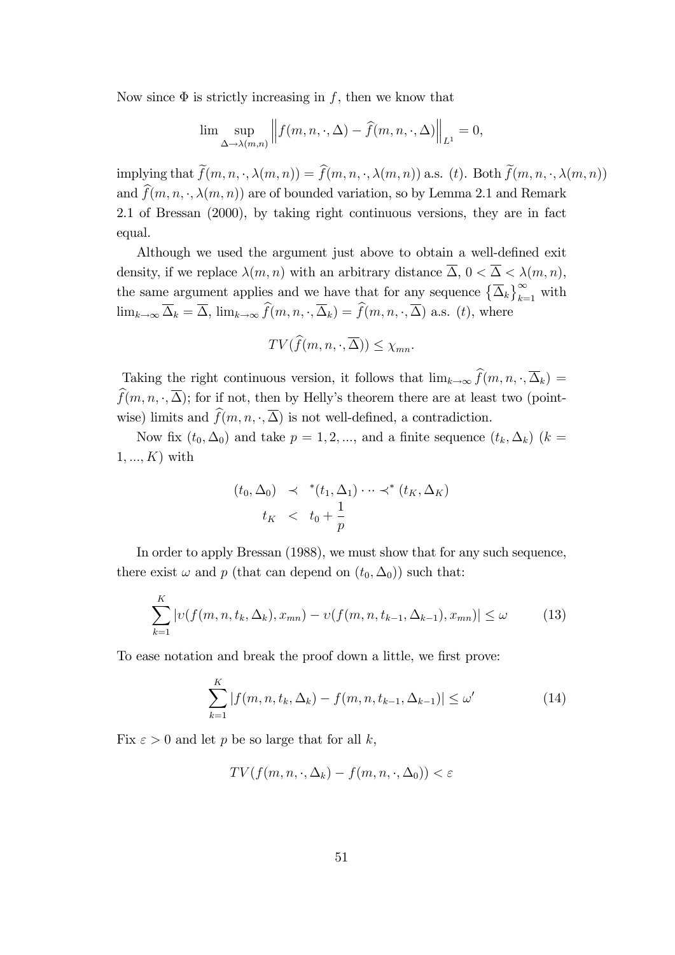Now since  $\Phi$  is strictly increasing in f, then we know that

$$
\lim_{\Delta \to \lambda(m,n)} \left\| f(m,n,\cdot,\Delta) - \hat{f}(m,n,\cdot,\Delta) \right\|_{L^1} = 0,
$$

implying that  $\widetilde{f}(m, n, \cdot, \lambda(m, n)) = \widehat{f}(m, n, \cdot, \lambda(m, n))$  a.s. (t). Both  $\widetilde{f}(m, n, \cdot, \lambda(m, n))$ and  $\widehat{f}(m, n, \cdot, \lambda(m, n))$  are of bounded variation, so by Lemma 2.1 and Remark 2.1 of Bressan (2000), by taking right continuous versions, they are in fact equal.

Although we used the argument just above to obtain a well-defined exit density, if we replace  $\lambda(m, n)$  with an arbitrary distance  $\overline{\Delta}$ ,  $0 < \overline{\Delta} < \lambda(m, n)$ , the same argument applies and we have that for any sequence  $\left\{\overline{\Delta}_k\right\}_{k=1}^{\infty}$  with  $\lim_{k\to\infty}\overline{\Delta}_k = \overline{\Delta}$ ,  $\lim_{k\to\infty}\widehat{f}(m, n, \cdot, \overline{\Delta}_k) = \widehat{f}(m, n, \cdot, \overline{\Delta})$  a.s. (t), where

$$
TV(\widehat{f}(m, n, \cdot, \overline{\Delta})) \le \chi_{mn}.
$$

Taking the right continuous version, it follows that  $\lim_{k\to\infty} \hat{f}(m, n, \cdot, \overline{\Delta}_k) =$  $\widehat{f}(m, n, \cdot, \overline{\Delta})$ ; for if not, then by Helly's theorem there are at least two (pointwise) limits and  $\widehat{f}(m, n, \cdot, \overline{\Delta})$  is not well-defined, a contradiction.

Now fix  $(t_0, \Delta_0)$  and take  $p = 1, 2, ...,$  and a finite sequence  $(t_k, \Delta_k)$   $(k =$  $1, ..., K$ ) with

$$
(t_0, \Delta_0) \prec^*(t_1, \Delta_1) \cdots \prec^*(t_K, \Delta_K)
$$
  

$$
t_K \prec t_0 + \frac{1}{p}
$$

In order to apply Bressan (1988), we must show that for any such sequence, there exist  $\omega$  and p (that can depend on  $(t_0, \Delta_0)$ ) such that:

$$
\sum_{k=1}^{K} |v(f(m, n, t_k, \Delta_k), x_{mn}) - v(f(m, n, t_{k-1}, \Delta_{k-1}), x_{mn})| \le \omega
$$
 (13)

To ease notation and break the proof down a little, we first prove:

$$
\sum_{k=1}^{K} |f(m, n, t_k, \Delta_k) - f(m, n, t_{k-1}, \Delta_{k-1})| \le \omega'
$$
 (14)

Fix  $\varepsilon > 0$  and let p be so large that for all k,

$$
TV(f(m, n, \cdot, \Delta_k) - f(m, n, \cdot, \Delta_0)) < \varepsilon
$$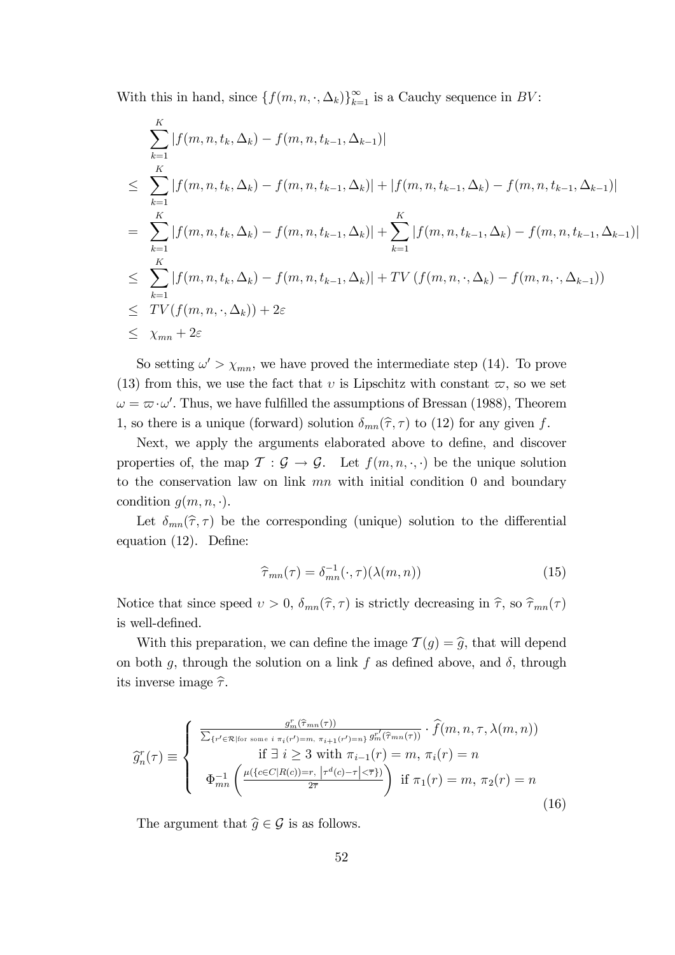With this in hand, since  $\{f(m, n, \cdot, \Delta_k)\}_{k=1}^{\infty}$  is a Cauchy sequence in  $BV$ :

$$
\sum_{k=1}^{K} |f(m, n, t_k, \Delta_k) - f(m, n, t_{k-1}, \Delta_{k-1})|
$$
\n
$$
\leq \sum_{k=1}^{K} |f(m, n, t_k, \Delta_k) - f(m, n, t_{k-1}, \Delta_k)| + |f(m, n, t_{k-1}, \Delta_k) - f(m, n, t_{k-1}, \Delta_{k-1})|
$$
\n
$$
= \sum_{k=1}^{K} |f(m, n, t_k, \Delta_k) - f(m, n, t_{k-1}, \Delta_k)| + \sum_{k=1}^{K} |f(m, n, t_{k-1}, \Delta_k) - f(m, n, t_{k-1}, \Delta_{k-1})|
$$
\n
$$
\leq \sum_{k=1}^{K} |f(m, n, t_k, \Delta_k) - f(m, n, t_{k-1}, \Delta_k)| + TV (f(m, n, \cdot, \Delta_k) - f(m, n, \cdot, \Delta_{k-1}))
$$
\n
$$
\leq TV(f(m, n, \cdot, \Delta_k)) + 2\varepsilon
$$
\n
$$
\leq \chi_{mn} + 2\varepsilon
$$

So setting  $\omega' > \chi_{mn}$ , we have proved the intermediate step (14). To prove (13) from this, we use the fact that v is Lipschitz with constant  $\varpi$ , so we set  $\omega = \varpi \cdot \omega'$ . Thus, we have fulfilled the assumptions of Bressan (1988), Theorem 1, so there is a unique (forward) solution  $\delta_{mn}(\hat{\tau}, \tau)$  to (12) for any given f.

Next, we apply the arguments elaborated above to define, and discover properties of, the map  $\mathcal{T}: \mathcal{G} \to \mathcal{G}$ . Let  $f(m, n, \cdot, \cdot)$  be the unique solution to the conservation law on link  $mn$  with initial condition 0 and boundary condition  $g(m, n, \cdot)$ .

Let  $\delta_{mn}(\hat{\tau}, \tau)$  be the corresponding (unique) solution to the differential equation  $(12)$ . Define:

$$
\widehat{\tau}_{mn}(\tau) = \delta_{mn}^{-1}(\cdot, \tau)(\lambda(m, n)) \tag{15}
$$

Notice that since speed  $v > 0$ ,  $\delta_{mn}(\hat{\tau}, \tau)$  is strictly decreasing in  $\hat{\tau}$ , so  $\hat{\tau}_{mn}(\tau)$ is well-defined.

With this preparation, we can define the image  $\mathcal{T}(g) = \hat{g}$ , that will depend on both g, through the solution on a link f as defined above, and  $\delta$ , through its inverse image  $\hat{\tau}$ .

$$
\widehat{g}_n^r(\tau) \equiv \begin{cases}\n\frac{g_m^r(\widehat{\tau}_{mn}(\tau))}{\sum_{\{r' \in \mathcal{R} \mid \text{for some } i \pi_i(r') = m, \pi_{i+1}(r') = n\}} g_m^{r'}(\widehat{\tau}_{mn}(\tau))} \cdot \widehat{f}(m, n, \tau, \lambda(m, n)) \\
\text{if } \exists i \geq 3 \text{ with } \pi_{i-1}(r) = m, \pi_i(r) = n \\
\Phi_{mn}^{-1} \left( \frac{\mu(\{c \in C | R(c) = r, \, |\tau^d(c) - \tau| < \overline{\tau}\})}{2\overline{\tau}} \right) & \text{if } \pi_1(r) = m, \pi_2(r) = n\n\end{cases}
$$
\n(16)

The argument that  $\widehat{g} \in \mathcal{G}$  is as follows.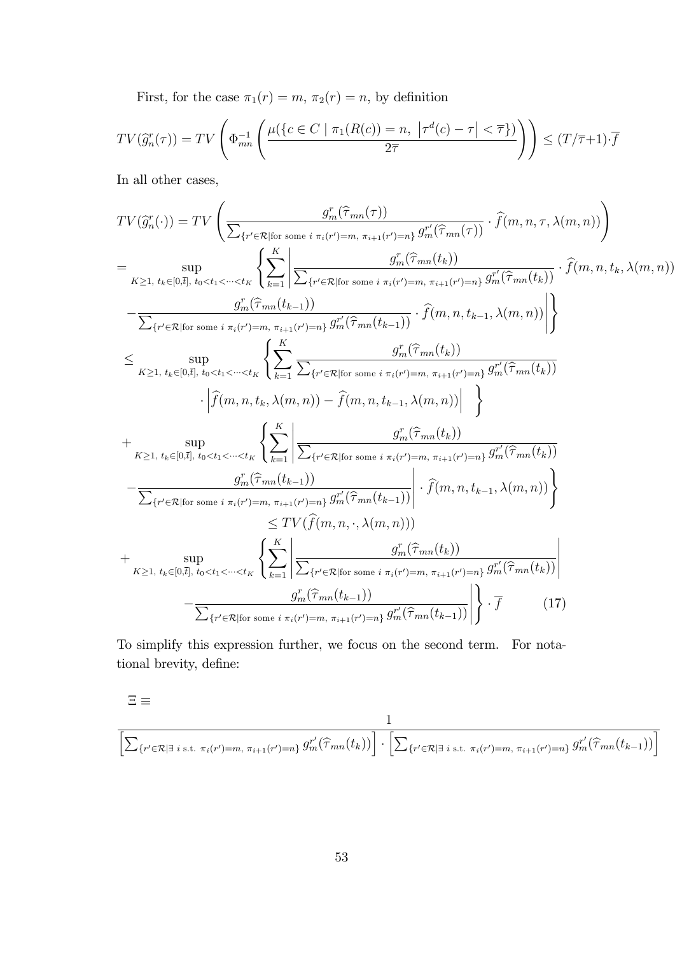First, for the case  $\pi_1(r) = m$ ,  $\pi_2(r) = n$ , by definition

$$
TV(\widehat{g}_n^r(\tau)) = TV\left(\Phi_{mn}^{-1}\left(\frac{\mu(\lbrace c \in C \mid \pi_1(R(c)) = n, \ \vert \tau^d(c) - \tau \vert < \overline{\tau} \rbrace)}{2\overline{\tau}}\right)\right) \leq (T/\overline{\tau} + 1) \cdot \overline{f}
$$

In all other cases,

$$
TV(\hat{g}_n^r(\cdot)) = TV \left( \frac{g_n^r(\hat{\tau}_{mn}(\tau))}{\sum_{\{r' \in \mathcal{R} \mid \hat{\text{for some } i}} \pi_i(r') = m, \pi_{i+1}(r') = n\}} \cdot \hat{f}(m, n, \tau, \lambda(m, n)) \right)
$$
  
\n
$$
= \sup_{K \geq 1, t_k \in [0, \tilde{t}], t_0 < t_1 < \dots < t_K} \left\{ \sum_{k=1}^K \left| \frac{g_m^r(\hat{\tau}_{mn}(t_k))}{\sum_{\{r' \in \mathcal{R} \mid \hat{\text{for some } i}} \pi_i(r') = m, \pi_{i+1}(r') = n\}} \cdot \hat{f}(m, n, t_k, \lambda(m, n)) \right| \right\}
$$
  
\n
$$
- \frac{g_m^r(\hat{\tau}_{mn}(t_{k-1}))}{\sum_{\{r' \in \mathcal{R} \mid \hat{\text{for some } i}} \pi_i(r') = m, \pi_{i+1}(r') = n\}} \cdot \hat{f}(m, n, t_{k-1}, \lambda(m, n)) \left| \right\}
$$
  
\n
$$
\leq \sup_{K \geq 1, t_k \in [0, \tilde{t}], t_0 < t_1 < \dots < t_K} \left\{ \sum_{k=1}^K \frac{g_m^r(\hat{\tau}_{mn}(t_k))}{\sum_{\{r' \in \mathcal{R} \mid \hat{\text{for some } i}} \pi_i(r') = m, \pi_{i+1}(r') = n\}} \cdot \hat{g}_m^r(\hat{\tau}_{mn}(t_k)) \right\}
$$
  
\n
$$
+ \sup_{K \geq 1, t_k \in [0, \tilde{t}], t_0 < t_1 < \dots < t_K} \left\{ \sum_{k=1}^K \left| \frac{g_m^r(\hat{\tau}_{mn}(t_k))}{\sum_{\{r' \in \mathcal{R} \mid \hat{\text{for some } i}} \pi_i(r') = m, \pi_{i+1}(r') = n\}} \cdot \hat{g}_m^r(\hat{\tau}_{mn}(t_k)) \right| \right\}
$$
  
\n
$$
- \frac{g_m^r(\hat{\tau}_{mn}(t_{k-1}))}{\sum_{\{r' \in \mathcal{R} \mid \text{for some } i}} \pi_i(r') = m, \pi_{i+1}(
$$

To simplify this expression further, we focus on the second term. For notational brevity, define:

$$
\Xi\equiv
$$

$$
\frac{1}{\left[\sum_{\{r'\in\mathcal{R}|\exists i \text{ s.t. } \pi_i(r')=m, \pi_{i+1}(r')=n\}} g_m^{r'}(\hat{\tau}_{mn}(t_k))\right] \cdot \left[\sum_{\{r'\in\mathcal{R}|\exists i \text{ s.t. } \pi_i(r')=m, \pi_{i+1}(r')=n\}} g_m^{r'}(\hat{\tau}_{mn}(t_{k-1}))\right]}
$$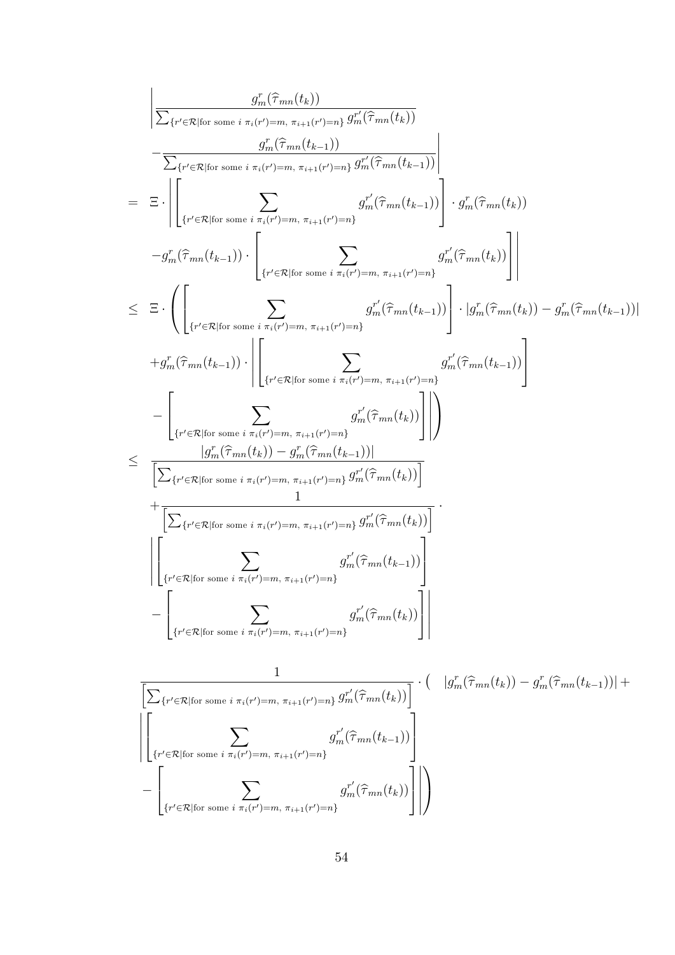g r <sup>m</sup>(<sup>b</sup> mn(tk)) P fr <sup>0</sup>2Rjfor some i i(r <sup>0</sup>)=m, i+1(r <sup>0</sup>)=ng g r 0 <sup>m</sup>(<sup>b</sup> mn(tk)) g r <sup>m</sup>(<sup>b</sup> mn(t<sup>k</sup><sup>1</sup>)) P fr <sup>0</sup>2Rjfor some i i(r <sup>0</sup>)=m, i+1(r <sup>0</sup>)=ng g r 0 <sup>m</sup>(<sup>b</sup> mn(t<sup>k</sup><sup>1</sup>)) = 2 4 X fr <sup>0</sup>2Rjfor some i i(r <sup>0</sup>)=m, i+1(r <sup>0</sup>)=ng g r 0 <sup>m</sup>(<sup>b</sup> mn(t<sup>k</sup><sup>1</sup>)) 3 5 g r <sup>m</sup>(<sup>b</sup> mn(tk)) g r <sup>m</sup>(<sup>b</sup> mn(t<sup>k</sup><sup>1</sup>)) 2 4 X fr <sup>0</sup>2Rjfor some i i(r <sup>0</sup>)=m, i+1(r <sup>0</sup>)=ng g r 0 <sup>m</sup>(<sup>b</sup> mn(tk)) 3 5 0 @ 2 4 X fr <sup>0</sup>2Rjfor some i i(r <sup>0</sup>)=m, i+1(r <sup>0</sup>)=ng g r 0 <sup>m</sup>(<sup>b</sup> mn(t<sup>k</sup><sup>1</sup>)) 3 5 jg r <sup>m</sup>(<sup>b</sup> mn(tk)) <sup>g</sup> r <sup>m</sup>(<sup>b</sup> mn(t<sup>k</sup><sup>1</sup>))<sup>j</sup> +g r <sup>m</sup>(<sup>b</sup> mn(t<sup>k</sup><sup>1</sup>)) 2 4 X fr <sup>0</sup>2Rjfor some i i(r <sup>0</sup>)=m, i+1(r <sup>0</sup>)=ng g r 0 <sup>m</sup>(<sup>b</sup> mn(t<sup>k</sup><sup>1</sup>)) 3 5 2 4 X fr <sup>0</sup>2Rjfor some i i(r <sup>0</sup>)=m, i+1(r <sup>0</sup>)=ng g r 0 <sup>m</sup>(<sup>b</sup> mn(tk)) 3 5 1 A jg r <sup>m</sup>(<sup>b</sup> mn(tk)) <sup>g</sup> r <sup>m</sup>(<sup>b</sup> mn(t<sup>k</sup><sup>1</sup>))<sup>j</sup> hP fr <sup>0</sup>2Rjfor some i i(r <sup>0</sup>)=m, i+1(r <sup>0</sup>)=ng g r 0 <sup>m</sup>(<sup>b</sup> mn(tk))<sup>i</sup> + 1 hP fr <sup>0</sup>2Rjfor some i i(r <sup>0</sup>)=m, i+1(r <sup>0</sup>)=ng g r 0 <sup>m</sup>(<sup>b</sup> mn(tk))<sup>i</sup> 2 4 X fr <sup>0</sup>2Rjfor some i i(r <sup>0</sup>)=m, i+1(r <sup>0</sup>)=ng g r 0 <sup>m</sup>(<sup>b</sup> mn(t<sup>k</sup><sup>1</sup>)) 3 5 2 4 X fr <sup>0</sup>2Rjfor some i i(r <sup>0</sup>)=m, i+1(r <sup>0</sup>)=ng g r 0 <sup>m</sup>(<sup>b</sup> mn(tk)) 3 5 1 hP fr <sup>0</sup>2Rjfor some i i(r <sup>0</sup>)=m, i+1(r <sup>0</sup>)=ng g r 0 <sup>m</sup>(<sup>b</sup> mn(tk))<sup>i</sup> jg r <sup>m</sup>(<sup>b</sup> mn(tk)) <sup>g</sup> r <sup>m</sup>(<sup>b</sup> mn(t<sup>k</sup><sup>1</sup>))<sup>j</sup> <sup>+</sup> 2 X g r 0 <sup>m</sup>(<sup>b</sup> mn(t<sup>k</sup><sup>1</sup>)) 3

 $g_m^{r'}(\widehat{\tau}_{mn}(t_k))$ 

 $\mathbf{I}$ 

3

 $\overline{1}$  1

A

4

 $\sqrt{2}$ 

4

 $\equiv$ 

 $\{r' \in \mathcal{R} | \text{for some } i \pi_i(r')=m, \pi_{i+1}(r')=n\}$ 

 $\sqrt{ }$ 

 $\{r' \in \mathcal{R} | \text{for some } i \pi_i(r')=m, \pi_{i+1}(r')=n\}$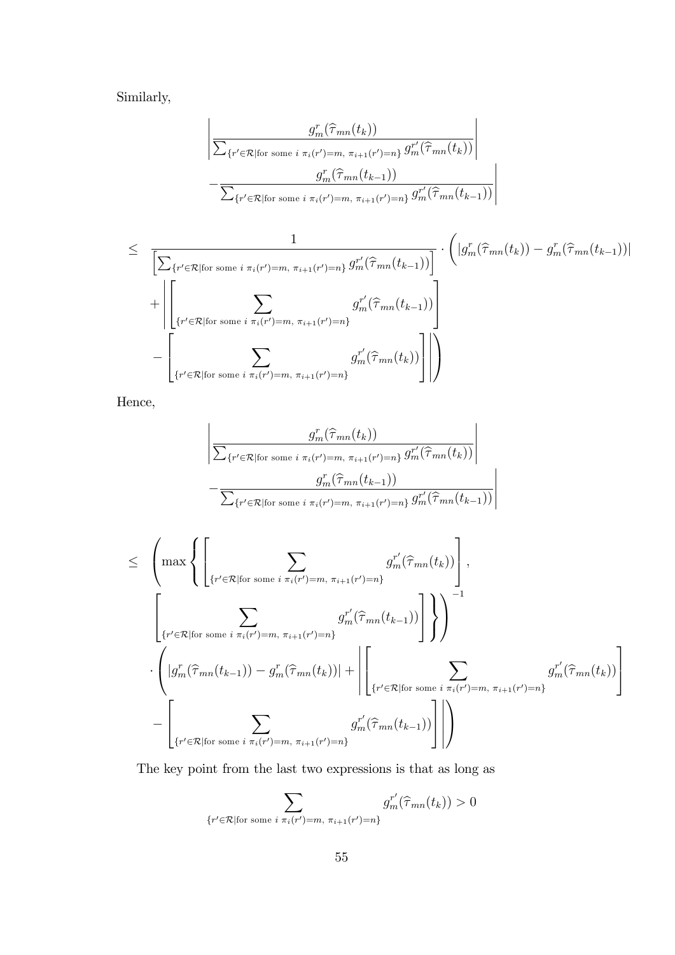Similarly,

$$
\left| \frac{g_m^r(\widehat{\tau}_{mn}(t_k))}{\sum_{\{r' \in \mathcal{R} \mid \text{for some } i \pi_i(r') = m, \pi_{i+1}(r') = n\}} g_m^{r'}(\widehat{\tau}_{mn}(t_k))} \right|
$$

$$
-\frac{g_m^r(\widehat{\tau}_{mn}(t_{k-1}))}{\sum_{\{r' \in \mathcal{R} \mid \text{for some } i \pi_i(r') = m, \pi_{i+1}(r') = n\}} g_m^{r'}(\widehat{\tau}_{mn}(t_{k-1}))} \right|
$$

$$
\leq \frac{1}{\left[\sum_{\{r' \in \mathcal{R} \mid \text{for some } i \pi_i(r') = m, \pi_{i+1}(r') = n\}} \frac{1}{g_m^{r'}(\hat{\tau}_{mn}(t_{k-1}))}\right]} \cdot \left(|g_m^r(\hat{\tau}_{mn}(t_k)) - g_m^r(\hat{\tau}_{mn}(t_{k-1}))|\right) + \left|\left[\sum_{\{r' \in \mathcal{R} \mid \text{for some } i \pi_i(r') = m, \pi_{i+1}(r') = n\}} g_m^{r'}(\hat{\tau}_{mn}(t_{k-1}))\right]\right|
$$

$$
- \left[\sum_{\{r' \in \mathcal{R} \mid \text{for some } i \pi_i(r') = m, \pi_{i+1}(r') = n\}} g_m^{r'}(\hat{\tau}_{mn}(t_k))\right]\right|
$$

Hence,

$$
\left| \frac{g_m^r(\widehat{\tau}_{mn}(t_k))}{\sum_{\{r' \in \mathcal{R} | \text{for some } i \pi_i(r') = m, \pi_{i+1}(r') = n\}} g_m^{r'}(\widehat{\tau}_{mn}(t_k))} \right|
$$

$$
-\frac{g_m^r(\widehat{\tau}_{mn}(t_{k-1}))}{\sum_{\{r' \in \mathcal{R} | \text{for some } i \pi_i(r') = m, \pi_{i+1}(r') = n\}} g_m^{r'}(\widehat{\tau}_{mn}(t_{k-1}))}
$$

$$
\leq \left(\max\left\{\left[\sum_{\{r'\in\mathcal{R}|\text{for some }i\pi_i(r')=m,\pi_{i+1}(r')=n\}}g_m^{r'}(\hat{\tau}_{mn}(t_k))\right],\right.\right.\left.\left.\left(\sum_{\{r'\in\mathcal{R}|\text{for some }i\pi_i(r')=m,\pi_{i+1}(r')=n\}}g_m^{r'}(\hat{\tau}_{mn}(t_{k-1}))\right]\right\}\right)^{-1}\cdot \left(\left|g_m^r(\hat{\tau}_{mn}(t_{k-1}))-g_m^r(\hat{\tau}_{mn}(t_k))\right|+\left|\left[\sum_{\{r'\in\mathcal{R}|\text{for some }i\pi_i(r')=m,\pi_{i+1}(r')=n\}}g_m^{r'}(\hat{\tau}_{mn}(t_k))\right]\right|\right)
$$
\n
$$
-\left[\sum_{\{r'\in\mathcal{R}|\text{for some }i\pi_i(r')=m,\pi_{i+1}(r')=n\}}g_m^{r'}(\hat{\tau}_{mn}(t_{k-1}))\right]\right|
$$

The key point from the last two expressions is that as long as

$$
\sum_{\{r' \in \mathcal{R} \mid \text{for some } i \pi_i(r') = m, \pi_{i+1}(r') = n\}} g_m^{r'}(\hat{\tau}_{mn}(t_k)) > 0
$$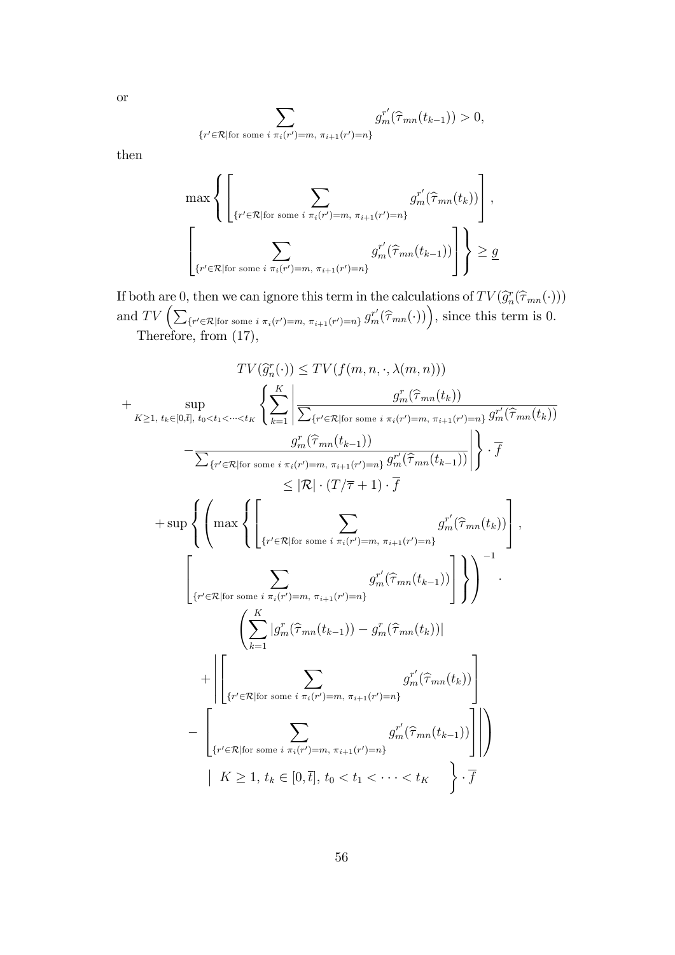$$
\sum_{\{r' \in \mathcal{R} \mid \text{for some } i \pi_i(r') = m, \pi_{i+1}(r') = n\}} g_m^{r'}(\hat{\tau}_{mn}(t_{k-1})) > 0,
$$

then

or

$$
\max \left\{ \left[ \sum_{\{r' \in \mathcal{R} \mid \text{for some } i \pi_i(r') = m, \pi_{i+1}(r') = n\}} g_m^{r'}(\hat{\tau}_{mn}(t_k)) \right], \atop \left\{ \sum_{\{r' \in \mathcal{R} \mid \text{for some } i \pi_i(r') = m, \pi_{i+1}(r') = n\}} g_m^{r'}(\hat{\tau}_{mn}(t_{k-1})) \right] \right\} \ge \underline{g}
$$

If both are 0, then we can ignore this term in the calculations of  $TV(\widehat{g}_n^r(\widehat{\tau}_{mn}(\cdot)))$ and  $TV\left(\sum_{\{r' \in \mathcal{R} \mid \text{for some } i \pi_i(r')=m, \pi_{i+1}(r')=n\}} g_m^{r'}(\hat{\tau}_{mn}(\cdot))\right)$ , since this term is 0.

Therefore, from (17),

$$
TV(\hat{g}_n^r(\cdot)) \leq TV(f(m, n, \cdot, \lambda(m, n)))
$$
  
+ 
$$
\sup_{K \geq 1, t_k \in [0, \bar{t}], t_0 < t_1 < \cdots < t_K} \left\{ \sum_{k=1}^K \left| \frac{g_n^r(\hat{\tau}_{mn}(t_k))}{\sum_{\{r' \in \mathcal{R} | \text{for some } i \pi_i(r') = m, \pi_{i+1}(r') = n\}} g_m^r(\hat{\tau}_{mn}(t_k))} \right| \right\} \cdot \overline{f}
$$
  
- 
$$
\frac{g_n^r(\hat{\tau}_{mn}(t_{k-1}))}{\sum_{\{r' \in \mathcal{R} | \text{for some } i \pi_i(r') = m, \pi_{i+1}(r') = n\}} g_m^{r'}(\hat{\tau}_{mn}(t_{k-1}))} \right\} \cdot \overline{f}
$$
  
+ 
$$
\sup \left\{ \left( \max \left\{ \left[ \sum_{\{r' \in \mathcal{R} | \text{for some } i \pi_i(r') = m, \pi_{i+1}(r') = n\}} g_m^{r'}(\hat{\tau}_{mn}(t_{k})) \right] \right\} \right\} \right\} \cdot \overline{f}
$$
  
+ 
$$
\left\{ \left( \max \left\{ \left[ \sum_{\{r' \in \mathcal{R} | \text{for some } i \pi_i(r') = m, \pi_{i+1}(r') = n\}} g_m^{r'}(\hat{\tau}_{mn}(t_{k-1})) \right] \right\} \right\} \right)^{-1}
$$
  
+ 
$$
\left\{ \left[ \sum_{k=1}^K |g_n^r(\hat{\tau}_{mn}(t_{k-1})) - g_n^r(\hat{\tau}_{mn}(t_k))| \right] \right\} \right\} - \left\{ \left[ \sum_{\{r' \in \mathcal{R} | \text{for some } i \pi_i(r') = m, \pi_{i+1}(r') = n\}} g_m^{r'}(\hat{\tau}_{mn}(t_{k})) \right] \right\}
$$
  
- 
$$
\left\{ K \geq 1, t_k \in [0, \overline{t}], t_0 < t_1 < \cdots < t_K \right\} \cdot \overline{f}
$$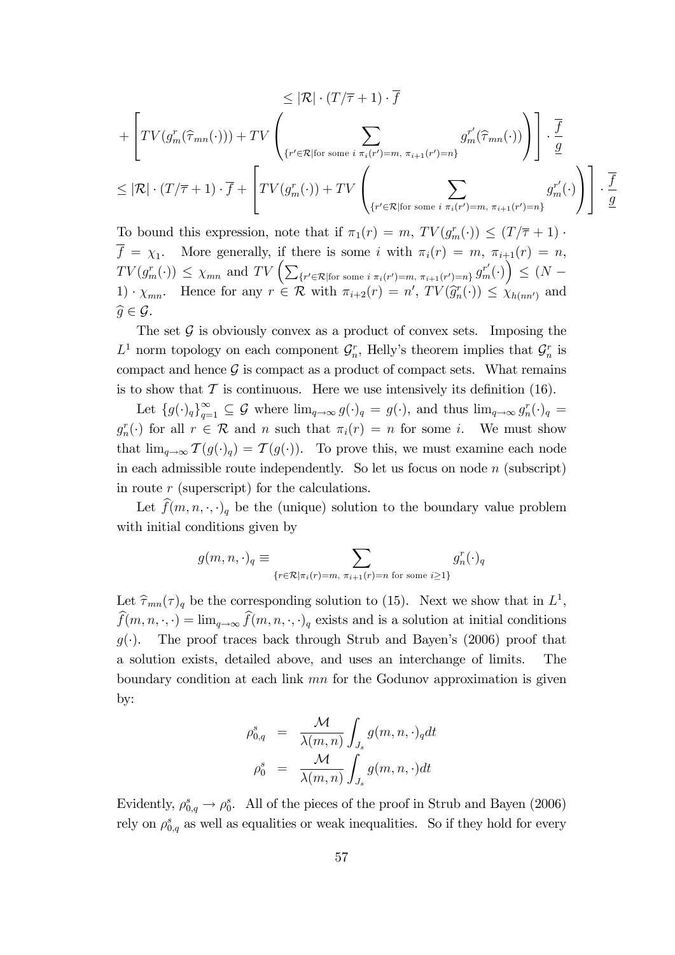$$
\leq |\mathcal{R}| \cdot (T/\overline{\tau} + 1) \cdot \overline{f}
$$
  
+ 
$$
\left[ TV(g_m^r(\widehat{\tau}_{mn}(\cdot))) + TV \left( \sum_{\{r' \in \mathcal{R} | \text{for some } i \pi_i(r') = m, \pi_{i+1}(r') = n\}} g_m^{r'}(\widehat{\tau}_{mn}(\cdot)) \right) \right] \cdot \frac{\overline{f}}{g}
$$
  

$$
\leq |\mathcal{R}| \cdot (T/\overline{\tau} + 1) \cdot \overline{f} + \left[ TV(g_m^r(\cdot)) + TV \left( \sum_{\{r' \in \mathcal{R} | \text{for some } i \pi_i(r') = m, \pi_{i+1}(r') = n\}} g_m^{r'}(\cdot) \right) \right] \cdot \frac{\overline{f}}{g}
$$

To bound this expression, note that if  $\pi_1(r) = m$ ,  $TV(g_m^r(\cdot)) \le (T/\overline{\tau} + 1)$ .  $f = \chi_1$ . More generally, if there is some i with  $\pi_i(r) = m$ ,  $\pi_{i+1}(r) = n$ ,  $TV(g_m^r(\cdot)) \leq \chi_{mn}$  and  $TV\left(\sum_{\{r' \in \mathcal{R} \mid \text{for some } i \pi_i(r') = m, \pi_{i+1}(r') = n\}} g_m^{r'}(\cdot)\right) \leq (N 1) \cdot \chi_{mn}$ . Hence for any  $r \in \mathcal{R}$  with  $\pi_{i+2}(r) = n'$ ,  $TV(\widehat{g}_n^r(\cdot)) \leq \chi_{h(nn')}$  and  $\widehat{g}\in \mathcal{G}.$ 

The set  $\mathcal G$  is obviously convex as a product of convex sets. Imposing the  $L^1$  norm topology on each component  $\mathcal{G}_n^r$ , Helly's theorem implies that  $\mathcal{G}_n^r$  is compact and hence  $\mathcal G$  is compact as a product of compact sets. What remains is to show that  $\mathcal T$  is continuous. Here we use intensively its definition (16).

Let  ${g(\cdot)_q}_{q=1}^{\infty} \subseteq G$  where  $\lim_{q\to\infty} g(\cdot)_q = g(\cdot)$ , and thus  $\lim_{q\to\infty} g_n^r(\cdot)_q =$  $g_n^r(\cdot)$  for all  $r \in \mathcal{R}$  and n such that  $\pi_i(r) = n$  for some i. We must show that  $\lim_{q\to\infty} \mathcal{T}(g(\cdot)_q) = \mathcal{T}(g(\cdot)).$  To prove this, we must examine each node in each admissible route independently. So let us focus on node  $n$  (subscript) in route r (superscript) for the calculations.

Let  $\widehat{f}(m, n, \cdot, \cdot)_q$  be the (unique) solution to the boundary value problem with initial conditions given by

$$
g(m, n, \cdot)_q \equiv \sum_{\{r \in \mathcal{R} \mid \pi_i(r) = m, \pi_{i+1}(r) = n \text{ for some } i \ge 1\}} g_n^r(\cdot)_q
$$

Let  $\widehat{\tau}_{mn}(\tau)_q$  be the corresponding solution to (15). Next we show that in  $L^1$ ,  $\widehat{f}(m, n, \cdot, \cdot) = \lim_{q \to \infty} \widehat{f}(m, n, \cdot, \cdot)_q$  exists and is a solution at initial conditions  $g(\cdot)$ . The proof traces back through Strub and Bayen's (2006) proof that a solution exists, detailed above, and uses an interchange of limits. The boundary condition at each link mn for the Godunov approximation is given by:

$$
\rho_{0,q}^s = \frac{\mathcal{M}}{\lambda(m,n)} \int_{J_s} g(m,n,\cdot)_q dt
$$

$$
\rho_0^s = \frac{\mathcal{M}}{\lambda(m,n)} \int_{J_s} g(m,n,\cdot) dt
$$

Evidently,  $\rho_{0,q}^s \to \rho_0^s$ . All of the pieces of the proof in Strub and Bayen (2006) rely on  $\rho_{0,q}^s$  as well as equalities or weak inequalities. So if they hold for every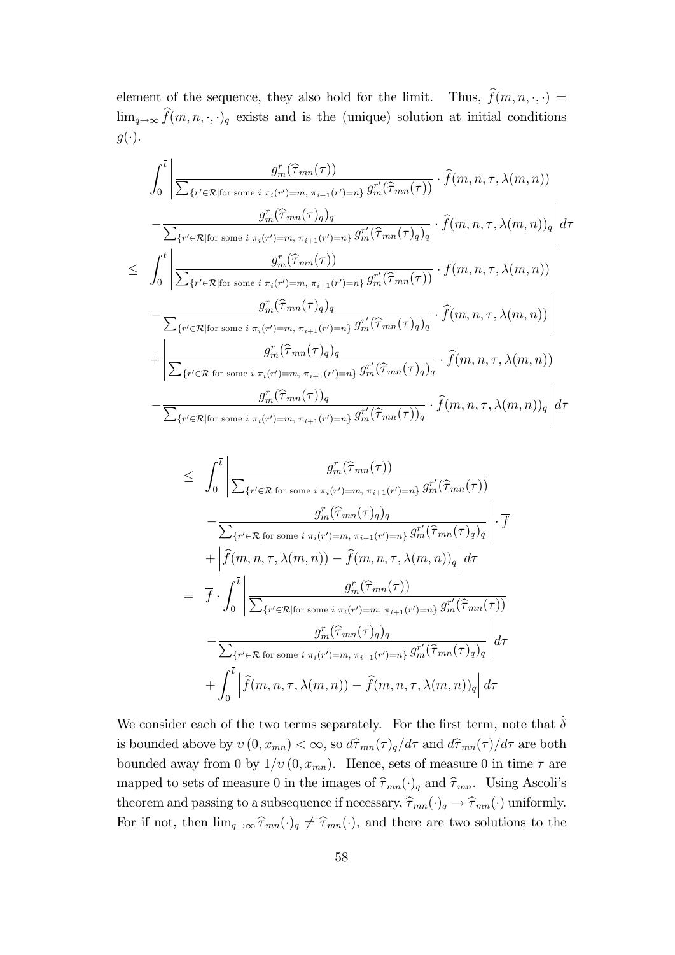element of the sequence, they also hold for the limit. Thus,  $\hat{f}(m, n, \cdot, \cdot)$  =  $\lim_{q\to\infty} \widehat{f}(m, n, \cdot, \cdot)_q$  exists and is the (unique) solution at initial conditions  $g(\cdot).$ 

$$
\int_{0}^{\overline{t}} \left| \frac{g_{m}^{r}(\widehat{\tau}_{mn}(\tau))}{\sum_{\{r' \in \mathcal{R} \mid \text{for some } i \pi_{i}(r') = m, \pi_{i+1}(r') = n\}} g_{m}^{r'}(\widehat{\tau}_{mn}(\tau))} \cdot \widehat{f}(m, n, \tau, \lambda(m, n)) - \frac{g_{m}^{r}(\widehat{\tau}_{mn}(\tau))g}{\sum_{\{r' \in \mathcal{R} \mid \text{for some } i \pi_{i}(r') = m, \pi_{i+1}(r') = n\}} g_{m}^{r'}(\widehat{\tau}_{mn}(\tau))g}} \cdot \widehat{f}(m, n, \tau, \lambda(m, n))g \right| d\tau
$$
  
\n
$$
\leq \int_{0}^{\overline{t}} \left| \frac{g_{m}^{r}(\widehat{\tau}_{mn}(\tau))}{\sum_{\{r' \in \mathcal{R} \mid \text{for some } i \pi_{i}(r') = m, \pi_{i+1}(r') = n\}} g_{m}^{r'}(\widehat{\tau}_{mn}(\tau))} \cdot f(m, n, \tau, \lambda(m, n)) - \frac{g_{m}^{r}(\widehat{\tau}_{mn}(\tau))g}{\sum_{\{r' \in \mathcal{R} \mid \text{for some } i \pi_{i}(r') = m, \pi_{i+1}(r') = n\}} g_{m}^{r'}(\widehat{\tau}_{mn}(\tau))g}} \cdot \widehat{f}(m, n, \tau, \lambda(m, n)) \right| + \left| \frac{g_{m}^{r}(\widehat{\tau}_{mn}(\tau))g}{\sum_{\{r' \in \mathcal{R} \mid \text{for some } i \pi_{i}(r') = m, \pi_{i+1}(r') = n\}} g_{m}^{r'}(\widehat{\tau}_{mn}(\tau))g}} \cdot \widehat{f}(m, n, \tau, \lambda(m, n)) - \frac{g_{m}^{r}(\widehat{\tau}_{mn}(\tau))g}{\sum_{\{r' \in \mathcal{R} \mid \text{for some } i \pi_{i}(r') = m, \pi_{i+1}(r') = n\}} g_{m}^{r'}(\widehat{\tau}_{mn}(\tau))g} \cdot \widehat{f}(m, n, \tau, \lambda(m, n))g \right| d\tau
$$

$$
\leq \int_{0}^{\overline{t}} \left| \frac{g_{m}^{r}(\widehat{\tau}_{mn}(\tau))}{\sum_{\{r' \in \mathcal{R} \mid \text{for some } i \pi_{i}(r') = m, \pi_{i+1}(r') = n\}} g_{m}^{r'}(\widehat{\tau}_{mn}(\tau))} \right|
$$

$$
- \frac{g_{m}^{r}(\widehat{\tau}_{mn}(\tau))g_{q}}{\sum_{\{r' \in \mathcal{R} \mid \text{for some } i \pi_{i}(r') = m, \pi_{i+1}(r') = n\}} g_{m}^{r'}(\widehat{\tau}_{mn}(\tau))g_{q}} \right| \cdot \overline{f}
$$

$$
+ \left| \widehat{f}(m, n, \tau, \lambda(m, n)) - \widehat{f}(m, n, \tau, \lambda(m, n))g \right| d\tau
$$

$$
= \overline{f} \cdot \int_{0}^{\overline{t}} \left| \frac{g_{m}^{r}(\widehat{\tau}_{mn}(\tau))}{\sum_{\{r' \in \mathcal{R} \mid \text{for some } i \pi_{i}(r') = m, \pi_{i+1}(r') = n\}} g_{m}^{r'}(\widehat{\tau}_{mn}(\tau))} \right|
$$

$$
- \frac{g_{m}^{r}(\widehat{\tau}_{mn}(\tau))g_{q}}{\sum_{\{r' \in \mathcal{R} \mid \text{for some } i \pi_{i}(r') = m, \pi_{i+1}(r') = n\}} g_{m}^{r'}(\widehat{\tau}_{mn}(\tau))g_{q}} \right| d\tau
$$

$$
+ \int_{0}^{\overline{t}} \left| \widehat{f}(m, n, \tau, \lambda(m, n)) - \widehat{f}(m, n, \tau, \lambda(m, n))g \right| d\tau
$$

We consider each of the two terms separately. For the first term, note that  $\dot{\delta}$ is bounded above by  $v(0, x_{mn}) < \infty$ , so  $d\hat{\tau}_{mn}(\tau)_q/d\tau$  and  $d\hat{\tau}_{mn}(\tau)/d\tau$  are both bounded away from 0 by  $1/v(0, x_{mn})$ . Hence, sets of measure 0 in time  $\tau$  are mapped to sets of measure 0 in the images of  $\hat{\tau}_{mn}(\cdot)_{q}$  and  $\hat{\tau}_{mn}$ . Using Ascoli's theorem and passing to a subsequence if necessary,  $\hat{\tau}_{mn}(\cdot)_q \to \hat{\tau}_{mn}(\cdot)$  uniformly. For if not, then  $\lim_{q\to\infty} \hat{\tau}_{mn}(\cdot)_q \neq \hat{\tau}_{mn}(\cdot)$ , and there are two solutions to the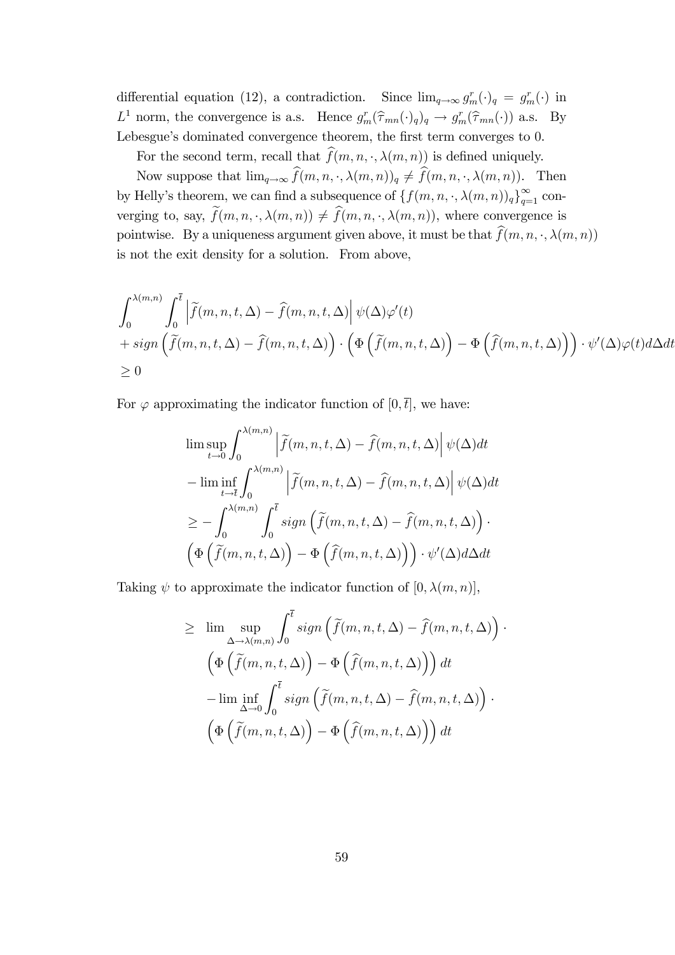differential equation (12), a contradiction. Since  $\lim_{q\to\infty} g_m^r(\cdot)_q = g_m^r(\cdot)$  in  $L^1$  norm, the convergence is a.s. Hence  $g_m^r(\hat{\tau}_{mn}(\cdot)_q)_q \to g_m^r(\hat{\tau}_{mn}(\cdot))$  a.s. By Lebesgue's dominated convergence theorem, the first term converges to 0.

For the second term, recall that  $\widehat{f}(m, n, \cdot, \lambda(m, n))$  is defined uniquely.

Now suppose that  $\lim_{q\to\infty} \widehat{f}(m, n, \cdot, \lambda(m, n))_q \neq \widehat{f}(m, n, \cdot, \lambda(m, n)).$  Then by Helly's theorem, we can find a subsequence of  $\{f(m, n, \cdot, \lambda(m, n))_q\}_{q=1}^{\infty}$  converging to, say,  $\tilde{f}(m, n, \cdot, \lambda(m, n)) \neq \hat{f}(m, n, \cdot, \lambda(m, n))$ , where convergence is pointwise. By a uniqueness argument given above, it must be that  $\hat{f}(m, n, \cdot, \lambda(m, n))$ is not the exit density for a solution. From above,

$$
\int_0^{\lambda(m,n)} \int_0^{\overline{t}} \left| \tilde{f}(m,n,t,\Delta) - \hat{f}(m,n,t,\Delta) \right| \psi(\Delta) \varphi'(t)
$$
  
+ sign  $\left( \tilde{f}(m,n,t,\Delta) - \hat{f}(m,n,t,\Delta) \right) \cdot \left( \Phi \left( \tilde{f}(m,n,t,\Delta) \right) - \Phi \left( \hat{f}(m,n,t,\Delta) \right) \right) \cdot \psi'(\Delta) \varphi(t) d\Delta dt$   
 $\geq 0$ 

For  $\varphi$  approximating the indicator function of  $[0,\bar{t}]$ , we have:

$$
\limsup_{t \to 0} \int_0^{\lambda(m,n)} \left| \tilde{f}(m,n,t,\Delta) - \hat{f}(m,n,t,\Delta) \right| \psi(\Delta) dt
$$
  
\n
$$
- \liminf_{t \to \bar{t}} \int_0^{\lambda(m,n)} \left| \tilde{f}(m,n,t,\Delta) - \hat{f}(m,n,t,\Delta) \right| \psi(\Delta) dt
$$
  
\n
$$
\geq - \int_0^{\lambda(m,n)} \int_0^{\bar{t}} sign \left( \tilde{f}(m,n,t,\Delta) - \hat{f}(m,n,t,\Delta) \right) .
$$
  
\n
$$
\left( \Phi \left( \tilde{f}(m,n,t,\Delta) \right) - \Phi \left( \hat{f}(m,n,t,\Delta) \right) \right) \cdot \psi'(\Delta) d\Delta dt
$$

Taking  $\psi$  to approximate the indicator function of  $[0, \lambda(m, n)],$ 

$$
\geq \lim_{\Delta \to \lambda(m,n)} \sup_{\Delta} \int_0^{\overline{t}} sign\left(\tilde{f}(m,n,t,\Delta) - \hat{f}(m,n,t,\Delta)\right) \cdot
$$

$$
\left(\Phi\left(\tilde{f}(m,n,t,\Delta)\right) - \Phi\left(\hat{f}(m,n,t,\Delta)\right)\right) dt
$$

$$
-\lim_{\Delta \to 0} \inf_{\Delta} \int_0^{\overline{t}} sign\left(\tilde{f}(m,n,t,\Delta) - \hat{f}(m,n,t,\Delta)\right) \cdot
$$

$$
\left(\Phi\left(\tilde{f}(m,n,t,\Delta)\right) - \Phi\left(\hat{f}(m,n,t,\Delta)\right)\right) dt
$$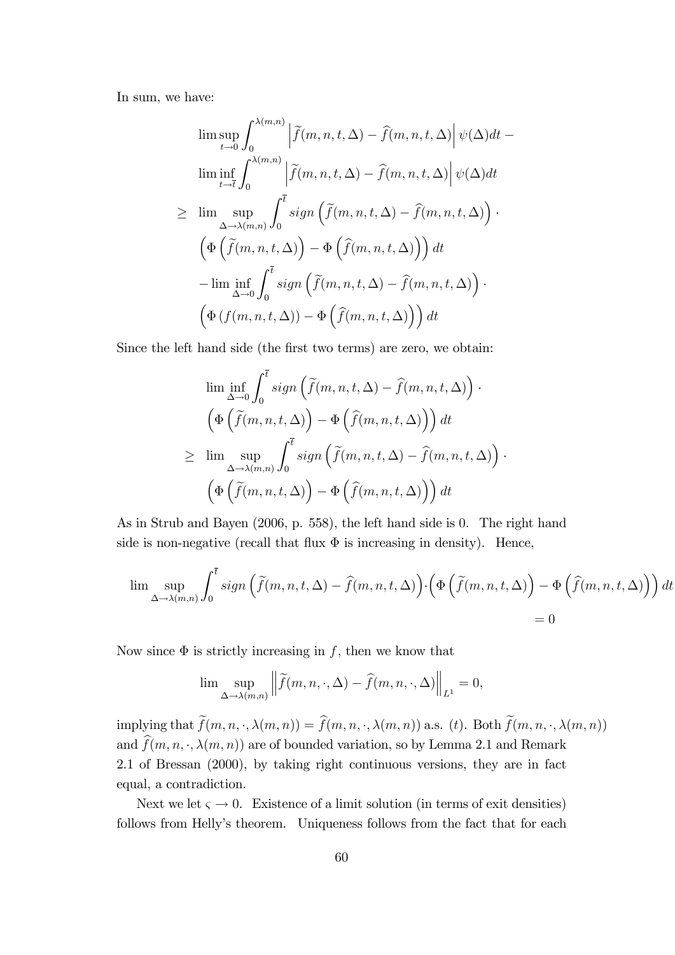In sum, we have:

$$
\limsup_{t \to 0} \int_0^{\lambda(m,n)} \left| \tilde{f}(m,n,t,\Delta) - \hat{f}(m,n,t,\Delta) \right| \psi(\Delta) dt -
$$
  
\n
$$
\liminf_{t \to \bar{t}} \int_0^{\lambda(m,n)} \left| \tilde{f}(m,n,t,\Delta) - \hat{f}(m,n,t,\Delta) \right| \psi(\Delta) dt
$$
  
\n
$$
\geq \limsup_{\Delta \to \lambda(m,n)} \int_0^{\bar{t}} sign \left( \tilde{f}(m,n,t,\Delta) - \hat{f}(m,n,t,\Delta) \right) .
$$
  
\n
$$
\left( \Phi \left( \tilde{f}(m,n,t,\Delta) \right) - \Phi \left( \hat{f}(m,n,t,\Delta) \right) \right) dt
$$
  
\n
$$
- \liminf_{\Delta \to 0} \int_0^{\bar{t}} sign \left( \tilde{f}(m,n,t,\Delta) - \hat{f}(m,n,t,\Delta) \right) .
$$
  
\n
$$
\left( \Phi \left( f(m,n,t,\Delta) \right) - \Phi \left( \hat{f}(m,n,t,\Delta) \right) \right) dt
$$

Since the left hand side (the first two terms) are zero, we obtain:

$$
\liminf_{\Delta \to 0} \int_0^{\overline{t}} sign\left(\tilde{f}(m, n, t, \Delta) - \hat{f}(m, n, t, \Delta)\right) \cdot
$$

$$
\left(\Phi\left(\tilde{f}(m, n, t, \Delta)\right) - \Phi\left(\hat{f}(m, n, t, \Delta)\right)\right) dt
$$

$$
\geq \limsup_{\Delta \to \lambda(m, n)} \int_0^{\overline{t}} sign\left(\tilde{f}(m, n, t, \Delta) - \hat{f}(m, n, t, \Delta)\right) \cdot
$$

$$
\left(\Phi\left(\tilde{f}(m, n, t, \Delta)\right) - \Phi\left(\hat{f}(m, n, t, \Delta)\right)\right) dt
$$

As in Strub and Bayen (2006, p. 558), the left hand side is 0. The right hand side is non-negative (recall that flux  $\Phi$  is increasing in density). Hence,

$$
\lim_{\Delta \to \lambda(m,n)} \int_0^{\overline{t}} \operatorname{sign}\left(\widetilde{f}(m,n,t,\Delta) - \widehat{f}(m,n,t,\Delta)\right) \cdot \left(\Phi\left(\widetilde{f}(m,n,t,\Delta)\right) - \Phi\left(\widehat{f}(m,n,t,\Delta)\right)\right) dt
$$
  
= 0

Now since  $\Phi$  is strictly increasing in f, then we know that

$$
\lim \sup_{\Delta \to \lambda(m,n)} \left\| \widetilde{f}(m,n,\cdot,\Delta) - \widehat{f}(m,n,\cdot,\Delta) \right\|_{L^1} = 0,
$$

implying that  $\widetilde{f}(m, n, \cdot, \lambda(m, n)) = \widehat{f}(m, n, \cdot, \lambda(m, n))$  a.s. (t). Both  $\widetilde{f}(m, n, \cdot, \lambda(m, n))$ and  $\widehat{f}(m, n, \cdot, \lambda(m, n))$  are of bounded variation, so by Lemma 2.1 and Remark 2.1 of Bressan (2000), by taking right continuous versions, they are in fact equal, a contradiction.

Next we let  $\varsigma \to 0$ . Existence of a limit solution (in terms of exit densities) follows from Helly's theorem. Uniqueness follows from the fact that for each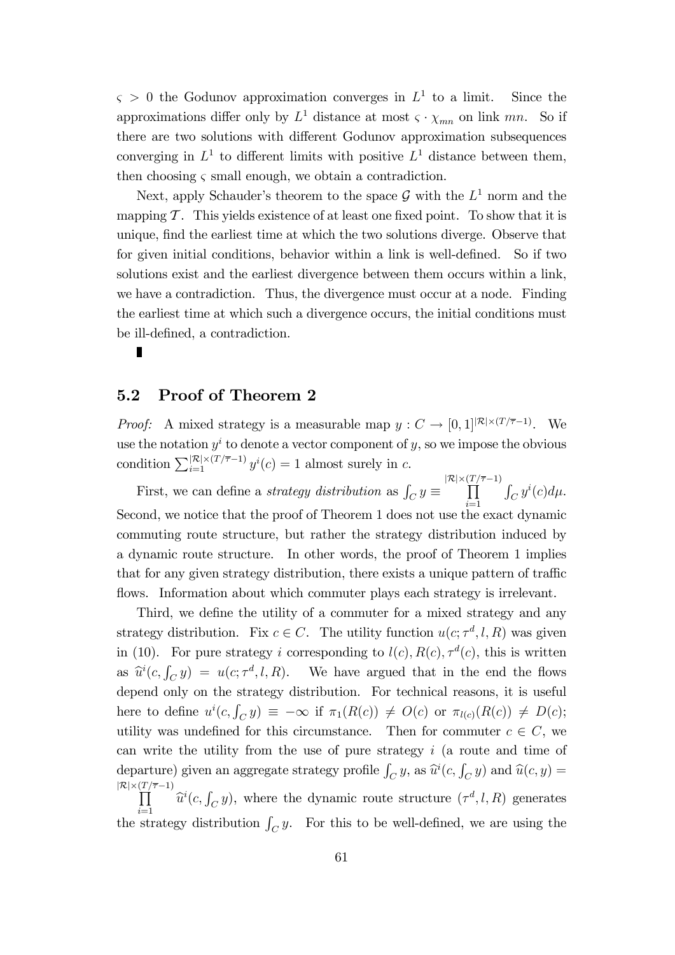$\varsigma > 0$  the Godunov approximation converges in  $L^1$  to a limit. Since the approximations differ only by  $L^1$  distance at most  $\varsigma \cdot \chi_{mn}$  on link mn. So if there are two solutions with different Godunov approximation subsequences converging in  $L^1$  to different limits with positive  $L^1$  distance between them, then choosing  $\varsigma$  small enough, we obtain a contradiction.

Next, apply Schauder's theorem to the space  $\mathcal G$  with the  $L^1$  norm and the mapping  $\mathcal T$ . This yields existence of at least one fixed point. To show that it is unique, Önd the earliest time at which the two solutions diverge. Observe that for given initial conditions, behavior within a link is well-defined. So if two solutions exist and the earliest divergence between them occurs within a link, we have a contradiction. Thus, the divergence must occur at a node. Finding the earliest time at which such a divergence occurs, the initial conditions must be ill-defined, a contradiction.

#### 5.2 Proof of Theorem 2

П

*Proof:* A mixed strategy is a measurable map  $y : C \to [0,1]^{|\mathcal{R}| \times (T/\overline{\tau}-1)}$ . We use the notation  $y^i$  to denote a vector component of y, so we impose the obvious condition  $\sum_{i=1}^{|\mathcal{R}| \times (T/\overline{\tau}-1)} y^{i}(c) = 1$  almost surely in c.

First, we can define a *strategy distribution* as  $\int_C y \equiv \prod_{i=1}^{|\mathcal{R}| \times (T/\overline{\tau}-1)}$  $i=1$  $\int_C y^i(c)d\mu.$ Second, we notice that the proof of Theorem 1 does not use the exact dynamic commuting route structure, but rather the strategy distribution induced by a dynamic route structure. In other words, the proof of Theorem 1 implies that for any given strategy distribution, there exists a unique pattern of traffic flows. Information about which commuter plays each strategy is irrelevant.

Third, we define the utility of a commuter for a mixed strategy and any strategy distribution. Fix  $c \in C$ . The utility function  $u(c; \tau^d, l, R)$  was given in (10). For pure strategy i corresponding to  $l(c)$ ,  $R(c)$ ,  $\tau^{d}(c)$ , this is written as  $\hat{u}^i(c, \int_C y) = u(c; \tau^d, l, R)$ . We have argued that in the end the flows depend only on the strategy distribution. For technical reasons, it is useful here to define  $u^i(c, \int_C y) \equiv -\infty$  if  $\pi_1(R(c)) \neq O(c)$  or  $\pi_{l(c)}(R(c)) \neq D(c)$ ; utility was undefined for this circumstance. Then for commuter  $c \in C$ , we can write the utility from the use of pure strategy  $i$  (a route and time of departure) given an aggregate strategy profile  $\int_C y$ , as  $\hat{u}^i(c, \int_C y)$  and  $\hat{u}(c, y) =$  $\frac{|\mathcal{R}| \times (T/\overline{\tau}-1)}{\prod}$  $\prod_{i=1}^{\infty}$   $\hat{u}^{i}(c, \int_{C} y)$ , where the dynamic route structure  $(\tau^{d}, l, R)$  generates the strategy distribution  $\int_C y$ . For this to be well-defined, we are using the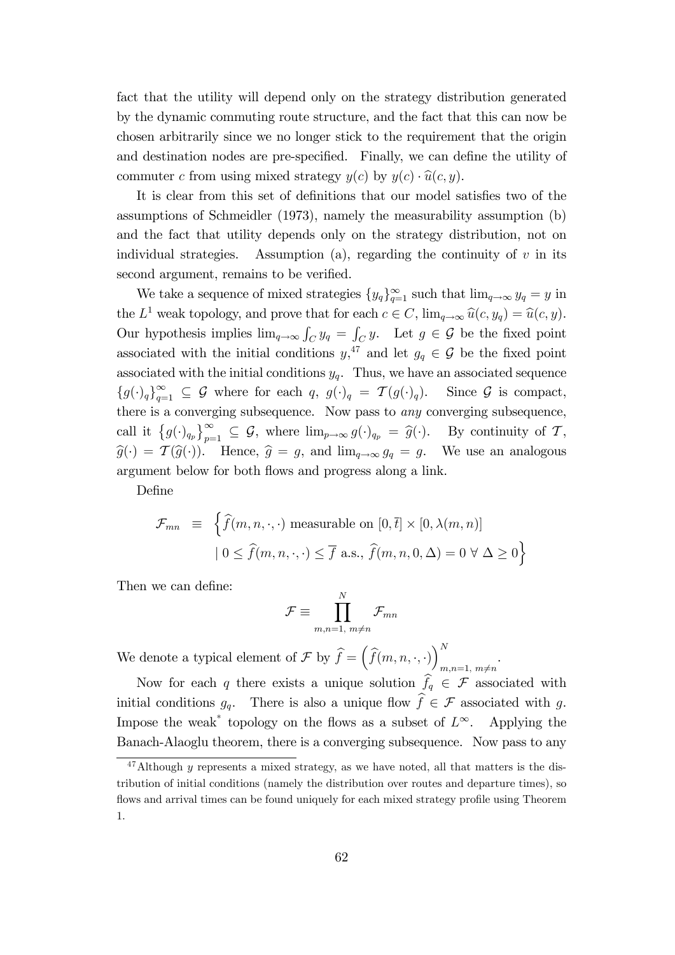fact that the utility will depend only on the strategy distribution generated by the dynamic commuting route structure, and the fact that this can now be chosen arbitrarily since we no longer stick to the requirement that the origin and destination nodes are pre-specified. Finally, we can define the utility of commuter c from using mixed strategy  $y(c)$  by  $y(c) \cdot \hat{u}(c, y)$ .

It is clear from this set of definitions that our model satisfies two of the assumptions of Schmeidler (1973), namely the measurability assumption (b) and the fact that utility depends only on the strategy distribution, not on individual strategies. Assumption (a), regarding the continuity of  $v$  in its second argument, remains to be verified.

We take a sequence of mixed strategies  $\{y_q\}_{q=1}^{\infty}$  such that  $\lim_{q\to\infty} y_q = y$  in the  $L^1$  weak topology, and prove that for each  $c \in C$ ,  $\lim_{q \to \infty} \widehat{u}(c, y_q) = \widehat{u}(c, y)$ . Our hypothesis implies  $\lim_{q\to\infty} \int_C y_q = \int_C y$ . Let  $g \in \mathcal{G}$  be the fixed point associated with the initial conditions  $y^{47}$ , and let  $g_q \in \mathcal{G}$  be the fixed point associated with the initial conditions  $y_q$ . Thus, we have an associated sequence  ${g(\cdot)_q}_{q=1}^{\infty} \subseteq G$  where for each  $q, g(\cdot)_q = \mathcal{T}(g(\cdot)_q)$ . Since G is compact, there is a converging subsequence. Now pass to any converging subsequence, call it  $\{g(\cdot)_{q_p}\}_{p=1}^{\infty} \subseteq \mathcal{G}$ , where  $\lim_{p\to\infty} g(\cdot)_{q_p} = \widehat{g}(\cdot)$ . By continuity of  $\mathcal{T}$ ,  $\widehat{g}(\cdot) = \mathcal{T}(\widehat{g}(\cdot)).$  Hence,  $\widehat{g} = g$ , and  $\lim_{q\to\infty} g_q = g$ . We use an analogous argument below for both flows and progress along a link.

Define

$$
\mathcal{F}_{mn} \equiv \left\{ \widehat{f}(m, n, \cdot, \cdot) \text{ measurable on } [0, \overline{t}] \times [0, \lambda(m, n)] \right\}
$$

$$
| 0 \le \widehat{f}(m, n, \cdot, \cdot) \le \overline{f} \text{ a.s., } \widehat{f}(m, n, 0, \Delta) = 0 \,\forall \Delta \ge 0 \right\}
$$

Then we can define:

$$
\mathcal{F} \equiv \prod_{m,n=1, m \neq n}^{N} \mathcal{F}_{mn}
$$

We denote a typical element of  $\mathcal{F}$  by  $\widehat{f} = (\widehat{f}(m, n, \cdot, \cdot))_{m=1}^{N}$  $m,n=1, m \neq n$ .

Now for each q there exists a unique solution  $\hat{f}_q \in \mathcal{F}$  associated with initial conditions  $g_q$ . There is also a unique flow  $\hat{f} \in \mathcal{F}$  associated with g. Impose the weak<sup>\*</sup> topology on the flows as a subset of  $L^{\infty}$ . Applying the Banach-Alaoglu theorem, there is a converging subsequence. Now pass to any

 $^{47}$ Although *y* represents a mixed strategy, as we have noted, all that matters is the distribution of initial conditions (namely the distribution over routes and departure times), so flows and arrival times can be found uniquely for each mixed strategy profile using Theorem 1.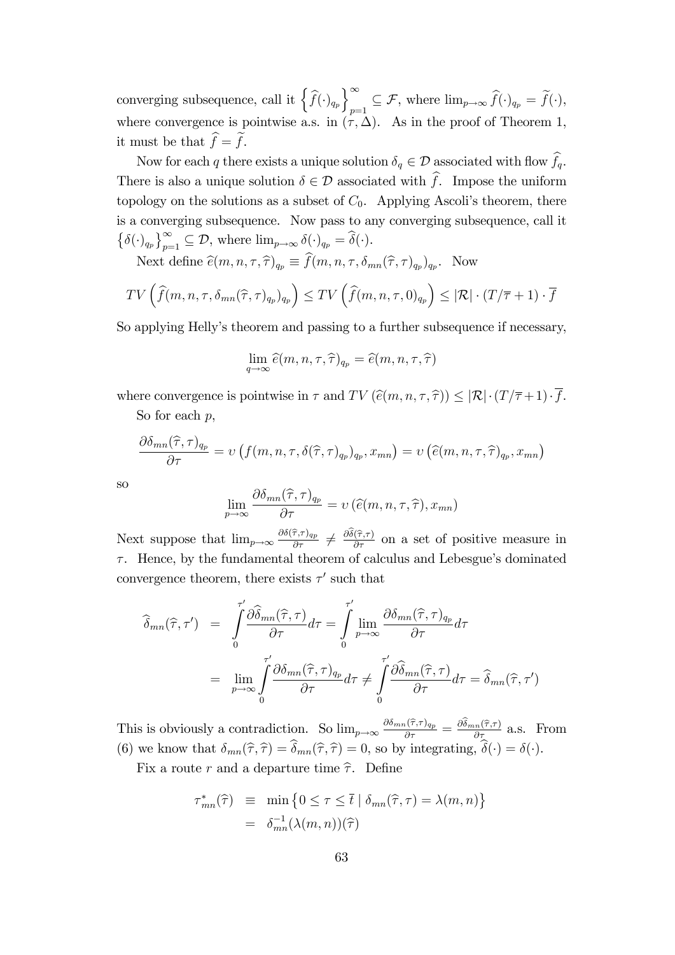converging subsequence, call it  $\left\{\widehat{f}(\cdot)_{q_p}\right\}_{p=1}^{\infty}$  $p=1} \subseteq \mathcal{F}$ , where  $\lim_{p\to\infty} f(\cdot)_{q_p} = f(\cdot)$ , where convergence is pointwise a.s. in  $(\tau, \Delta)$ . As in the proof of Theorem 1, it must be that  $\widehat{f} = \widehat{f}$ .

Now for each q there exists a unique solution  $\delta_q \in \mathcal{D}$  associated with flow  $\widehat{f}_q$ . There is also a unique solution  $\delta \in \mathcal{D}$  associated with  $\hat{f}$ . Impose the uniform topology on the solutions as a subset of  $C_0$ . Applying Ascoli's theorem, there is a converging subsequence. Now pass to any converging subsequence, call it  $\{\delta(\cdot)_{q_p}\}_{p=1}^{\infty} \subseteq \mathcal{D}$ , where  $\lim_{p\to\infty} \delta(\cdot)_{q_p} = \widehat{\delta}(\cdot)$ .

Next define  $\widehat{e}(m, n, \tau, \widehat{\tau})_{q_p} \equiv f(m, n, \tau, \delta_{mn}(\widehat{\tau}, \tau)_{q_p})_{q_p}$ . Now

$$
TV\left(\widehat{f}(m,n,\tau,\delta_{mn}(\widehat{\tau},\tau)_{q_p})_{q_p}\right) \leq TV\left(\widehat{f}(m,n,\tau,0)_{q_p}\right) \leq |\mathcal{R}| \cdot (T/\overline{\tau}+1) \cdot \overline{f}
$$

So applying Helly's theorem and passing to a further subsequence if necessary,

$$
\lim_{q \to \infty} \widehat{e}(m, n, \tau, \widehat{\tau})_{q_p} = \widehat{e}(m, n, \tau, \widehat{\tau})
$$

where convergence is pointwise in  $\tau$  and  $TV(\widehat{e}(m, n, \tau, \widehat{\tau})) \leq |\mathcal{R}| \cdot (T/\overline{\tau} + 1) \cdot \overline{f}.$ 

So for each  $p$ ,

$$
\frac{\partial \delta_{mn}(\widehat{\tau},\tau)_{q_p}}{\partial \tau} = \nu \left( f(m,n,\tau,\delta(\widehat{\tau},\tau)_{q_p})_{q_p}, x_{mn} \right) = \nu \left( \widehat{e}(m,n,\tau,\widehat{\tau})_{q_p}, x_{mn} \right)
$$

so

$$
\lim_{p \to \infty} \frac{\partial \delta_{mn}(\widehat{\tau}, \tau)_{q_p}}{\partial \tau} = \nu \left( \widehat{e}(m, n, \tau, \widehat{\tau}), x_{mn} \right)
$$

Next suppose that  $\lim_{p\to\infty} \frac{\partial \delta(\hat{\tau},\tau)_{q_p}}{\partial \tau} \neq \frac{\partial \hat{\delta}(\hat{\tau},\tau)}{\partial \tau}$  on a set of positive measure in  $\tau$ . Hence, by the fundamental theorem of calculus and Lebesgue's dominated convergence theorem, there exists  $\tau'$  such that

$$
\widehat{\delta}_{mn}(\widehat{\tau},\tau') = \int_0^{\tau'} \frac{\partial \widehat{\delta}_{mn}(\widehat{\tau},\tau)}{\partial \tau} d\tau = \int_0^{\tau'} \lim_{p \to \infty} \frac{\partial \delta_{mn}(\widehat{\tau},\tau)_{q_p}}{\partial \tau} d\tau \n= \lim_{p \to \infty} \int_0^{\tau'} \frac{\partial \delta_{mn}(\widehat{\tau},\tau)_{q_p}}{\partial \tau} d\tau \neq \int_0^{\tau'} \frac{\partial \widehat{\delta}_{mn}(\widehat{\tau},\tau)}{\partial \tau} d\tau = \widehat{\delta}_{mn}(\widehat{\tau},\tau')
$$

This is obviously a contradiction. So  $\lim_{p\to\infty} \frac{\partial \delta_{mn}(\hat{\tau},\tau)_{q_p}}{\partial \tau} = \frac{\partial \hat{\delta}_{mn}(\hat{\tau},\tau)}{\partial \tau}$  a.s. From (6) we know that  $\delta_{mn}(\hat{\tau}, \hat{\tau}) = \delta_{mn}(\hat{\tau}, \hat{\tau}) = 0$ , so by integrating,  $\delta(\cdot) = \delta(\cdot)$ .

Fix a route r and a departure time  $\hat{\tau}$ . Define

$$
\tau_{mn}^*(\hat{\tau}) \equiv \min \{ 0 \le \tau \le \bar{t} \mid \delta_{mn}(\hat{\tau}, \tau) = \lambda(m, n) \}
$$

$$
= \delta_{mn}^{-1}(\lambda(m, n))(\hat{\tau})
$$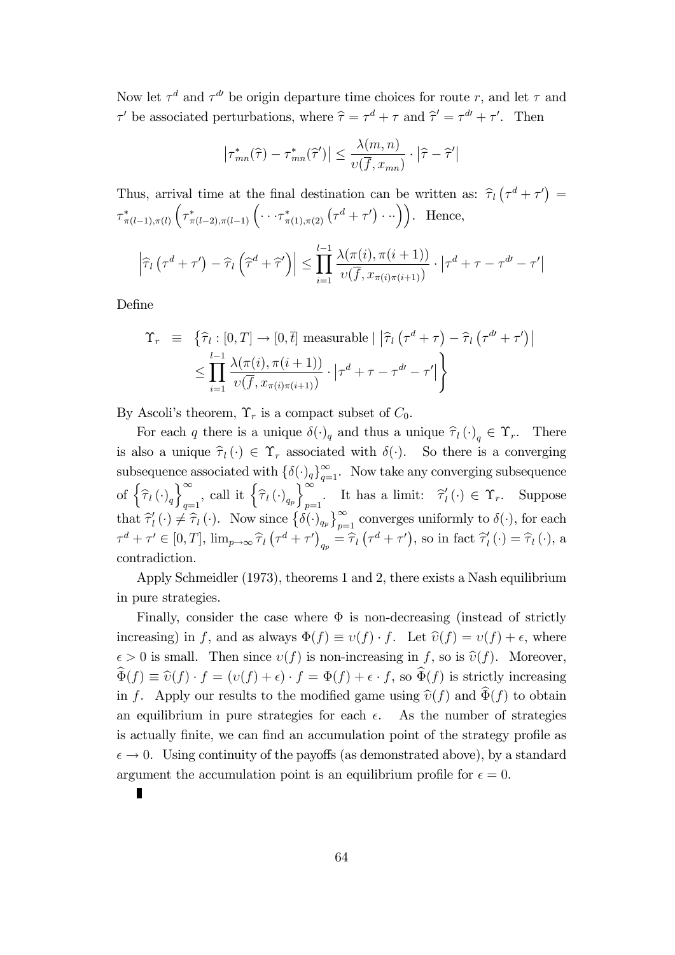Now let  $\tau^d$  and  $\tau^{d'}$  be origin departure time choices for route r, and let  $\tau$  and  $\tau'$  be associated perturbations, where  $\hat{\tau} = \tau^d + \tau$  and  $\hat{\tau}' = \tau^{d'} + \tau'$ . Then

$$
\left|\tau_{mn}^*(\widehat{\tau}) - \tau_{mn}^*(\widehat{\tau}')\right| \le \frac{\lambda(m,n)}{v(\overline{f},x_{mn})} \cdot \left|\widehat{\tau} - \widehat{\tau}'\right|
$$

Thus, arrival time at the final destination can be written as:  $\hat{\tau}_l(\tau^d + \tau') =$  $\tau^*_{\pi(l-1),\pi(l)}$  $\left(\tau_{\pi(l-2),\pi(l-1)}^*\left(\cdots\tau_{\pi(1),\pi(2)}^*\left(\tau^d+\tau'\right)\cdots\right)\right).$  Hence,

$$
\left|\widehat{\tau}_l\left(\tau^d + \tau'\right) - \widehat{\tau}_l\left(\widehat{\tau}^d + \widehat{\tau}'\right)\right| \leq \prod_{i=1}^{l-1} \frac{\lambda(\pi(i), \pi(i+1))}{\nu(\overline{f}, x_{\pi(i)\pi(i+1)})} \cdot \left|\tau^d + \tau - \tau^{d'} - \tau'\right|
$$

DeÖne

$$
\begin{aligned} \Upsilon_r &= \left\{ \widehat{\tau}_l : [0, T] \to [0, \overline{t}] \text{ measurable} \mid \left| \widehat{\tau}_l \left( \tau^d + \tau \right) - \widehat{\tau}_l \left( \tau^{d'} + \tau' \right) \right| \right. \\ &\leq \prod_{i=1}^{l-1} \frac{\lambda(\pi(i), \pi(i+1))}{\upsilon(\overline{f}, x_{\pi(i)\pi(i+1)})} \cdot \left| \tau^d + \tau - \tau^{d'} - \tau' \right| \right\} \end{aligned}
$$

By Ascoli's theorem,  $\Upsilon_r$  is a compact subset of  $C_0$ .

For each q there is a unique  $\delta(\cdot)_q$  and thus a unique  $\widehat{\tau}_l (\cdot)_q \in \Upsilon_r$ . There is also a unique  $\hat{\tau}_l (\cdot) \in \Upsilon_r$  associated with  $\delta(\cdot)$ . So there is a converging subsequence associated with  $\{\delta(\cdot)_q\}_{q=1}^{\infty}$ . Now take any converging subsequence of  $\left\{ \widehat{\tau}_{l}\left(\cdot\right)_{q}\right\}$  $\int_{-\infty}^{\infty}$  $\sum_{q=1}^{\infty}$ , call it  $\left\{\widehat{\tau}_l\left(\cdot\right)_{q_p}\right\}$  $\int_{-\infty}^{\infty}$ . It has a limit:  $\hat{\tau}'_l(\cdot) \in \Upsilon_r$ . Suppose that  $\hat{\tau}'_l(\cdot) \neq \hat{\tau}_l(\cdot)$ . Now since  $\{\delta(\cdot)_{q_p}\}_{p=1}^{\infty}$  converges uniformly to  $\delta(\cdot)$ , for each  $\tau^d + \tau' \in [0, T], \lim_{p \to \infty} \hat{\tau}_l (\tau^d + \tau')_{q_p} = \hat{\tau}_l (\tau^d + \tau'),$  so in fact  $\hat{\tau}'_l (\cdot) = \hat{\tau}_l (\cdot),$  a contradiction.

Apply Schmeidler (1973), theorems 1 and 2, there exists a Nash equilibrium in pure strategies.

Finally, consider the case where  $\Phi$  is non-decreasing (instead of strictly increasing) in f, and as always  $\Phi(f) \equiv v(f) \cdot f$ . Let  $\hat{v}(f) = v(f) + \epsilon$ , where  $\epsilon > 0$  is small. Then since  $v(f)$  is non-increasing in f, so is  $\hat{v}(f)$ . Moreover,  $\widehat{\Phi}(f) \equiv \widehat{\upsilon}(f) \cdot f = (\upsilon(f) + \epsilon) \cdot f = \Phi(f) + \epsilon \cdot f$ , so  $\widehat{\Phi}(f)$  is strictly increasing in f. Apply our results to the modified game using  $\hat{v}(f)$  and  $\hat{\Phi}(f)$  to obtain an equilibrium in pure strategies for each  $\epsilon$ . As the number of strategies is actually finite, we can find an accumulation point of the strategy profile as  $\epsilon \to 0$ . Using continuity of the payoffs (as demonstrated above), by a standard argument the accumulation point is an equilibrium profile for  $\epsilon = 0$ .